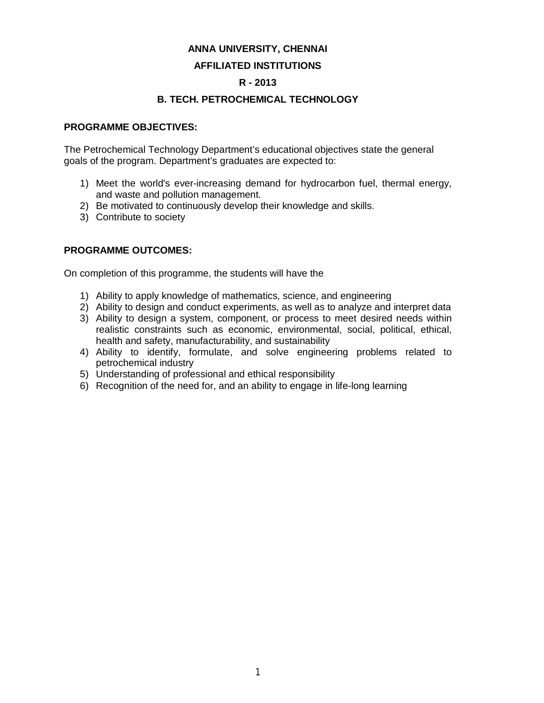#### **ANNA UNIVERSITY, CHENNAI**

#### **AFFILIATED INSTITUTIONS**

#### **R - 2013**

### **B. TECH. PETROCHEMICAL TECHNOLOGY**

#### **PROGRAMME OBJECTIVES:**

The Petrochemical Technology Department's educational objectives state the general goals of the program. Department's graduates are expected to:

- 1) Meet the world's ever-increasing demand for hydrocarbon fuel, thermal energy, and waste and pollution management.
- 2) Be motivated to continuously develop their knowledge and skills.
- 3) Contribute to society

#### **PROGRAMME OUTCOMES:**

On completion of this programme, the students will have the

- 1) Ability to apply knowledge of mathematics, science, and engineering
- 2) Ability to design and conduct experiments, as well as to analyze and interpret data
- 3) Ability to design a system, component, or process to meet desired needs within realistic constraints such as economic, environmental, social, political, ethical, health and safety, manufacturability, and sustainability
- 4) Ability to identify, formulate, and solve engineering problems related to petrochemical industry
- 5) Understanding of professional and ethical responsibility
- 6) Recognition of the need for, and an ability to engage in life-long learning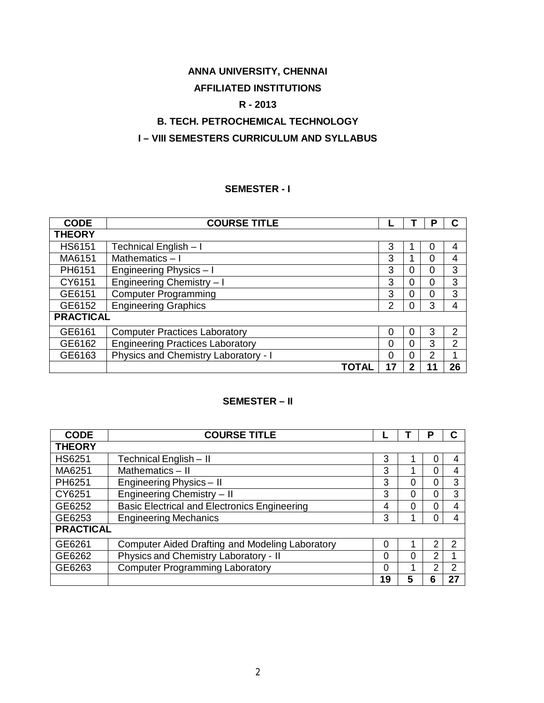# **ANNA UNIVERSITY, CHENNAI**

# **AFFILIATED INSTITUTIONS**

# **R - 2013**

# **B. TECH. PETROCHEMICAL TECHNOLOGY**

# **I – VIII SEMESTERS CURRICULUM AND SYLLABUS**

#### **SEMESTER - I**

| <b>CODE</b>      | <b>COURSE TITLE</b>                     |    |   | Р              |    |
|------------------|-----------------------------------------|----|---|----------------|----|
| <b>THEORY</b>    |                                         |    |   |                |    |
| <b>HS6151</b>    | Technical English - I                   | 3  |   | 0              | 4  |
| MA6151           | Mathematics $-1$                        | 3  |   | 0              | 4  |
| PH6151           | Engineering Physics - I                 | 3  | 0 | 0              | 3  |
| CY6151           | Engineering Chemistry - I               | 3  | 0 | 0              | 3  |
| GE6151           | <b>Computer Programming</b>             | 3  | 0 | 0              | 3  |
| GE6152           | <b>Engineering Graphics</b>             | 2  | 0 | 3              | 4  |
| <b>PRACTICAL</b> |                                         |    |   |                |    |
| GE6161           | <b>Computer Practices Laboratory</b>    | 0  | 0 | 3              | 2  |
| GE6162           | <b>Engineering Practices Laboratory</b> | 0  | 0 | 3              | 2  |
| GE6163           | Physics and Chemistry Laboratory - I    | 0  | 0 | $\overline{2}$ |    |
|                  | TOTAL                                   | 17 | 2 |                | 26 |

# **SEMESTER – II**

| <b>CODE</b>      | <b>COURSE TITLE</b>                                    |    |   | Р |               |
|------------------|--------------------------------------------------------|----|---|---|---------------|
| <b>THEORY</b>    |                                                        |    |   |   |               |
| <b>HS6251</b>    | Technical English - II                                 | 3  |   | O | 4             |
| MA6251           | Mathematics - II                                       | 3  | 1 | O | 4             |
| PH6251           | Engineering Physics - II                               | 3  | 0 | 0 | 3             |
| CY6251           | Engineering Chemistry - II                             | 3  | 0 | 0 | 3             |
| GE6252           | <b>Basic Electrical and Electronics Engineering</b>    | 4  | 0 | 0 | 4             |
| GE6253           | <b>Engineering Mechanics</b>                           | 3  | 1 | C | 4             |
| <b>PRACTICAL</b> |                                                        |    |   |   |               |
| GE6261           | <b>Computer Aided Drafting and Modeling Laboratory</b> | 0  |   | 2 | $\mathcal{P}$ |
| GE6262           | Physics and Chemistry Laboratory - II                  | 0  | 0 | 2 |               |
| GE6263           | <b>Computer Programming Laboratory</b>                 | 0  | 1 | າ | 2             |
|                  |                                                        | 19 |   | ճ | 27            |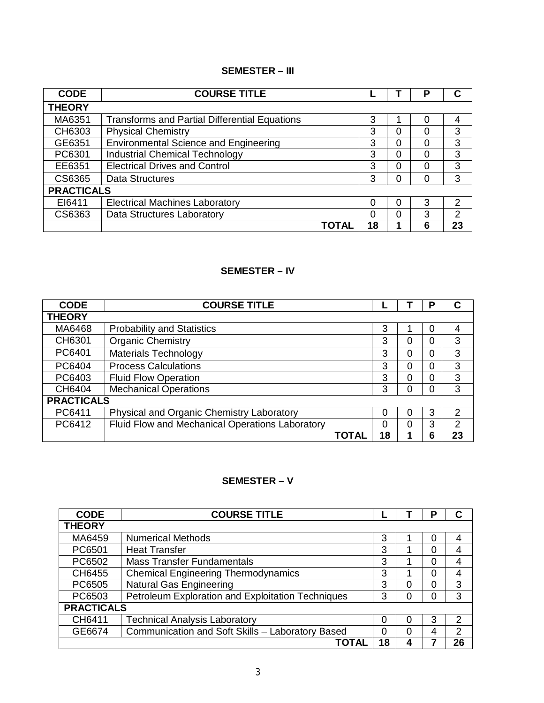# **SEMESTER – III**

| <b>CODE</b>       | <b>COURSE TITLE</b>                                  |    |   | Р |               |
|-------------------|------------------------------------------------------|----|---|---|---------------|
| <b>THEORY</b>     |                                                      |    |   |   |               |
| MA6351            | <b>Transforms and Partial Differential Equations</b> | 3  |   |   |               |
| CH6303            | <b>Physical Chemistry</b>                            | 3  | 0 |   | 3             |
| GE6351            | <b>Environmental Science and Engineering</b>         | 3  | 0 |   | 3             |
| PC6301            | <b>Industrial Chemical Technology</b>                | 3  | 0 |   | 3             |
| EE6351            | <b>Electrical Drives and Control</b>                 | 3  | 0 |   | 3             |
| CS6365            | <b>Data Structures</b>                               | 3  | 0 | 0 | 3             |
| <b>PRACTICALS</b> |                                                      |    |   |   |               |
| EI6411            | <b>Electrical Machines Laboratory</b>                | 0  | 0 | 3 | $\mathcal{P}$ |
| CS6363            | Data Structures Laboratory                           | 0  | 0 | 3 | 2             |
|                   | <b>TOTAL</b>                                         | 18 |   | 6 | 23            |

### **SEMESTER – IV**

| <b>CODE</b>       | <b>COURSE TITLE</b>                             |       |    |   | Р |               |
|-------------------|-------------------------------------------------|-------|----|---|---|---------------|
| <b>THEORY</b>     |                                                 |       |    |   |   |               |
| MA6468            | <b>Probability and Statistics</b>               |       | 3  |   | 0 |               |
| CH6301            | <b>Organic Chemistry</b>                        |       | 3  | 0 | 0 | 3             |
| PC6401            | <b>Materials Technology</b>                     |       | 3  | 0 | 0 | 3             |
| PC6404            | <b>Process Calculations</b>                     |       | 3  | 0 | 0 | 3             |
| PC6403            | <b>Fluid Flow Operation</b>                     |       | 3  | ი | 0 | 3             |
| CH6404            | <b>Mechanical Operations</b>                    |       | 3  | ი | 0 | 3             |
| <b>PRACTICALS</b> |                                                 |       |    |   |   |               |
| PC6411            | Physical and Organic Chemistry Laboratory       |       | Ω  | 0 | 3 | 2             |
| PC6412            | Fluid Flow and Mechanical Operations Laboratory |       | 0  | Ω | 3 | $\mathcal{P}$ |
|                   |                                                 | TOTAL | 18 |   | 6 | 23            |

# **SEMESTER – V**

| <b>CODE</b>       | <b>COURSE TITLE</b>                               |    |  | D |    |
|-------------------|---------------------------------------------------|----|--|---|----|
| <b>THEORY</b>     |                                                   |    |  |   |    |
| MA6459            | <b>Numerical Methods</b>                          | 3  |  |   | 4  |
| PC6501            | <b>Heat Transfer</b>                              | 3  |  | 0 | 4  |
| PC6502            | <b>Mass Transfer Fundamentals</b>                 | 3  |  | 0 |    |
| CH6455            | <b>Chemical Engineering Thermodynamics</b>        | 3  |  | 0 | 4  |
| PC6505            | <b>Natural Gas Engineering</b>                    | 3  |  | 0 | 3  |
| PC6503            | Petroleum Exploration and Exploitation Techniques | 3  |  | 0 | 3  |
| <b>PRACTICALS</b> |                                                   |    |  |   |    |
| CH6411            | <b>Technical Analysis Laboratory</b>              |    |  | 3 | 2  |
| GE6674            | Communication and Soft Skills - Laboratory Based  |    |  | 4 | 2  |
|                   | TOTAL                                             | 18 |  |   | 26 |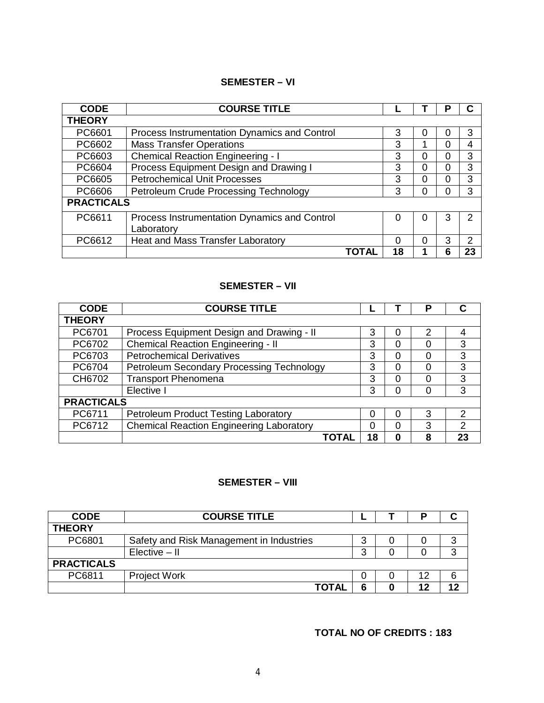### **SEMESTER – VI**

| <b>CODE</b>       | <b>COURSE TITLE</b>                                        |       |          |   | Р |               |
|-------------------|------------------------------------------------------------|-------|----------|---|---|---------------|
| <b>THEORY</b>     |                                                            |       |          |   |   |               |
| PC6601            | Process Instrumentation Dynamics and Control               |       | 3        | 0 | 0 | 3             |
| PC6602            | <b>Mass Transfer Operations</b>                            |       | 3        |   | 0 | 4             |
| PC6603            | <b>Chemical Reaction Engineering - I</b>                   |       | 3        | 0 | 0 | 3             |
| PC6604            | Process Equipment Design and Drawing I                     |       | 3        | 0 | 0 | 3             |
| PC6605            | <b>Petrochemical Unit Processes</b>                        |       | 3        | 0 | 0 | 3             |
| PC6606            | Petroleum Crude Processing Technology                      |       | 3        | 0 | 0 | 3             |
| <b>PRACTICALS</b> |                                                            |       |          |   |   |               |
| PC6611            | Process Instrumentation Dynamics and Control<br>Laboratory |       | 0        | 0 | 3 | 2             |
| PC6612            | Heat and Mass Transfer Laboratory                          |       | $\Omega$ | 0 | 3 | $\mathcal{P}$ |
|                   |                                                            | TOTAL | 18       |   | 6 | 23            |

# **SEMESTER – VII**

| <b>CODE</b>       | <b>COURSE TITLE</b>                             |    |   | P             | С  |
|-------------------|-------------------------------------------------|----|---|---------------|----|
| <b>THEORY</b>     |                                                 |    |   |               |    |
| PC6701            | Process Equipment Design and Drawing - II       | 3  | 0 | $\mathcal{P}$ | 4  |
| PC6702            | <b>Chemical Reaction Engineering - II</b>       | 3  | 0 | 0             | 3  |
| PC6703            | <b>Petrochemical Derivatives</b>                | 3  | 0 | 0             | 3  |
| PC6704            | Petroleum Secondary Processing Technology       | 3  | 0 | 0             | 3  |
| CH6702            | <b>Transport Phenomena</b>                      | 3  | 0 |               | 3  |
|                   | Elective I                                      | 3  | 0 | 0             | 3  |
| <b>PRACTICALS</b> |                                                 |    |   |               |    |
| PC6711            | Petroleum Product Testing Laboratory            | 0  | ი | 3             | 2  |
| PC6712            | <b>Chemical Reaction Engineering Laboratory</b> | 0  | 0 | 3             | 2  |
|                   | ΤΟΤΑΙ                                           | 18 | 0 | 8             | 23 |

# **SEMESTER – VIII**

| <b>CODE</b>       | <b>COURSE TITLE</b>                      |   |    |  |
|-------------------|------------------------------------------|---|----|--|
| <b>THEORY</b>     |                                          |   |    |  |
| PC6801            | Safety and Risk Management in Industries | 3 |    |  |
|                   | $Elective - II$                          | 3 |    |  |
| <b>PRACTICALS</b> |                                          |   |    |  |
| PC6811            | <b>Project Work</b>                      | 0 | 12 |  |
|                   | ΤΟΤΑΙ                                    | 6 |    |  |

# **TOTAL NO OF CREDITS : 183**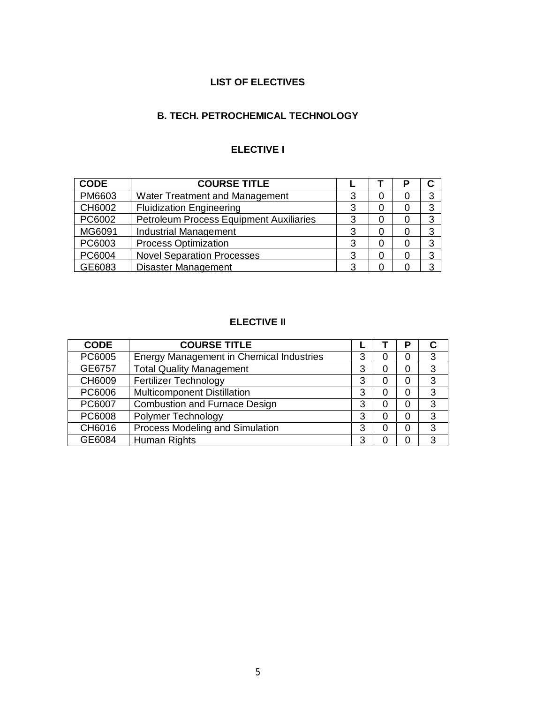# **LIST OF ELECTIVES**

# **B. TECH. PETROCHEMICAL TECHNOLOGY**

# **ELECTIVE I**

| <b>CODE</b> | <b>COURSE TITLE</b>                            |   |   | Р |   |
|-------------|------------------------------------------------|---|---|---|---|
| PM6603      | Water Treatment and Management                 | 3 |   |   | 3 |
| CH6002      | <b>Fluidization Engineering</b>                | 3 | 0 |   | 3 |
| PC6002      | <b>Petroleum Process Equipment Auxiliaries</b> | 3 |   |   | 3 |
| MG6091      | <b>Industrial Management</b>                   | ર |   |   | 3 |
| PC6003      | <b>Process Optimization</b>                    | 3 |   |   | 3 |
| PC6004      | <b>Novel Separation Processes</b>              | 3 |   |   | 3 |
| GE6083      | Disaster Management                            | റ |   |   |   |

# **ELECTIVE II**

| <b>CODE</b> | <b>COURSE TITLE</b>                      |   |   | о            |   |
|-------------|------------------------------------------|---|---|--------------|---|
| PC6005      | Energy Management in Chemical Industries | 3 |   |              | 3 |
| GE6757      | <b>Total Quality Management</b>          | 3 | Ω |              | 3 |
| CH6009      | <b>Fertilizer Technology</b>             | 3 | O |              | 3 |
| PC6006      | <b>Multicomponent Distillation</b>       | 3 |   |              | 3 |
| PC6007      | <b>Combustion and Furnace Design</b>     | 3 |   | $\mathbf{0}$ | 3 |
| PC6008      | Polymer Technology                       | 3 |   |              | 3 |
| CH6016      | Process Modeling and Simulation          | 3 |   |              | 3 |
| GE6084      | Human Rights                             | 3 |   |              | 3 |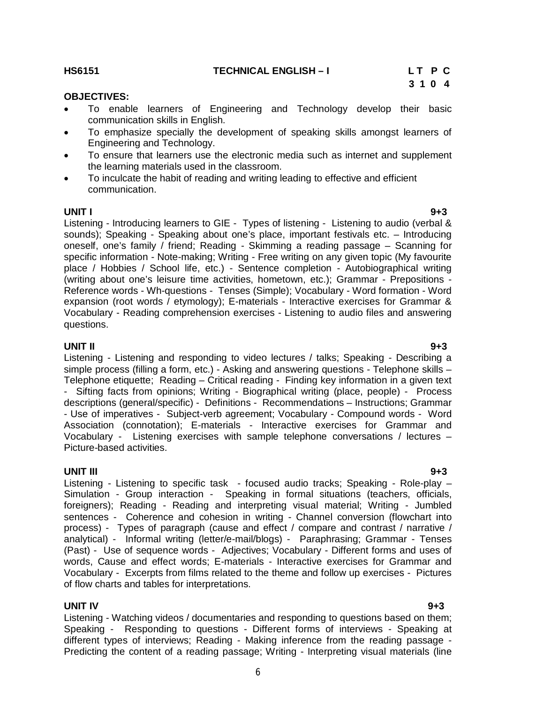**HS6151 TECHNICAL ENGLISH – I L T P C**

6

#### **OBJECTIVES:**

- To enable learners of Engineering and Technology develop their basic communication skills in English.
- To emphasize specially the development of speaking skills amongst learners of Engineering and Technology.
- To ensure that learners use the electronic media such as internet and supplement the learning materials used in the classroom.
- To inculcate the habit of reading and writing leading to effective and efficient communication.

**UNIT I 9+3** Listening - Introducing learners to GIE - Types of listening - Listening to audio (verbal & sounds); Speaking - Speaking about one's place, important festivals etc. – Introducing oneself, one's family / friend; Reading - Skimming a reading passage – Scanning for specific information - Note-making; Writing - Free writing on any given topic (My favourite place / Hobbies / School life, etc.) - Sentence completion - Autobiographical writing (writing about one's leisure time activities, hometown, etc.); Grammar - Prepositions - Reference words - Wh-questions - Tenses (Simple); Vocabulary - Word formation - Word expansion (root words / etymology); E-materials - Interactive exercises for Grammar & Vocabulary - Reading comprehension exercises - Listening to audio files and answering questions.

#### **UNIT II 9+3**

Listening - Listening and responding to video lectures / talks; Speaking - Describing a simple process (filling a form, etc.) - Asking and answering questions - Telephone skills – Telephone etiquette; Reading – Critical reading - Finding key information in a given text - Sifting facts from opinions; Writing - Biographical writing (place, people) - Process descriptions (general/specific) - Definitions - Recommendations – Instructions; Grammar - Use of imperatives - Subject-verb agreement; Vocabulary - Compound words - Word Association (connotation); E-materials - Interactive exercises for Grammar and Vocabulary - Listening exercises with sample telephone conversations / lectures – Picture-based activities.

**UNIT III 9+3** Listening - Listening to specific task - focused audio tracks; Speaking - Role-play – Simulation - Group interaction - Speaking in formal situations (teachers, officials, foreigners); Reading - Reading and interpreting visual material; Writing - Jumbled sentences - Coherence and cohesion in writing - Channel conversion (flowchart into process) - Types of paragraph (cause and effect / compare and contrast / narrative / analytical) - Informal writing (letter/e-mail/blogs) - Paraphrasing; Grammar - Tenses (Past) - Use of sequence words - Adjectives; Vocabulary - Different forms and uses of words, Cause and effect words; E-materials - Interactive exercises for Grammar and Vocabulary - Excerpts from films related to the theme and follow up exercises - Pictures of flow charts and tables for interpretations.

#### **UNIT IV 9+3**

Listening - Watching videos / documentaries and responding to questions based on them; Speaking - Responding to questions - Different forms of interviews - Speaking at different types of interviews; Reading - Making inference from the reading passage - Predicting the content of a reading passage; Writing - Interpreting visual materials (line

# **3 1 0 4**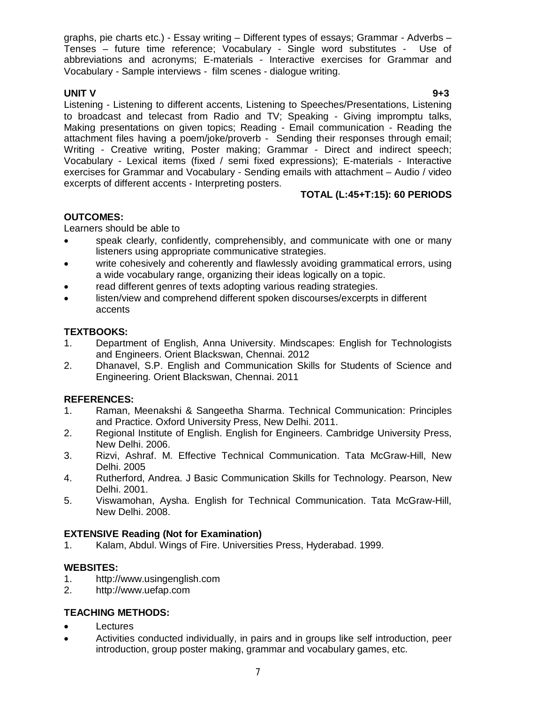graphs, pie charts etc.) - Essay writing – Different types of essays; Grammar - Adverbs – Tenses – future time reference; Vocabulary - Single word substitutes - Use of abbreviations and acronyms; E-materials - Interactive exercises for Grammar and Vocabulary - Sample interviews - film scenes - dialogue writing.

**UNIT V 9+3** Listening - Listening to different accents, Listening to Speeches/Presentations, Listening to broadcast and telecast from Radio and TV; Speaking - Giving impromptu talks, Making presentations on given topics; Reading - Email communication - Reading the attachment files having a poem/joke/proverb - Sending their responses through email; Writing - Creative writing, Poster making; Grammar - Direct and indirect speech; Vocabulary - Lexical items (fixed / semi fixed expressions); E-materials - Interactive exercises for Grammar and Vocabulary - Sending emails with attachment – Audio / video excerpts of different accents - Interpreting posters.

# **TOTAL (L:45+T:15): 60 PERIODS**

# **OUTCOMES:**

Learners should be able to

- speak clearly, confidently, comprehensibly, and communicate with one or many listeners using appropriate communicative strategies.
- write cohesively and coherently and flawlessly avoiding grammatical errors, using a wide vocabulary range, organizing their ideas logically on a topic.
- read different genres of texts adopting various reading strategies.
- listen/view and comprehend different spoken discourses/excerpts in different accents

# **TEXTBOOKS:**

- 1. Department of English, Anna University. Mindscapes: English for Technologists and Engineers. Orient Blackswan, Chennai. 2012
- 2. Dhanavel, S.P. English and Communication Skills for Students of Science and Engineering. Orient Blackswan, Chennai. 2011

# **REFERENCES:**

- 1. Raman, Meenakshi & Sangeetha Sharma. Technical Communication: Principles and Practice. Oxford University Press, New Delhi. 2011.
- 2. Regional Institute of English. English for Engineers. Cambridge University Press, New Delhi. 2006.
- 3. Rizvi, Ashraf. M. Effective Technical Communication. Tata McGraw-Hill, New Delhi. 2005
- 4. Rutherford, Andrea. J Basic Communication Skills for Technology. Pearson, New Delhi. 2001.
- 5. Viswamohan, Aysha. English for Technical Communication. Tata McGraw-Hill, New Delhi. 2008.

# **EXTENSIVE Reading (Not for Examination)**

1. Kalam, Abdul. Wings of Fire. Universities Press, Hyderabad. 1999.

# **WEBSITES:**

- 1. http://www.usingenglish.com
- 2. http://www.uefap.com

# **TEACHING METHODS:**

- Lectures
- Activities conducted individually, in pairs and in groups like self introduction, peer introduction, group poster making, grammar and vocabulary games, etc.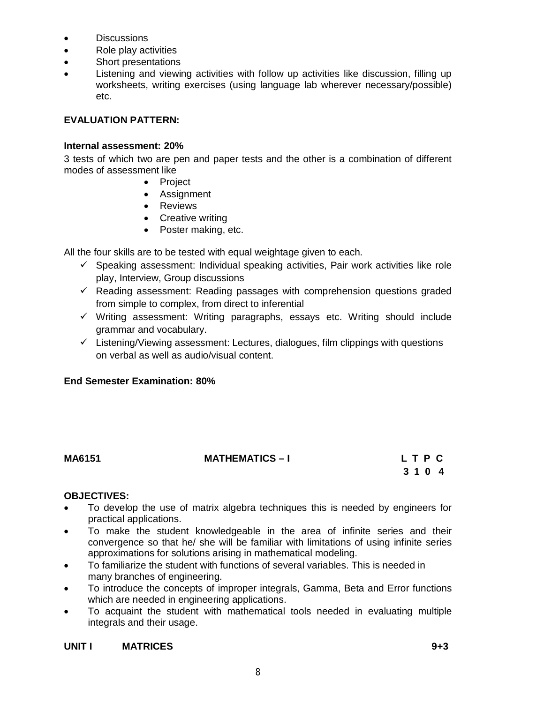- **•** Discussions
- Role play activities
- Short presentations
- Listening and viewing activities with follow up activities like discussion, filling up worksheets, writing exercises (using language lab wherever necessary/possible) etc.

#### **EVALUATION PATTERN:**

#### **Internal assessment: 20%**

3 tests of which two are pen and paper tests and the other is a combination of different modes of assessment like

- Project
- Assignment
- Reviews
- Creative writing
- Poster making, etc.

All the four skills are to be tested with equal weightage given to each.

- $\checkmark$  Speaking assessment: Individual speaking activities, Pair work activities like role play, Interview, Group discussions
- $\checkmark$  Reading assessment: Reading passages with comprehension questions graded from simple to complex, from direct to inferential
- $\checkmark$  Writing assessment: Writing paragraphs, essays etc. Writing should include grammar and vocabulary.
- $\checkmark$  Listening/Viewing assessment: Lectures, dialogues, film clippings with questions on verbal as well as audio/visual content.

### **End Semester Examination: 80%**

### **MA6151 MATHEMATICS – I L T P C**

# **3 1 0 4**

#### **OBJECTIVES:**

- To develop the use of matrix algebra techniques this is needed by engineers for practical applications.
- To make the student knowledgeable in the area of infinite series and their convergence so that he/ she will be familiar with limitations of using infinite series approximations for solutions arising in mathematical modeling.
- To familiarize the student with functions of several variables. This is needed in many branches of engineering.
- To introduce the concepts of improper integrals, Gamma, Beta and Error functions which are needed in engineering applications.
- To acquaint the student with mathematical tools needed in evaluating multiple integrals and their usage.

# **UNIT I MATRICES 9+3**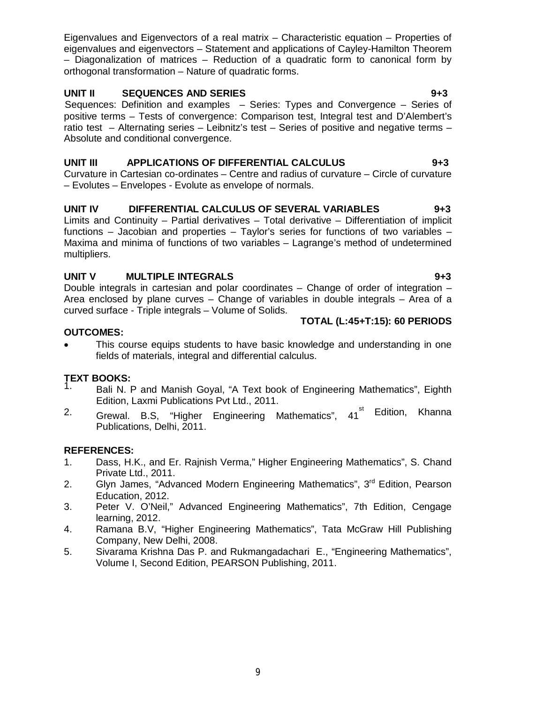Eigenvalues and Eigenvectors of a real matrix – Characteristic equation – Properties of eigenvalues and eigenvectors – Statement and applications of Cayley-Hamilton Theorem – Diagonalization of matrices – Reduction of a quadratic form to canonical form by orthogonal transformation – Nature of quadratic forms.

# **UNIT II SEQUENCES AND SERIES 9+3**

Sequences: Definition and examples – Series: Types and Convergence – Series of positive terms – Tests of convergence: Comparison test, Integral test and D'Alembert's ratio test – Alternating series – Leibnitz's test – Series of positive and negative terms – Absolute and conditional convergence.

# **UNIT III APPLICATIONS OF DIFFERENTIAL CALCULUS 9+3**

Curvature in Cartesian co-ordinates – Centre and radius of curvature – Circle of curvature – Evolutes – Envelopes - Evolute as envelope of normals.

# **UNIT IV DIFFERENTIAL CALCULUS OF SEVERAL VARIABLES 9+3**

Limits and Continuity – Partial derivatives – Total derivative – Differentiation of implicit functions – Jacobian and properties – Taylor's series for functions of two variables – Maxima and minima of functions of two variables – Lagrange's method of undetermined multipliers.

# **UNIT V MULTIPLE INTEGRALS** 9+3

Double integrals in cartesian and polar coordinates – Change of order of integration – Area enclosed by plane curves – Change of variables in double integrals – Area of a curved surface - Triple integrals – Volume of Solids.

### **TOTAL (L:45+T:15): 60 PERIODS**

### **OUTCOMES:**

 This course equips students to have basic knowledge and understanding in one fields of materials, integral and differential calculus.

# **TEXT BOOKS:**

- Bali N. P and Manish Goyal, "A Text book of Engineering Mathematics", Eighth Edition, Laxmi Publications Pvt Ltd., 2011.
- <sup>2.</sup> Grewal. B.S, "Higher Engineering Mathematics", 41<sup>st Edition, Khanna</sup> Publications, Delhi, 2011.

### **REFERENCES:**

- 1. Dass, H.K., and Er. Rajnish Verma," Higher Engineering Mathematics", S. Chand Private Ltd., 2011.
- 2. Glyn James, "Advanced Modern Engineering Mathematics", 3<sup>rd</sup> Edition, Pearson Education, 2012.
- 3. Peter V. O'Neil," Advanced Engineering Mathematics", 7th Edition, Cengage learning, 2012.
- 4. Ramana B.V, "Higher Engineering Mathematics", Tata McGraw Hill Publishing Company, New Delhi, 2008.
- 5. Sivarama Krishna Das P. and Rukmangadachari E., "Engineering Mathematics", Volume I, Second Edition, PEARSON Publishing, 2011.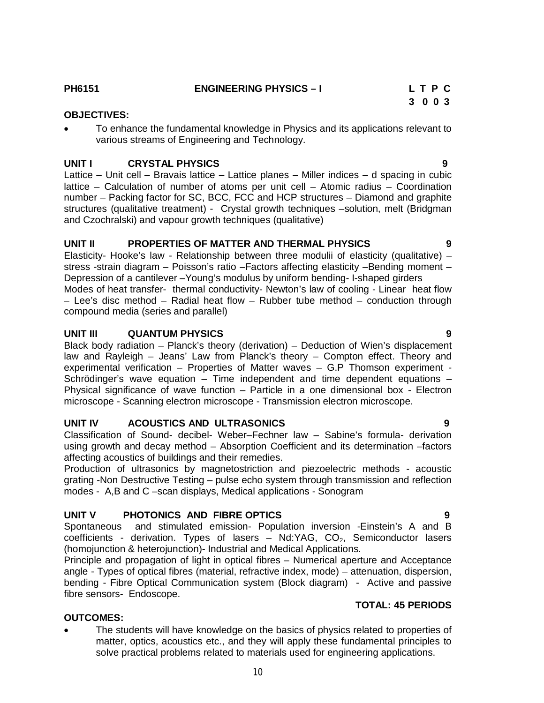**PH6151** ENGINEERING PHYSICS – I L T P C

### **3 0 0 3**

**OBJECTIVES:**

 To enhance the fundamental knowledge in Physics and its applications relevant to various streams of Engineering and Technology.

### **UNIT I CRYSTAL PHYSICS 9**

Lattice – Unit cell – Bravais lattice – Lattice planes – Miller indices – d spacing in cubic lattice – Calculation of number of atoms per unit cell – Atomic radius – Coordination number – Packing factor for SC, BCC, FCC and HCP structures – Diamond and graphite structures (qualitative treatment) - Crystal growth techniques –solution, melt (Bridgman and Czochralski) and vapour growth techniques (qualitative)

# **UNIT II PROPERTIES OF MATTER AND THERMAL PHYSICS 9**

Elasticity- Hooke's law - Relationship between three modulii of elasticity (qualitative) – stress -strain diagram – Poisson's ratio –Factors affecting elasticity –Bending moment – Depression of a cantilever –Young's modulus by uniform bending- I-shaped girders Modes of heat transfer- thermal conductivity- Newton's law of cooling - Linear heat flow – Lee's disc method – Radial heat flow – Rubber tube method – conduction through compound media (series and parallel)

# **UNIT III QUANTUM PHYSICS 9**

Black body radiation – Planck's theory (derivation) – Deduction of Wien's displacement law and Rayleigh – Jeans' Law from Planck's theory – Compton effect. Theory and experimental verification – Properties of Matter waves – G.P Thomson experiment - Schrödinger's wave equation – Time independent and time dependent equations – Physical significance of wave function – Particle in a one dimensional box - Electron microscope - Scanning electron microscope - Transmission electron microscope.

# **UNIT IV ACOUSTICS AND ULTRASONICS 9**

Classification of Sound- decibel- Weber–Fechner law – Sabine's formula- derivation using growth and decay method – Absorption Coefficient and its determination –factors affecting acoustics of buildings and their remedies.

Production of ultrasonics by magnetostriction and piezoelectric methods - acoustic grating -Non Destructive Testing – pulse echo system through transmission and reflection modes - A,B and C –scan displays, Medical applications - Sonogram

# **UNIT V PHOTONICS AND FIBRE OPTICS 9**

Spontaneous and stimulated emission- Population inversion -Einstein's A and B coefficients - derivation. Types of lasers – Nd:YAG,  $CO<sub>2</sub>$ , Semiconductor lasers (homojunction & heterojunction)- Industrial and Medical Applications.

Principle and propagation of light in optical fibres – Numerical aperture and Acceptance angle - Types of optical fibres (material, refractive index, mode) – attenuation, dispersion, bending - Fibre Optical Communication system (Block diagram) - Active and passive fibre sensors- Endoscope.

# **TOTAL: 45 PERIODS**

# **OUTCOMES:**

 The students will have knowledge on the basics of physics related to properties of matter, optics, acoustics etc., and they will apply these fundamental principles to solve practical problems related to materials used for engineering applications.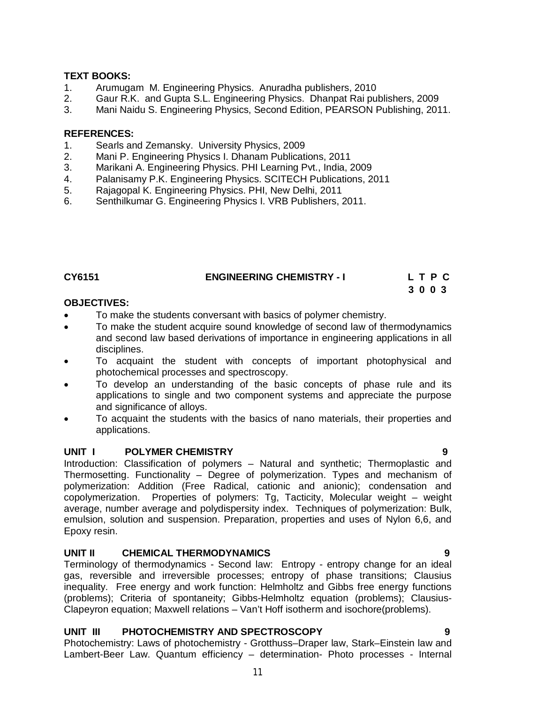#### **TEXT BOOKS:**

- 1. Arumugam M. Engineering Physics. Anuradha publishers, 2010
- 2. Gaur R.K. and Gupta S.L. Engineering Physics. Dhanpat Rai publishers, 2009
- 3. Mani Naidu S. Engineering Physics, Second Edition, PEARSON Publishing, 2011.

#### **REFERENCES:**

- 1. Searls and Zemansky. University Physics, 2009
- 2. Mani P. Engineering Physics I. Dhanam Publications, 2011
- 3. Marikani A. Engineering Physics. PHI Learning Pvt., India, 2009
- 4. Palanisamy P.K. Engineering Physics. SCITECH Publications, 2011
- 5. Rajagopal K. Engineering Physics. PHI, New Delhi, 2011
- 6. Senthilkumar G. Engineering Physics I. VRB Publishers, 2011.

# **CY6151 ENGINEERING CHEMISTRY - I L T P C**

# **3 0 0 3**

#### **OBJECTIVES:**

- To make the students conversant with basics of polymer chemistry.
- To make the student acquire sound knowledge of second law of thermodynamics and second law based derivations of importance in engineering applications in all disciplines.
- To acquaint the student with concepts of important photophysical and photochemical processes and spectroscopy.
- To develop an understanding of the basic concepts of phase rule and its applications to single and two component systems and appreciate the purpose and significance of alloys.
- To acquaint the students with the basics of nano materials, their properties and applications.

### **UNIT I** POLYMER CHEMISTRY **19 1 1 1 1 9 9**

Introduction: Classification of polymers – Natural and synthetic; Thermoplastic and Thermosetting. Functionality – Degree of polymerization. Types and mechanism of polymerization: Addition (Free Radical, cationic and anionic); condensation and copolymerization. Properties of polymers: Tg, Tacticity, Molecular weight – weight average, number average and polydispersity index. Techniques of polymerization: Bulk, emulsion, solution and suspension. Preparation, properties and uses of Nylon 6,6, and Epoxy resin.

### **UNIT II CHEMICAL THERMODYNAMICS 9**

Terminology of thermodynamics - Second law: Entropy - entropy change for an ideal gas, reversible and irreversible processes; entropy of phase transitions; Clausius inequality. Free energy and work function: Helmholtz and Gibbs free energy functions (problems); Criteria of spontaneity; Gibbs-Helmholtz equation (problems); Clausius-Clapeyron equation; Maxwell relations – Van't Hoff isotherm and isochore(problems).

### **UNIT III PHOTOCHEMISTRY AND SPECTROSCOPY 9**

Photochemistry: Laws of photochemistry - Grotthuss–Draper law, Stark–Einstein law and Lambert-Beer Law. Quantum efficiency – determination- Photo processes - Internal

11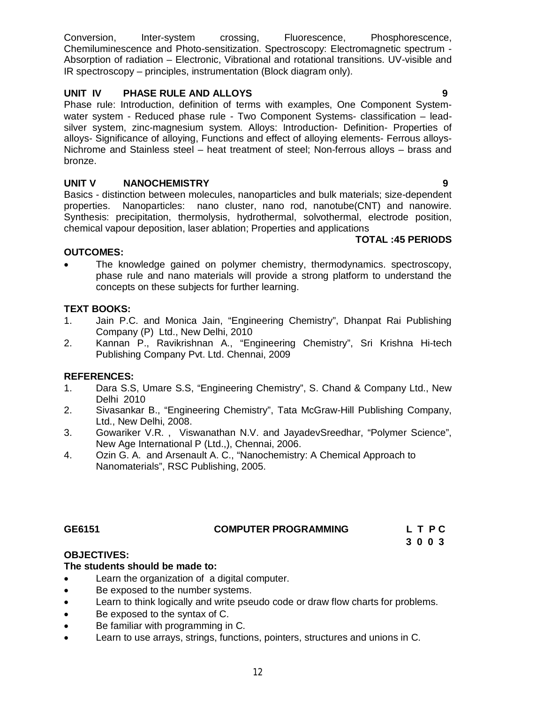Conversion, Inter-system crossing, Fluorescence, Phosphorescence, Chemiluminescence and Photo-sensitization. Spectroscopy: Electromagnetic spectrum - Absorption of radiation – Electronic, Vibrational and rotational transitions. UV-visible and IR spectroscopy – principles, instrumentation (Block diagram only).

# **UNIT IV PHASE RULE AND ALLOYS 9**

Phase rule: Introduction, definition of terms with examples, One Component Systemwater system - Reduced phase rule - Two Component Systems- classification – leadsilver system, zinc-magnesium system. Alloys: Introduction- Definition- Properties of alloys- Significance of alloying, Functions and effect of alloying elements- Ferrous alloys-Nichrome and Stainless steel – heat treatment of steel; Non-ferrous alloys – brass and bronze.

# **UNIT V NANOCHEMISTRY 9**

Basics - distinction between molecules, nanoparticles and bulk materials; size-dependent properties. Nanoparticles: nano cluster, nano rod, nanotube(CNT) and nanowire. Synthesis: precipitation, thermolysis, hydrothermal, solvothermal, electrode position, chemical vapour deposition, laser ablation; Properties and applications

# **TOTAL :45 PERIODS**

# **OUTCOMES:**

 The knowledge gained on polymer chemistry, thermodynamics. spectroscopy, phase rule and nano materials will provide a strong platform to understand the concepts on these subjects for further learning.

# **TEXT BOOKS:**

- 1. Jain P.C. and Monica Jain, "Engineering Chemistry", Dhanpat Rai Publishing Company (P) Ltd., New Delhi, 2010
- 2. Kannan P., Ravikrishnan A., "Engineering Chemistry", Sri Krishna Hi-tech Publishing Company Pvt. Ltd. Chennai, 2009

# **REFERENCES:**

- 1. Dara S.S, Umare S.S, "Engineering Chemistry", S. Chand & Company Ltd., New Delhi 2010
- 2. Sivasankar B., "Engineering Chemistry", Tata McGraw-Hill Publishing Company, Ltd., New Delhi, 2008.
- 3. Gowariker V.R. , Viswanathan N.V. and JayadevSreedhar, "Polymer Science", New Age International P (Ltd.,), Chennai, 2006.
- 4. Ozin G. A. and Arsenault A. C., "Nanochemistry: A Chemical Approach to Nanomaterials", RSC Publishing, 2005.

### **GE6151 COMPUTER PROGRAMMING L T P C**

 **3 0 0 3** 

# **OBJECTIVES:**

# **The students should be made to:**

- Learn the organization of a digital computer.
- Be exposed to the number systems.
- **Example 20** Learn to think logically and write pseudo code or draw flow charts for problems.
- Be exposed to the syntax of C.
- Be familiar with programming in C.
- Learn to use arrays, strings, functions, pointers, structures and unions in C.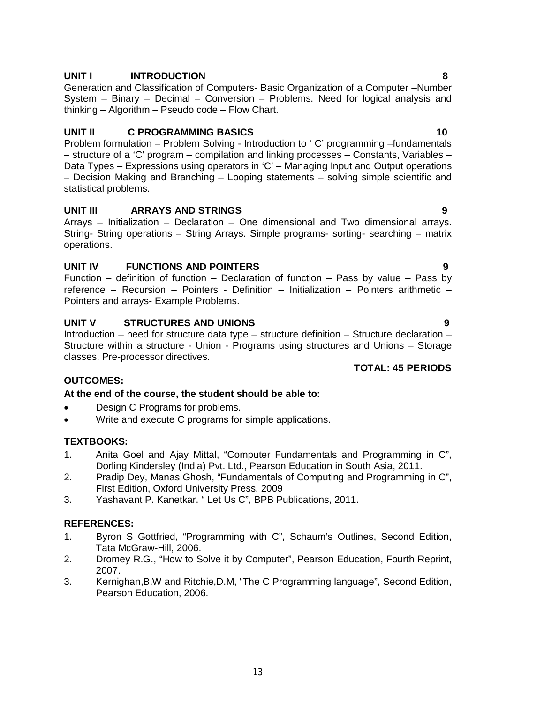# **UNIT I INTRODUCTION 8**

Generation and Classification of Computers- Basic Organization of a Computer –Number System – Binary – Decimal – Conversion – Problems. Need for logical analysis and thinking – Algorithm – Pseudo code – Flow Chart.

### **UNIT II C PROGRAMMING BASICS** 10

Problem formulation – Problem Solving - Introduction to ' C' programming –fundamentals – structure of a 'C' program – compilation and linking processes – Constants, Variables – Data Types – Expressions using operators in 'C' – Managing Input and Output operations – Decision Making and Branching – Looping statements – solving simple scientific and statistical problems.

### **UNIT III ARRAYS AND STRINGS 9**

Arrays – Initialization – Declaration – One dimensional and Two dimensional arrays. String- String operations – String Arrays. Simple programs- sorting- searching – matrix operations.

# **UNIT IV FUNCTIONS AND POINTERS 9**

Function – definition of function – Declaration of function – Pass by value – Pass by reference – Recursion – Pointers - Definition – Initialization – Pointers arithmetic – Pointers and arrays- Example Problems.

# **UNIT V STRUCTURES AND UNIONS 9**

Introduction – need for structure data type – structure definition – Structure declaration – Structure within a structure - Union - Programs using structures and Unions – Storage classes, Pre-processor directives.

# **TOTAL: 45 PERIODS**

# **OUTCOMES:**

### **At the end of the course, the student should be able to:**

- Design C Programs for problems.
- Write and execute C programs for simple applications.

### **TEXTBOOKS:**

- 1. Anita Goel and Ajay Mittal, "Computer Fundamentals and Programming in C", Dorling Kindersley (India) Pvt. Ltd., Pearson Education in South Asia, 2011.
- 2. Pradip Dey, Manas Ghosh, "Fundamentals of Computing and Programming in C", First Edition, Oxford University Press, 2009
- 3. Yashavant P. Kanetkar. " Let Us C", BPB Publications, 2011.

### **REFERENCES:**

- 1. Byron S Gottfried, "Programming with C", Schaum's Outlines, Second Edition, Tata McGraw-Hill, 2006.
- 2. Dromey R.G., "How to Solve it by Computer", Pearson Education, Fourth Reprint, 2007.
- 3. Kernighan,B.W and Ritchie,D.M, "The C Programming language", Second Edition, Pearson Education, 2006.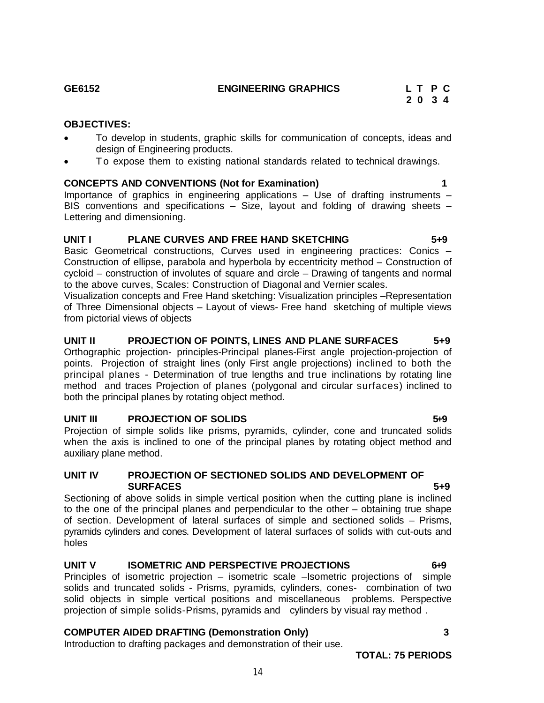#### **OBJECTIVES:**

- To develop in students, graphic skills for communication of concepts, ideas and design of Engineering products.
- To expose them to existing national standards related to technical drawings.

#### **CONCEPTS AND CONVENTIONS (Not for Examination) 1**

Importance of graphics in engineering applications – Use of drafting instruments – BIS conventions and specifications – Size, layout and folding of drawing sheets – Lettering and dimensioning.

#### **UNIT I PLANE CURVES AND FREE HAND SKETCHING 5+9**

Basic Geometrical constructions, Curves used in engineering practices: Conics – Construction of ellipse, parabola and hyperbola by eccentricity method – Construction of cycloid – construction of involutes of square and circle – Drawing of tangents and normal to the above curves, Scales: Construction of Diagonal and Vernier scales.

Visualization concepts and Free Hand sketching: Visualization principles –Representation of Three Dimensional objects – Layout of views- Free hand sketching of multiple views from pictorial views of objects

#### **UNIT II PROJECTION OF POINTS, LINES AND PLANE SURFACES 5+9**

Orthographic projection- principles-Principal planes-First angle projection-projection of points. Projection of straight lines (only First angle projections) inclined to both the principal planes - Determination of true lengths and true inclinations by rotating line method and traces Projection of planes (polygonal and circular surfaces) inclined to both the principal planes by rotating object method.

#### **UNIT III** PROJECTION OF SOLIDS 519

Projection of simple solids like prisms, pyramids, cylinder, cone and truncated solids when the axis is inclined to one of the principal planes by rotating object method and auxiliary plane method.

#### **UNIT IV PROJECTION OF SECTIONED SOLIDS AND DEVELOPMENT OF SURFACES** 5+9

Sectioning of above solids in simple vertical position when the cutting plane is inclined to the one of the principal planes and perpendicular to the other – obtaining true shape of section. Development of lateral surfaces of simple and sectioned solids – Prisms, pyramids cylinders and cones. Development of lateral surfaces of solids with cut-outs and holes

#### **UNIT V ISOMETRIC AND PERSPECTIVE PROJECTIONS** 6+9

Principles of isometric projection – isometric scale –Isometric projections of simple solids and truncated solids - Prisms, pyramids, cylinders, cones- combination of two solid objects in simple vertical positions and miscellaneous problems. Perspective projection of simple solids-Prisms, pyramids and cylinders by visual ray method .

### **COMPUTER AIDED DRAFTING (Demonstration Only) 3**

Introduction to drafting packages and demonstration of their use.

 **2 0 3 4**

**TOTAL: 75 PERIODS**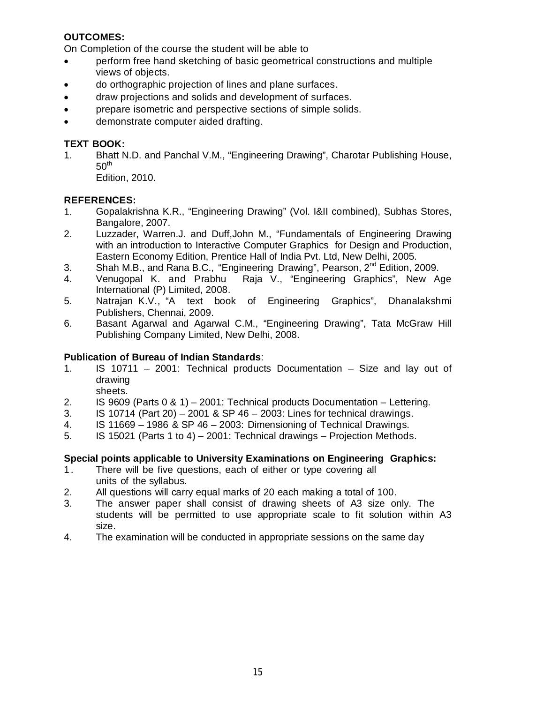# **OUTCOMES:**

On Completion of the course the student will be able to

- perform free hand sketching of basic geometrical constructions and multiple views of objects.
- do orthographic projection of lines and plane surfaces.
- draw projections and solids and development of surfaces.
- prepare isometric and perspective sections of simple solids.
- demonstrate computer aided drafting.

# **TEXT BOOK:**

1. Bhatt N.D. and Panchal V.M., "Engineering Drawing", Charotar Publishing House,  $50<sup>th</sup>$ 

Edition, 2010.

# **REFERENCES:**

- 1. Gopalakrishna K.R., "Engineering Drawing" (Vol. I&II combined), Subhas Stores, Bangalore, 2007.
- 2. Luzzader, Warren.J. and Duff,John M., "Fundamentals of Engineering Drawing with an introduction to Interactive Computer Graphics for Design and Production, Eastern Economy Edition, Prentice Hall of India Pvt. Ltd, New Delhi, 2005.
- 3. Shah M.B., and Rana B.C., "Engineering Drawing", Pearson, 2<sup>nd</sup> Edition, 2009.
- 4. Venugopal K. and Prabhu Raja V., "Engineering Graphics", New Age International (P) Limited, 2008.
- 5. Natrajan K.V., "A text book of Engineering Graphics", Dhanalakshmi Publishers, Chennai, 2009.
- 6. Basant Agarwal and Agarwal C.M., "Engineering Drawing", Tata McGraw Hill Publishing Company Limited, New Delhi, 2008.

### **Publication of Bureau of Indian Standards**:

- 1. IS 10711 2001: Technical products Documentation Size and lay out of drawing sheets.
- 2. IS 9609 (Parts 0 & 1) 2001: Technical products Documentation Lettering.
- 3. IS 10714 (Part 20) 2001 & SP 46 2003: Lines for technical drawings.
- 4. IS 11669 1986 & SP 46 2003: Dimensioning of Technical Drawings.
- 5. IS 15021 (Parts 1 to 4) 2001: Technical drawings Projection Methods.

### **Special points applicable to University Examinations on Engineering Graphics:**

- 1. There will be five questions, each of either or type covering all units of the syllabus.
- 2. All questions will carry equal marks of 20 each making a total of 100.
- 3. The answer paper shall consist of drawing sheets of A3 size only. The students will be permitted to use appropriate scale to fit solution within A3 size.
- 4. The examination will be conducted in appropriate sessions on the same day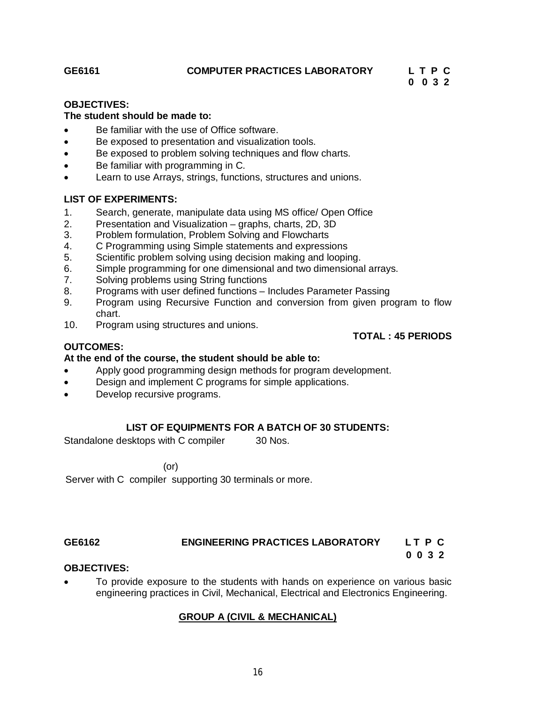### **GE6161 COMPUTER PRACTICES LABORATORY L T P C**

# **0 0 3 2**

#### **OBJECTIVES:**

#### **The student should be made to:**

- Be familiar with the use of Office software.
- Be exposed to presentation and visualization tools.
- Be exposed to problem solving techniques and flow charts.
- Be familiar with programming in C.
- Learn to use Arrays, strings, functions, structures and unions.

### **LIST OF EXPERIMENTS:**

- 1. Search, generate, manipulate data using MS office/ Open Office
- 2. Presentation and Visualization graphs, charts, 2D, 3D
- 3. Problem formulation, Problem Solving and Flowcharts
- 4. C Programming using Simple statements and expressions
- 5. Scientific problem solving using decision making and looping.
- 6. Simple programming for one dimensional and two dimensional arrays.
- 7. Solving problems using String functions
- 8. Programs with user defined functions Includes Parameter Passing
- 9. Program using Recursive Function and conversion from given program to flow chart.
- 10. Program using structures and unions.

#### **TOTAL : 45 PERIODS**

# **OUTCOMES:**

### **At the end of the course, the student should be able to:**

- Apply good programming design methods for program development.
- **•** Design and implement C programs for simple applications.
- Develop recursive programs.

### **LIST OF EQUIPMENTS FOR A BATCH OF 30 STUDENTS:**

Standalone desktops with C compiler 30 Nos.

#### (or)

Server with C compiler supporting 30 terminals or more.

# **GE6162 ENGINEERING PRACTICES LABORATORY L T P C**

#### **0 0 3 2 OBJECTIVES:**

 To provide exposure to the students with hands on experience on various basic engineering practices in Civil, Mechanical, Electrical and Electronics Engineering.

### **GROUP A (CIVIL & MECHANICAL)**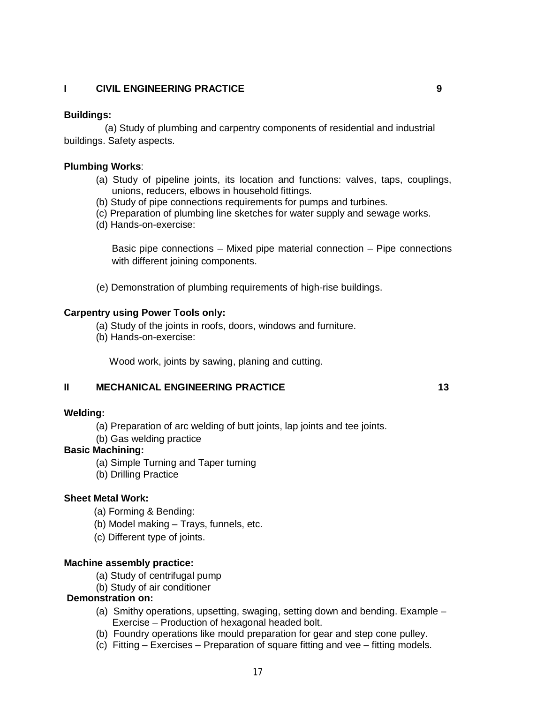### **I CIVIL ENGINEERING PRACTICE 9**

#### **Buildings:**

 (a) Study of plumbing and carpentry components of residential and industrial buildings. Safety aspects.

#### **Plumbing Works**:

- (a) Study of pipeline joints, its location and functions: valves, taps, couplings, unions, reducers, elbows in household fittings.
- (b) Study of pipe connections requirements for pumps and turbines.
- (c) Preparation of plumbing line sketches for water supply and sewage works.
- (d) Hands-on-exercise:

Basic pipe connections – Mixed pipe material connection – Pipe connections with different joining components.

(e) Demonstration of plumbing requirements of high-rise buildings.

#### **Carpentry using Power Tools only:**

- (a) Study of the joints in roofs, doors, windows and furniture.
- (b) Hands-on-exercise:

Wood work, joints by sawing, planing and cutting.

### **II MECHANICAL ENGINEERING PRACTICE 13**

#### **Welding:**

- (a) Preparation of arc welding of butt joints, lap joints and tee joints.
- (b) Gas welding practice

# **Basic Machining:**

- (a) Simple Turning and Taper turning
- (b) Drilling Practice

#### **Sheet Metal Work:**

- (a) Forming & Bending:
- (b) Model making Trays, funnels, etc.
- (c) Different type of joints.

#### **Machine assembly practice:**

- (a) Study of centrifugal pump
- (b) Study of air conditioner

#### **Demonstration on:**

- (a) Smithy operations, upsetting, swaging, setting down and bending. Example Exercise – Production of hexagonal headed bolt.
- (b) Foundry operations like mould preparation for gear and step cone pulley.
- (c) Fitting Exercises Preparation of square fitting and vee fitting models.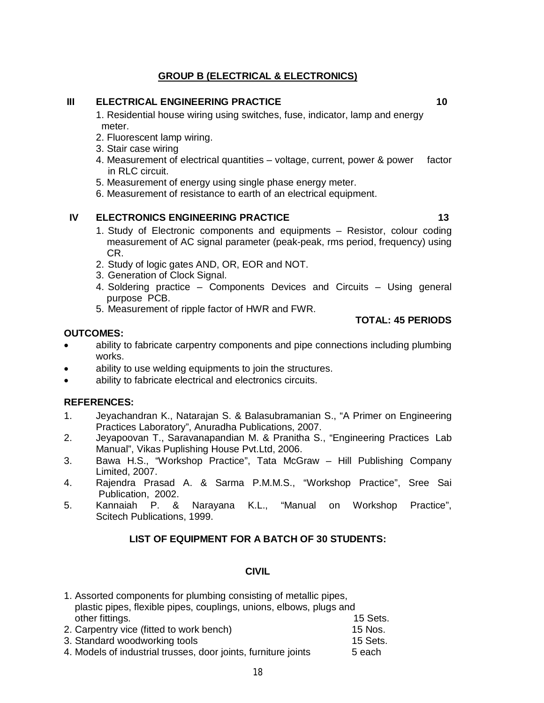# **GROUP B (ELECTRICAL & ELECTRONICS)**

### **III ELECTRICAL ENGINEERING PRACTICE 10**

1. Residential house wiring using switches, fuse, indicator, lamp and energy meter.

- 2. Fluorescent lamp wiring.
- 3. Stair case wiring
- 4. Measurement of electrical quantities voltage, current, power & power factor in RLC circuit.
- 5. Measurement of energy using single phase energy meter.
- 6. Measurement of resistance to earth of an electrical equipment.

# **IV ELECTRONICS ENGINEERING PRACTICE 13 13**

- 1. Study of Electronic components and equipments Resistor, colour coding measurement of AC signal parameter (peak-peak, rms period, frequency) using CR.
- 2. Study of logic gates AND, OR, EOR and NOT.
- 3. Generation of Clock Signal.
- 4. Soldering practice Components Devices and Circuits Using general purpose PCB.
- 5. Measurement of ripple factor of HWR and FWR.

#### **OUTCOMES:**

- ability to fabricate carpentry components and pipe connections including plumbing works.
- ability to use welding equipments to join the structures.
- ability to fabricate electrical and electronics circuits.

### **REFERENCES:**

- 1. Jeyachandran K., Natarajan S. & Balasubramanian S., "A Primer on Engineering Practices Laboratory", Anuradha Publications, 2007.
- 2. Jeyapoovan T., Saravanapandian M. & Pranitha S., "Engineering Practices Lab Manual", Vikas Puplishing House Pvt.Ltd, 2006.
- 3. Bawa H.S., "Workshop Practice", Tata McGraw Hill Publishing Company Limited, 2007.
- 4. Rajendra Prasad A. & Sarma P.M.M.S., "Workshop Practice", Sree Sai Publication, 2002.
- 5. Kannaiah P. & Narayana K.L., "Manual on Workshop Practice", Scitech Publications, 1999.

### **LIST OF EQUIPMENT FOR A BATCH OF 30 STUDENTS:**

#### **CIVIL**

| 1. Assorted components for plumbing consisting of metallic pipes,   |          |
|---------------------------------------------------------------------|----------|
| plastic pipes, flexible pipes, couplings, unions, elbows, plugs and |          |
| other fittings.                                                     | 15 Sets. |
| 2. Carpentry vice (fitted to work bench)                            | 15 Nos.  |
| 3. Standard woodworking tools                                       | 15 Sets. |
|                                                                     |          |

4. Models of industrial trusses, door joints, furniture joints 5 each

**TOTAL: 45 PERIODS**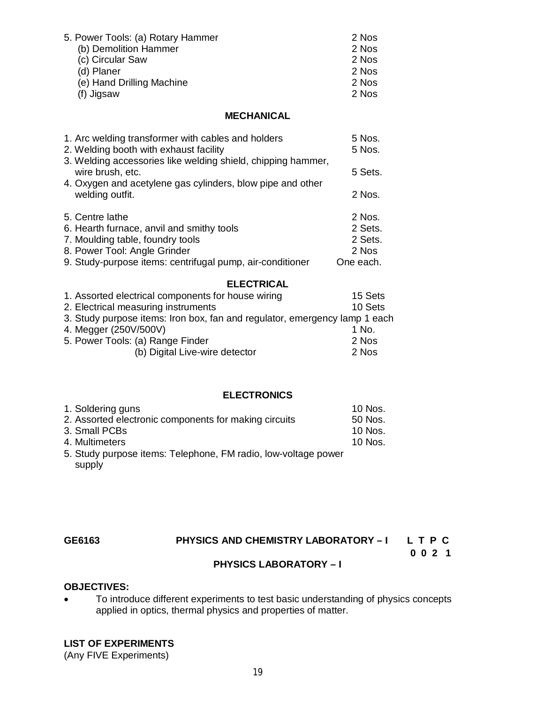| 5. Power Tools: (a) Rotary Hammer | 2 Nos |
|-----------------------------------|-------|
|                                   |       |
| (b) Demolition Hammer             | 2 Nos |
| (c) Circular Saw                  | 2 Nos |
| (d) Planer                        | 2 Nos |
| (e) Hand Drilling Machine         | 2 Nos |
| (f) Jigsaw                        | 2 Nos |

#### **MECHANICAL**

| 1. Arc welding transformer with cables and holders<br>2. Welding booth with exhaust facility | 5 Nos.<br>5 Nos. |
|----------------------------------------------------------------------------------------------|------------------|
| 3. Welding accessories like welding shield, chipping hammer,<br>wire brush, etc.             | 5 Sets.          |
| 4. Oxygen and acetylene gas cylinders, blow pipe and other<br>welding outfit.                | 2 Nos.           |
| 5. Centre lathe                                                                              | 2 Nos.           |
| 6. Hearth furnace, anvil and smithy tools                                                    | 2 Sets.          |
| 7. Moulding table, foundry tools                                                             | 2 Sets.          |
| 8. Power Tool: Angle Grinder                                                                 | 2 Nos            |
| 9. Study-purpose items: centrifugal pump, air-conditioner                                    | One each.        |

# **ELECTRICAL**

| 1. Assorted electrical components for house wiring                         | 15 Sets |
|----------------------------------------------------------------------------|---------|
| 2. Electrical measuring instruments                                        | 10 Sets |
| 3. Study purpose items: Iron box, fan and regulator, emergency lamp 1 each |         |
| 4. Megger (250V/500V)                                                      | 1 No.   |
| 5. Power Tools: (a) Range Finder                                           | 2 Nos   |
| (b) Digital Live-wire detector                                             | 2 Nos   |

#### **ELECTRONICS**

| 1. Soldering guns                                     | 10 Nos. |
|-------------------------------------------------------|---------|
| 2. Assorted electronic components for making circuits | 50 Nos. |
| 3. Small PCBs                                         | 10 Nos. |
| 4. Multimeters                                        | 10 Nos. |
|                                                       |         |

5. Study purpose items: Telephone, FM radio, low-voltage power supply

#### **GE6163 PHYSICS AND CHEMISTRY LABORATORY – I L T P C**

 **0 0 2 1**

#### **PHYSICS LABORATORY – I**

#### **OBJECTIVES:**

 To introduce different experiments to test basic understanding of physics concepts applied in optics, thermal physics and properties of matter.

#### **LIST OF EXPERIMENTS**

(Any FIVE Experiments)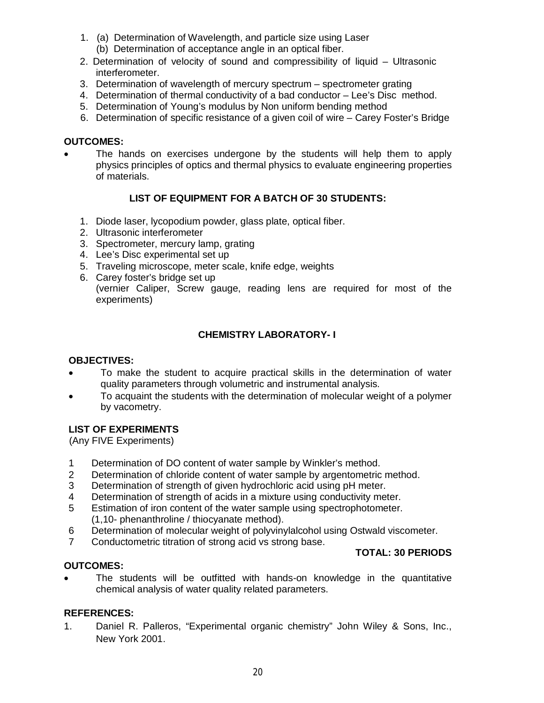- 1. (a) Determination of Wavelength, and particle size using Laser
	- (b) Determination of acceptance angle in an optical fiber.
- 2. Determination of velocity of sound and compressibility of liquid Ultrasonic interferometer.
- 3. Determination of wavelength of mercury spectrum spectrometer grating
- 4. Determination of thermal conductivity of a bad conductor Lee's Disc method.
- 5. Determination of Young's modulus by Non uniform bending method
- 6. Determination of specific resistance of a given coil of wire Carey Foster's Bridge

# **OUTCOMES:**

 The hands on exercises undergone by the students will help them to apply physics principles of optics and thermal physics to evaluate engineering properties of materials.

# **LIST OF EQUIPMENT FOR A BATCH OF 30 STUDENTS:**

- 1. Diode laser, lycopodium powder, glass plate, optical fiber.
- 2. Ultrasonic interferometer
- 3. Spectrometer, mercury lamp, grating
- 4. Lee's Disc experimental set up
- 5. Traveling microscope, meter scale, knife edge, weights
- 6. Carey foster's bridge set up (vernier Caliper, Screw gauge, reading lens are required for most of the experiments)

# **CHEMISTRY LABORATORY- I**

### **OBJECTIVES:**

- To make the student to acquire practical skills in the determination of water quality parameters through volumetric and instrumental analysis.
- To acquaint the students with the determination of molecular weight of a polymer by vacometry.

### **LIST OF EXPERIMENTS**

(Any FIVE Experiments)

- 1 Determination of DO content of water sample by Winkler's method.<br>2 Determination of chloride content of water sample by argentometric
- Determination of chloride content of water sample by argentometric method.
- 3 Determination of strength of given hydrochloric acid using pH meter.
- 4 Determination of strength of acids in a mixture using conductivity meter.
- 5 Estimation of iron content of the water sample using spectrophotometer. (1,10- phenanthroline / thiocyanate method).
- 6 Determination of molecular weight of polyvinylalcohol using Ostwald viscometer.
- 7 Conductometric titration of strong acid vs strong base.

# **TOTAL: 30 PERIODS**

### **OUTCOMES:**

 The students will be outfitted with hands-on knowledge in the quantitative chemical analysis of water quality related parameters.

### **REFERENCES:**

1. Daniel R. Palleros, "Experimental organic chemistry" John Wiley & Sons, Inc., New York 2001.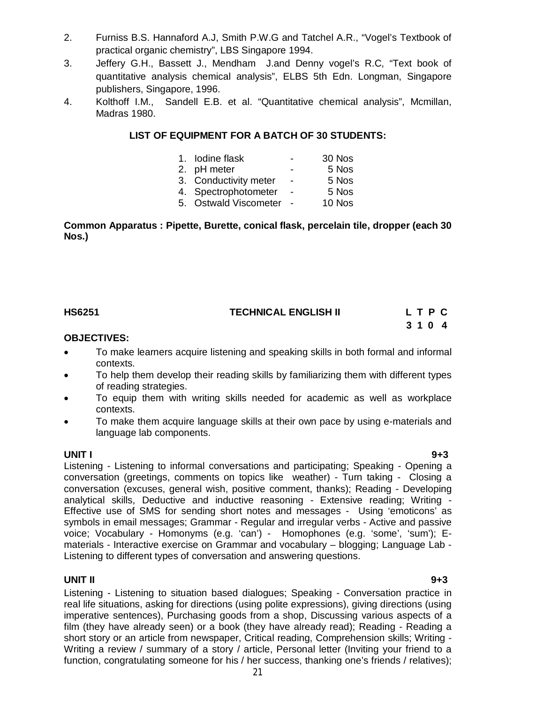- 2. Furniss B.S. Hannaford A.J, Smith P.W.G and Tatchel A.R., "Vogel's Textbook of practical organic chemistry", LBS Singapore 1994.
- 3. Jeffery G.H., Bassett J., Mendham J.and Denny vogel's R.C, "Text book of quantitative analysis chemical analysis", ELBS 5th Edn. Longman, Singapore publishers, Singapore, 1996.
- 4. Kolthoff I.M., Sandell E.B. et al. "Quantitative chemical analysis", Mcmillan, Madras 1980.

### **LIST OF EQUIPMENT FOR A BATCH OF 30 STUDENTS:**

| 1. Iodine flask       |                | 30 Nos |
|-----------------------|----------------|--------|
| 2. pH meter           |                | 5 Nos  |
| 3. Conductivity meter | $\blacksquare$ | 5 Nos  |
| 4. Spectrophotometer  |                | 5 Nos  |
| 5. Ostwald Viscometer |                | 10 Nos |
|                       |                |        |

#### **Common Apparatus : Pipette, Burette, conical flask, percelain tile, dropper (each 30 Nos.)**

| <b>HS6251</b> | <b>TECHNICAL ENGLISH II</b> | LTPC |  |  |
|---------------|-----------------------------|------|--|--|
|               |                             | 3104 |  |  |

#### **OBJECTIVES:**

- To make learners acquire listening and speaking skills in both formal and informal contexts.
- To help them develop their reading skills by familiarizing them with different types of reading strategies.
- To equip them with writing skills needed for academic as well as workplace contexts.
- To make them acquire language skills at their own pace by using e-materials and language lab components.

**UNIT I 9+3** Listening - Listening to informal conversations and participating; Speaking - Opening a conversation (greetings, comments on topics like weather) - Turn taking - Closing a conversation (excuses, general wish, positive comment, thanks); Reading - Developing analytical skills, Deductive and inductive reasoning - Extensive reading; Writing - Effective use of SMS for sending short notes and messages - Using 'emoticons' as symbols in email messages; Grammar - Regular and irregular verbs - Active and passive voice; Vocabulary - Homonyms (e.g. 'can') - Homophones (e.g. 'some', 'sum'); Ematerials - Interactive exercise on Grammar and vocabulary – blogging; Language Lab - Listening to different types of conversation and answering questions.

#### **UNIT II 9+3**

Listening - Listening to situation based dialogues; Speaking - Conversation practice in real life situations, asking for directions (using polite expressions), giving directions (using imperative sentences), Purchasing goods from a shop, Discussing various aspects of a film (they have already seen) or a book (they have already read); Reading - Reading a short story or an article from newspaper, Critical reading, Comprehension skills; Writing - Writing a review / summary of a story / article, Personal letter (Inviting your friend to a function, congratulating someone for his / her success, thanking one's friends / relatives);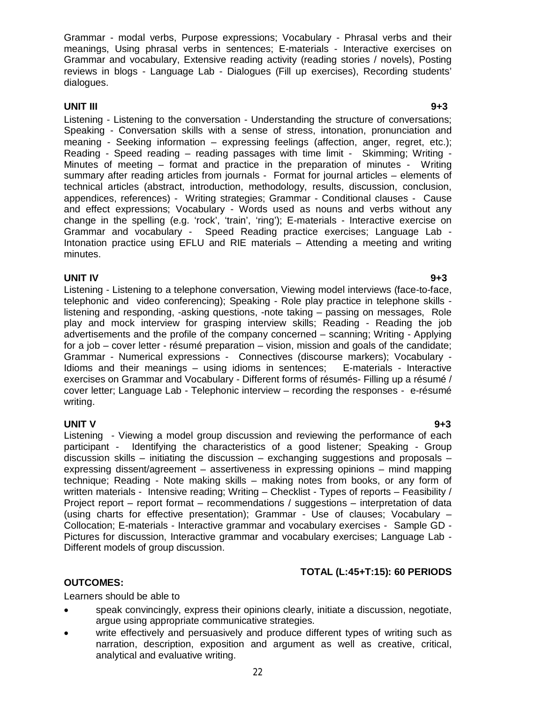Grammar - modal verbs, Purpose expressions; Vocabulary - Phrasal verbs and their meanings, Using phrasal verbs in sentences; E-materials - Interactive exercises on Grammar and vocabulary, Extensive reading activity (reading stories / novels), Posting reviews in blogs - Language Lab - Dialogues (Fill up exercises), Recording students' dialogues.

#### **UNIT III 9+3**

Listening - Listening to the conversation - Understanding the structure of conversations; Speaking - Conversation skills with a sense of stress, intonation, pronunciation and meaning - Seeking information – expressing feelings (affection, anger, regret, etc.); Reading - Speed reading – reading passages with time limit - Skimming; Writing - Minutes of meeting – format and practice in the preparation of minutes - Writing summary after reading articles from journals - Format for journal articles – elements of technical articles (abstract, introduction, methodology, results, discussion, conclusion, appendices, references) - Writing strategies; Grammar - Conditional clauses - Cause and effect expressions; Vocabulary - Words used as nouns and verbs without any change in the spelling (e.g. 'rock', 'train', 'ring'); E-materials - Interactive exercise on Grammar and vocabulary - Speed Reading practice exercises; Language Lab - Intonation practice using EFLU and RIE materials – Attending a meeting and writing minutes.

#### **UNIT IV 9+3**

Listening - Listening to a telephone conversation, Viewing model interviews (face-to-face, telephonic and video conferencing); Speaking - Role play practice in telephone skills listening and responding, -asking questions, -note taking – passing on messages, Role play and mock interview for grasping interview skills; Reading - Reading the job advertisements and the profile of the company concerned – scanning; Writing - Applying for a job – cover letter - résumé preparation – vision, mission and goals of the candidate; Grammar - Numerical expressions - Connectives (discourse markers); Vocabulary - Idioms and their meanings – using idioms in sentences; E-materials - Interactive exercises on Grammar and Vocabulary - Different forms of résumés- Filling up a résumé / cover letter; Language Lab - Telephonic interview – recording the responses - e-résumé writing.

**UNIT V 9+3** Listening - Viewing a model group discussion and reviewing the performance of each participant - Identifying the characteristics of a good listener; Speaking - Group discussion skills – initiating the discussion – exchanging suggestions and proposals – expressing dissent/agreement – assertiveness in expressing opinions – mind mapping technique; Reading - Note making skills – making notes from books, or any form of written materials - Intensive reading; Writing – Checklist - Types of reports – Feasibility / Project report – report format – recommendations / suggestions – interpretation of data (using charts for effective presentation); Grammar - Use of clauses; Vocabulary – Collocation; E-materials - Interactive grammar and vocabulary exercises - Sample GD - Pictures for discussion, Interactive grammar and vocabulary exercises; Language Lab - Different models of group discussion.

### **TOTAL (L:45+T:15): 60 PERIODS**

### **OUTCOMES:**

Learners should be able to

- speak convincingly, express their opinions clearly, initiate a discussion, negotiate, argue using appropriate communicative strategies.
- write effectively and persuasively and produce different types of writing such as narration, description, exposition and argument as well as creative, critical, analytical and evaluative writing.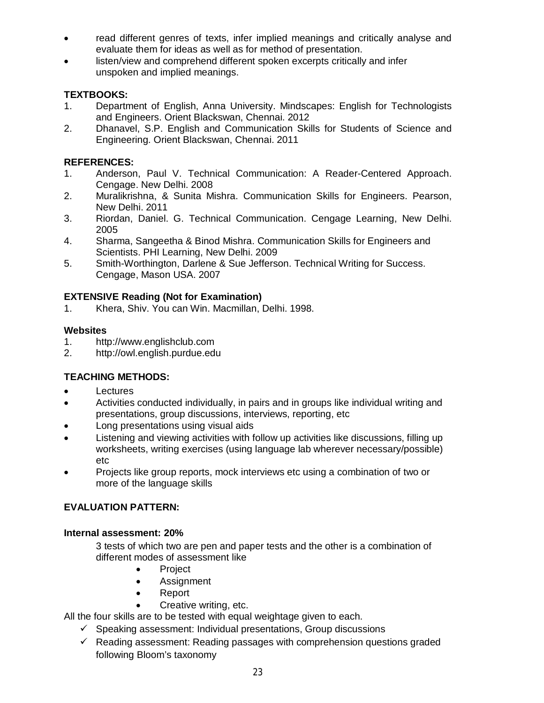- read different genres of texts, infer implied meanings and critically analyse and evaluate them for ideas as well as for method of presentation.
- listen/view and comprehend different spoken excerpts critically and infer unspoken and implied meanings.

# **TEXTBOOKS:**

- 1. Department of English, Anna University. Mindscapes: English for Technologists and Engineers. Orient Blackswan, Chennai. 2012
- 2. Dhanavel, S.P. English and Communication Skills for Students of Science and Engineering. Orient Blackswan, Chennai. 2011

# **REFERENCES:**

- 1. Anderson, Paul V. Technical Communication: A Reader-Centered Approach. Cengage. New Delhi. 2008
- 2. Muralikrishna, & Sunita Mishra. Communication Skills for Engineers. Pearson, New Delhi. 2011
- 3. Riordan, Daniel. G. Technical Communication. Cengage Learning, New Delhi. 2005
- 4. Sharma, Sangeetha & Binod Mishra. Communication Skills for Engineers and Scientists. PHI Learning, New Delhi. 2009
- 5. Smith-Worthington, Darlene & Sue Jefferson. Technical Writing for Success. Cengage, Mason USA. 2007

# **EXTENSIVE Reading (Not for Examination)**

1. Khera, Shiv. You can Win. Macmillan, Delhi. 1998.

# **Websites**

- 1. http://www.englishclub.com
- 2. http://owl.english.purdue.edu

# **TEACHING METHODS:**

- Lectures
- Activities conducted individually, in pairs and in groups like individual writing and presentations, group discussions, interviews, reporting, etc
- Long presentations using visual aids
- Listening and viewing activities with follow up activities like discussions, filling up worksheets, writing exercises (using language lab wherever necessary/possible) etc
- Projects like group reports, mock interviews etc using a combination of two or more of the language skills

# **EVALUATION PATTERN:**

# **Internal assessment: 20%**

3 tests of which two are pen and paper tests and the other is a combination of different modes of assessment like

- Project
- Assignment
- Report
- Creative writing, etc.

All the four skills are to be tested with equal weightage given to each.

- $\checkmark$  Speaking assessment: Individual presentations, Group discussions
- $\checkmark$  Reading assessment: Reading passages with comprehension questions graded following Bloom's taxonomy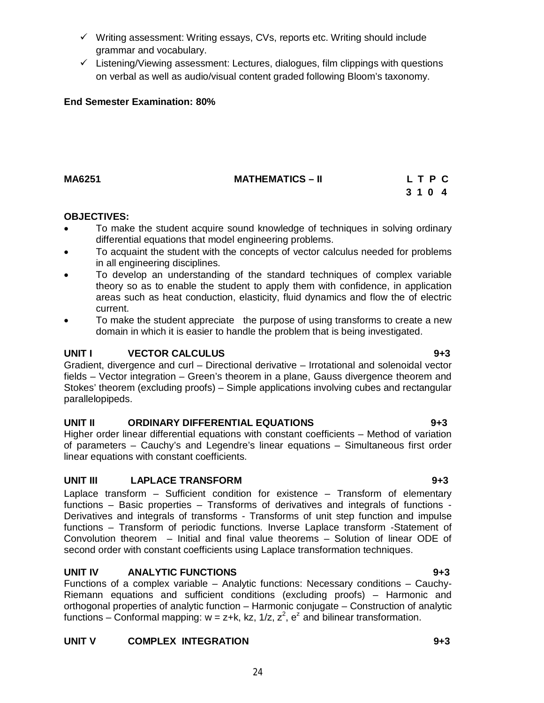- $\checkmark$  Writing assessment: Writing essays, CVs, reports etc. Writing should include grammar and vocabulary.
- $\checkmark$  Listening/Viewing assessment: Lectures, dialogues, film clippings with questions on verbal as well as audio/visual content graded following Bloom's taxonomy.

# **End Semester Examination: 80%**

# **MA6251 MATHEMATICS – II L T P C**

### **OBJECTIVES:**

- To make the student acquire sound knowledge of techniques in solving ordinary differential equations that model engineering problems.
- To acquaint the student with the concepts of vector calculus needed for problems in all engineering disciplines.
- To develop an understanding of the standard techniques of complex variable theory so as to enable the student to apply them with confidence, in application areas such as heat conduction, elasticity, fluid dynamics and flow the of electric current.
- To make the student appreciate the purpose of using transforms to create a new domain in which it is easier to handle the problem that is being investigated.

# **UNIT I** VECTOR CALCULUS **9+3**

Gradient, divergence and curl – Directional derivative – Irrotational and solenoidal vector fields – Vector integration – Green's theorem in a plane, Gauss divergence theorem and Stokes' theorem (excluding proofs) – Simple applications involving cubes and rectangular parallelopipeds.

# **UNIT II ORDINARY DIFFERENTIAL EQUATIONS 9+3**

Higher order linear differential equations with constant coefficients – Method of variation of parameters – Cauchy's and Legendre's linear equations – Simultaneous first order linear equations with constant coefficients.

# **UNIT III LAPLACE TRANSFORM 9+3**

Laplace transform – Sufficient condition for existence – Transform of elementary functions – Basic properties – Transforms of derivatives and integrals of functions - Derivatives and integrals of transforms - Transforms of unit step function and impulse functions – Transform of periodic functions. Inverse Laplace transform -Statement of Convolution theorem – Initial and final value theorems – Solution of linear ODE of second order with constant coefficients using Laplace transformation techniques.

# **UNIT IV ANALYTIC FUNCTIONS 9+3**

Functions of a complex variable – Analytic functions: Necessary conditions – Cauchy-Riemann equations and sufficient conditions (excluding proofs) – Harmonic and orthogonal properties of analytic function – Harmonic conjugate – Construction of analytic functions – Conformal mapping:  $w = z+k$ , kz, 1/z,  $z^2$ ,  $e^z$  and bilinear transformation.

# **UNIT V COMPLEX INTEGRATION 9+3**

# **3 1 0 4**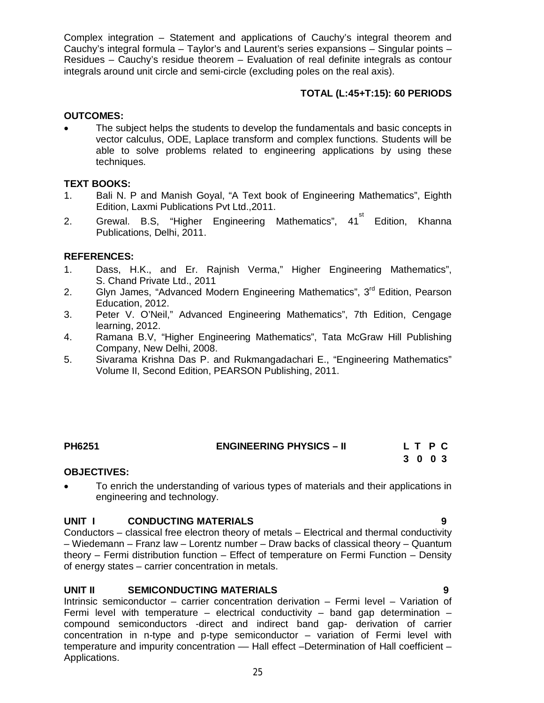Complex integration – Statement and applications of Cauchy's integral theorem and Cauchy's integral formula – Taylor's and Laurent's series expansions – Singular points – Residues – Cauchy's residue theorem – Evaluation of real definite integrals as contour integrals around unit circle and semi-circle (excluding poles on the real axis).

### **TOTAL (L:45+T:15): 60 PERIODS**

### **OUTCOMES:**

 The subject helps the students to develop the fundamentals and basic concepts in vector calculus, ODE, Laplace transform and complex functions. Students will be able to solve problems related to engineering applications by using these techniques.

# **TEXT BOOKS:**

- 1. Bali N. P and Manish Goyal, "A Text book of Engineering Mathematics", Eighth Edition, Laxmi Publications Pvt Ltd.,2011.
- 2. Grewal. B.S, "Higher Engineering Mathematics", 41<sup>st</sup> Edition, Khanna Publications, Delhi, 2011.

# **REFERENCES:**

- 1. Dass, H.K., and Er. Rajnish Verma," Higher Engineering Mathematics", S. Chand Private Ltd., 2011
- 2. Glyn James, "Advanced Modern Engineering Mathematics", 3<sup>rd</sup> Edition, Pearson Education, 2012.
- 3. Peter V. O'Neil," Advanced Engineering Mathematics", 7th Edition, Cengage learning, 2012.
- 4. Ramana B.V, "Higher Engineering Mathematics", Tata McGraw Hill Publishing Company, New Delhi, 2008.
- 5. Sivarama Krishna Das P. and Rukmangadachari E., "Engineering Mathematics" Volume II, Second Edition, PEARSON Publishing, 2011.

# **PH6251 ENGINEERING PHYSICS – II L T P C**

 **3 0 0 3** 

### **OBJECTIVES:**

 To enrich the understanding of various types of materials and their applications in engineering and technology.

### **UNIT I CONDUCTING MATERIALS 9**

Conductors – classical free electron theory of metals – Electrical and thermal conductivity – Wiedemann – Franz law – Lorentz number – Draw backs of classical theory – Quantum theory – Fermi distribution function – Effect of temperature on Fermi Function – Density of energy states – carrier concentration in metals.

### **UNIT II SEMICONDUCTING MATERIALS 9**

Intrinsic semiconductor – carrier concentration derivation – Fermi level – Variation of Fermi level with temperature – electrical conductivity – band gap determination – compound semiconductors -direct and indirect band gap- derivation of carrier concentration in n-type and p-type semiconductor – variation of Fermi level with temperature and impurity concentration — Hall effect -Determination of Hall coefficient -Applications.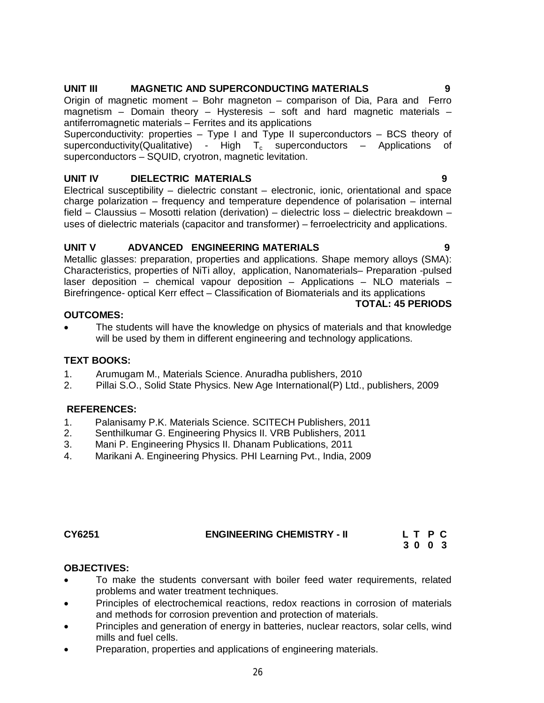# **UNIT III MAGNETIC AND SUPERCONDUCTING MATERIALS 9**

Origin of magnetic moment – Bohr magneton – comparison of Dia, Para and Ferro magnetism – Domain theory – Hysteresis – soft and hard magnetic materials – antiferromagnetic materials – Ferrites and its applications

Superconductivity: properties – Type I and Type II superconductors – BCS theory of superconductivity(Qualitative) - High  $T_c$  superconductors – Applications of superconductors – SQUID, cryotron, magnetic levitation.

# **UNIT IV DIELECTRIC MATERIALS 9**

Electrical susceptibility – dielectric constant – electronic, ionic, orientational and space charge polarization – frequency and temperature dependence of polarisation – internal field – Claussius – Mosotti relation (derivation) – dielectric loss – dielectric breakdown – uses of dielectric materials (capacitor and transformer) – ferroelectricity and applications.

# **UNIT V ADVANCED ENGINEERING MATERIALS 9**

Metallic glasses: preparation, properties and applications. Shape memory alloys (SMA): Characteristics, properties of NiTi alloy, application, Nanomaterials– Preparation -pulsed laser deposition – chemical vapour deposition – Applications – NLO materials – Birefringence- optical Kerr effect – Classification of Biomaterials and its applications

# **TOTAL: 45 PERIODS**

 The students will have the knowledge on physics of materials and that knowledge will be used by them in different engineering and technology applications.

### **TEXT BOOKS:**

**OUTCOMES:**

- 1. Arumugam M., Materials Science. Anuradha publishers, 2010
- 2. Pillai S.O., Solid State Physics. New Age International(P) Ltd., publishers, 2009

### **REFERENCES:**

- 1. Palanisamy P.K. Materials Science. SCITECH Publishers, 2011
- 2. Senthilkumar G. Engineering Physics II. VRB Publishers, 2011
- 3. Mani P. Engineering Physics II. Dhanam Publications, 2011
- 4. Marikani A. Engineering Physics. PHI Learning Pvt., India, 2009

### **CY6251 ENGINEERING CHEMISTRY - II L T P C**

 **3 0 0 3**

### **OBJECTIVES:**

- To make the students conversant with boiler feed water requirements, related problems and water treatment techniques.
- Principles of electrochemical reactions, redox reactions in corrosion of materials and methods for corrosion prevention and protection of materials.
- Principles and generation of energy in batteries, nuclear reactors, solar cells, wind mills and fuel cells.
- Preparation, properties and applications of engineering materials.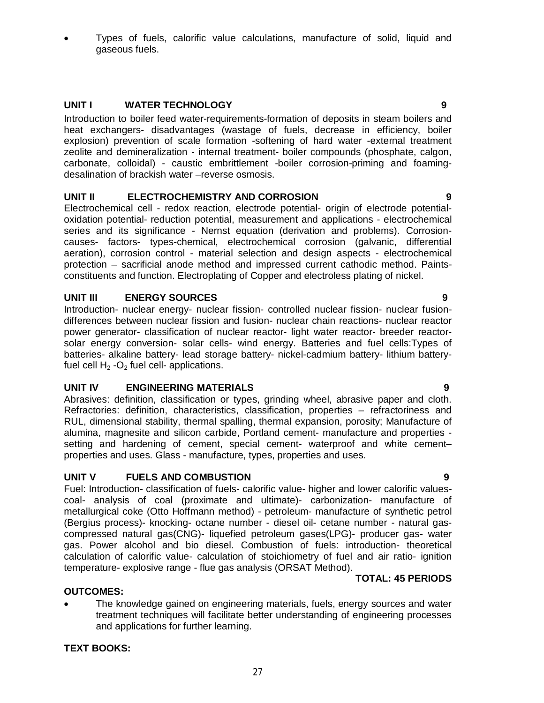Types of fuels, calorific value calculations, manufacture of solid, liquid and gaseous fuels.

# **UNIT I WATER TECHNOLOGY 9**

Introduction to boiler feed water-requirements-formation of deposits in steam boilers and heat exchangers- disadvantages (wastage of fuels, decrease in efficiency, boiler explosion) prevention of scale formation -softening of hard water -external treatment zeolite and demineralization - internal treatment- boiler compounds (phosphate, calgon, carbonate, colloidal) - caustic embrittlement -boiler corrosion-priming and foamingdesalination of brackish water –reverse osmosis.

# **UNIT II ELECTROCHEMISTRY AND CORROSION 9**

Electrochemical cell - redox reaction, electrode potential- origin of electrode potentialoxidation potential- reduction potential, measurement and applications - electrochemical series and its significance - Nernst equation (derivation and problems). Corrosioncauses- factors- types-chemical, electrochemical corrosion (galvanic, differential aeration), corrosion control - material selection and design aspects - electrochemical protection – sacrificial anode method and impressed current cathodic method. Paintsconstituents and function. Electroplating of Copper and electroless plating of nickel.

# **UNIT III ENERGY SOURCES 9**

Introduction- nuclear energy- nuclear fission- controlled nuclear fission- nuclear fusiondifferences between nuclear fission and fusion- nuclear chain reactions- nuclear reactor power generator- classification of nuclear reactor- light water reactor- breeder reactorsolar energy conversion- solar cells- wind energy. Batteries and fuel cells:Types of batteries- alkaline battery- lead storage battery- nickel-cadmium battery- lithium batteryfuel cell  $H_2$  -O<sub>2</sub> fuel cell- applications.

### **UNIT IV ENGINEERING MATERIALS 9**

Abrasives: definition, classification or types, grinding wheel, abrasive paper and cloth. Refractories: definition, characteristics, classification, properties – refractoriness and RUL, dimensional stability, thermal spalling, thermal expansion, porosity; Manufacture of alumina, magnesite and silicon carbide, Portland cement- manufacture and properties setting and hardening of cement, special cement- waterproof and white cement– properties and uses. Glass - manufacture, types, properties and uses.

### **UNIT V FUELS AND COMBUSTION 9**

Fuel: Introduction- classification of fuels- calorific value- higher and lower calorific valuescoal- analysis of coal (proximate and ultimate)- carbonization- manufacture of metallurgical coke (Otto Hoffmann method) - petroleum- manufacture of synthetic petrol (Bergius process)- knocking- octane number - diesel oil- cetane number - natural gascompressed natural gas(CNG)- liquefied petroleum gases(LPG)- producer gas- water gas. Power alcohol and bio diesel. Combustion of fuels: introduction- theoretical calculation of calorific value- calculation of stoichiometry of fuel and air ratio- ignition temperature- explosive range - flue gas analysis (ORSAT Method).

### **TOTAL: 45 PERIODS**

# **OUTCOMES:**

 The knowledge gained on engineering materials, fuels, energy sources and water treatment techniques will facilitate better understanding of engineering processes and applications for further learning.

### **TEXT BOOKS:**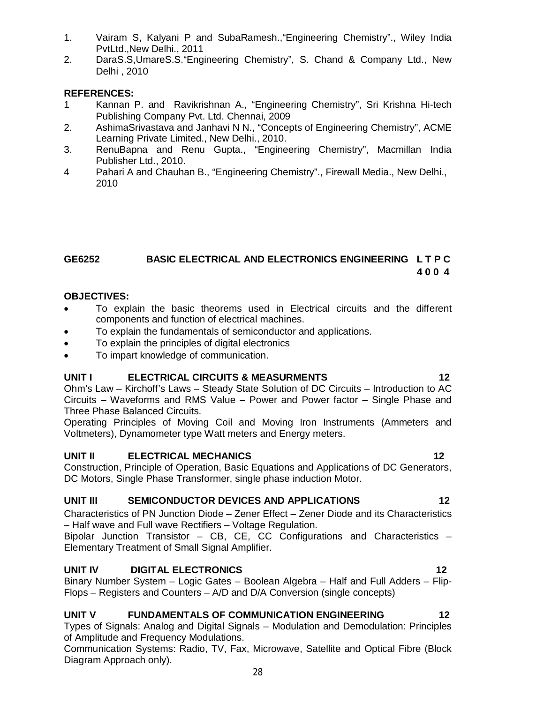- 1. Vairam S, Kalyani P and SubaRamesh.,"Engineering Chemistry"., Wiley India PvtLtd.,New Delhi., 2011
- 2. DaraS.S,UmareS.S."Engineering Chemistry", S. Chand & Company Ltd., New Delhi , 2010

# **REFERENCES:**

- 1 Kannan P. and Ravikrishnan A., "Engineering Chemistry", Sri Krishna Hi-tech Publishing Company Pvt. Ltd. Chennai, 2009
- 2. AshimaSrivastava and Janhavi N N., "Concepts of Engineering Chemistry", ACME Learning Private Limited., New Delhi., 2010.
- 3. RenuBapna and Renu Gupta., "Engineering Chemistry", Macmillan India Publisher Ltd., 2010.
- 4 Pahari A and Chauhan B., "Engineering Chemistry"., Firewall Media., New Delhi., 2010

# **GE6252 BASIC ELECTRICAL AND ELECTRONICS ENGINEERING L T P C 4 0 0 4**

# **OBJECTIVES:**

- To explain the basic theorems used in Electrical circuits and the different components and function of electrical machines.
- To explain the fundamentals of semiconductor and applications.
- To explain the principles of digital electronics
- To impart knowledge of communication.

# **UNIT I ELECTRICAL CIRCUITS & MEASURMENTS 12**

Ohm's Law – Kirchoff's Laws – Steady State Solution of DC Circuits – Introduction to AC Circuits – Waveforms and RMS Value – Power and Power factor – Single Phase and Three Phase Balanced Circuits.

Operating Principles of Moving Coil and Moving Iron Instruments (Ammeters and Voltmeters), Dynamometer type Watt meters and Energy meters.

# **UNIT II ELECTRICAL MECHANICS** 12

### Construction, Principle of Operation, Basic Equations and Applications of DC Generators, DC Motors, Single Phase Transformer, single phase induction Motor.

# **UNIT III SEMICONDUCTOR DEVICES AND APPLICATIONS 12**

Characteristics of PN Junction Diode – Zener Effect – Zener Diode and its Characteristics – Half wave and Full wave Rectifiers – Voltage Regulation.

Bipolar Junction Transistor – CB, CE, CC Configurations and Characteristics – Elementary Treatment of Small Signal Amplifier.

# **UNIT IV DIGITAL ELECTRONICS 12**

Binary Number System – Logic Gates – Boolean Algebra – Half and Full Adders – Flip-Flops – Registers and Counters – A/D and D/A Conversion (single concepts)

# **UNIT V FUNDAMENTALS OF COMMUNICATION ENGINEERING 12**

Types of Signals: Analog and Digital Signals – Modulation and Demodulation: Principles of Amplitude and Frequency Modulations.

28 Communication Systems: Radio, TV, Fax, Microwave, Satellite and Optical Fibre (Block Diagram Approach only).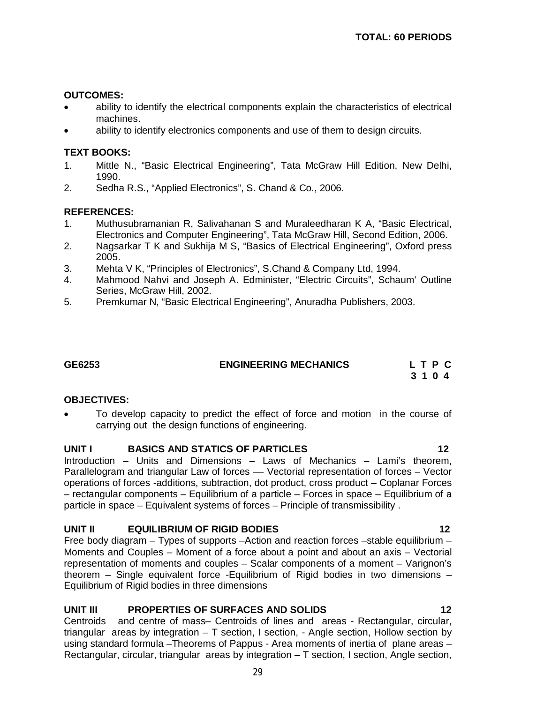#### **OUTCOMES:**

- ability to identify the electrical components explain the characteristics of electrical machines.
- ability to identify electronics components and use of them to design circuits.

#### **TEXT BOOKS:**

- 1. Mittle N., "Basic Electrical Engineering", Tata McGraw Hill Edition, New Delhi, 1990.
- 2. Sedha R.S., "Applied Electronics", S. Chand & Co., 2006.

#### **REFERENCES:**

- 1. Muthusubramanian R, Salivahanan S and Muraleedharan K A, "Basic Electrical, Electronics and Computer Engineering", Tata McGraw Hill, Second Edition, 2006.
- 2. Nagsarkar T K and Sukhija M S, "Basics of Electrical Engineering", Oxford press 2005.
- 3. Mehta V K, "Principles of Electronics", S.Chand & Company Ltd, 1994.
- 4. Mahmood Nahvi and Joseph A. Edminister, "Electric Circuits", Schaum' Outline Series, McGraw Hill, 2002.
- 5. Premkumar N, "Basic Electrical Engineering", Anuradha Publishers, 2003.

### **GE6253 ENGINEERING MECHANICS L T P C**

 **3 1 0 4**

#### **OBJECTIVES:**

 To develop capacity to predict the effect of force and motion in the course of carrying out the design functions of engineering.

#### **UNIT I BASICS AND STATICS OF PARTICLES 12**

Introduction – Units and Dimensions – Laws of Mechanics – Lami's theorem, Parallelogram and triangular Law of forces — Vectorial representation of forces – Vector operations of forces -additions, subtraction, dot product, cross product – Coplanar Forces – rectangular components – Equilibrium of a particle – Forces in space – Equilibrium of a particle in space – Equivalent systems of forces – Principle of transmissibility .

### **UNIT II EQUILIBRIUM OF RIGID BODIES 12**

Free body diagram – Types of supports –Action and reaction forces –stable equilibrium – Moments and Couples – Moment of a force about a point and about an axis – Vectorial representation of moments and couples – Scalar components of a moment – Varignon's theorem – Single equivalent force -Equilibrium of Rigid bodies in two dimensions – Equilibrium of Rigid bodies in three dimensions

#### **UNIT III PROPERTIES OF SURFACES AND SOLIDS 12**

Centroids and centre of mass– Centroids of lines and areas - Rectangular, circular, triangular areas by integration – T section, I section, - Angle section, Hollow section by using standard formula –Theorems of Pappus - Area moments of inertia of plane areas – Rectangular, circular, triangular areas by integration – T section, I section, Angle section,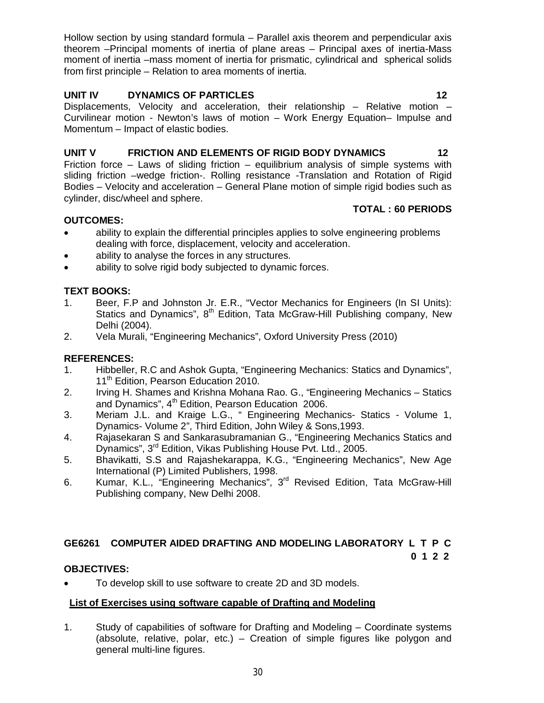Hollow section by using standard formula – Parallel axis theorem and perpendicular axis theorem –Principal moments of inertia of plane areas – Principal axes of inertia-Mass moment of inertia –mass moment of inertia for prismatic, cylindrical and spherical solids from first principle – Relation to area moments of inertia.

# **UNIT IV DYNAMICS OF PARTICLES** 12

Displacements, Velocity and acceleration, their relationship – Relative motion – Curvilinear motion - Newton's laws of motion – Work Energy Equation– Impulse and Momentum – Impact of elastic bodies.

# UNIT V FRICTION AND ELEMENTS OF RIGID BODY DYNAMICS 42

Friction force – Laws of sliding friction – equilibrium analysis of simple systems with sliding friction –wedge friction-. Rolling resistance -Translation and Rotation of Rigid Bodies – Velocity and acceleration – General Plane motion of simple rigid bodies such as cylinder, disc/wheel and sphere.

# **OUTCOMES:**

### **TOTAL : 60 PERIODS**

- ability to explain the differential principles applies to solve engineering problems dealing with force, displacement, velocity and acceleration.
- ability to analyse the forces in any structures.
- ability to solve rigid body subjected to dynamic forces.

# **TEXT BOOKS:**

- 1. Beer, F.P and Johnston Jr. E.R., "Vector Mechanics for Engineers (In SI Units): Statics and Dynamics",  $8<sup>th</sup>$  Edition, Tata McGraw-Hill Publishing company, New Delhi (2004).
- 2. Vela Murali, "Engineering Mechanics", Oxford University Press (2010)

# **REFERENCES:**

- 1. Hibbeller, R.C and Ashok Gupta, "Engineering Mechanics: Statics and Dynamics", 11<sup>th</sup> Edition, Pearson Education 2010.
- 2. Irving H. Shames and Krishna Mohana Rao. G., "Engineering Mechanics Statics and Dynamics",  $4<sup>th</sup>$  Edition, Pearson Education 2006.
- 3. Meriam J.L. and Kraige L.G., " Engineering Mechanics- Statics Volume 1, Dynamics- Volume 2", Third Edition, John Wiley & Sons,1993.
- 4. Rajasekaran S and Sankarasubramanian G., "Engineering Mechanics Statics and Dynamics", 3rd Edition, Vikas Publishing House Pvt. Ltd., 2005.
- 5. Bhavikatti, S.S and Rajashekarappa, K.G., "Engineering Mechanics", New Age International (P) Limited Publishers, 1998.
- 6. Kumar, K.L., "Engineering Mechanics", 3<sup>rd</sup> Revised Edition, Tata McGraw-Hill Publishing company, New Delhi 2008.

#### **GE6261 COMPUTER AIDED DRAFTING AND MODELING LABORATORY L T P C 0 1 2 2**

### **OBJECTIVES:**

To develop skill to use software to create 2D and 3D models.

# **List of Exercises using software capable of Drafting and Modeling**

1. Study of capabilities of software for Drafting and Modeling – Coordinate systems (absolute, relative, polar, etc.) – Creation of simple figures like polygon and general multi-line figures.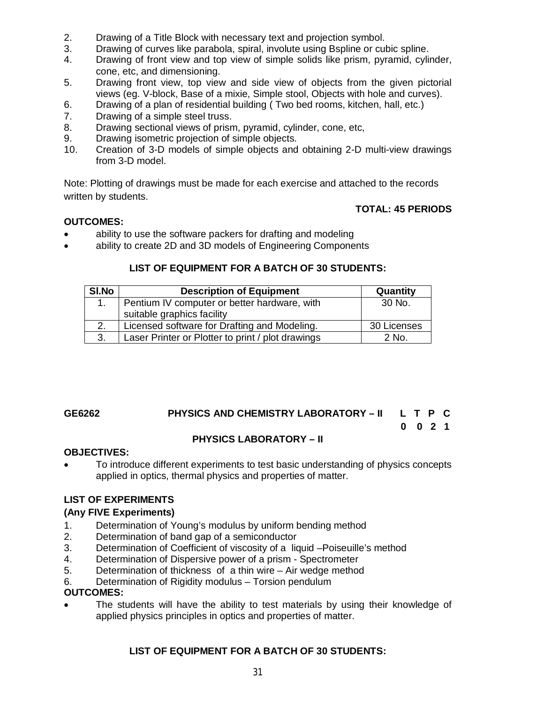- 2. Drawing of a Title Block with necessary text and projection symbol.
- 3. Drawing of curves like parabola, spiral, involute using Bspline or cubic spline.
- 4. Drawing of front view and top view of simple solids like prism, pyramid, cylinder, cone, etc, and dimensioning.
- 5. Drawing front view, top view and side view of objects from the given pictorial views (eg. V-block, Base of a mixie, Simple stool, Objects with hole and curves).
- 6. Drawing of a plan of residential building ( Two bed rooms, kitchen, hall, etc.)
- 7. Drawing of a simple steel truss.
- 8. Drawing sectional views of prism, pyramid, cylinder, cone, etc,
- 9. Drawing isometric projection of simple objects.
- 10. Creation of 3-D models of simple objects and obtaining 2-D multi-view drawings from 3-D model.

Note: Plotting of drawings must be made for each exercise and attached to the records written by students.

# **TOTAL: 45 PERIODS**

# **OUTCOMES:**

- ability to use the software packers for drafting and modeling
- ability to create 2D and 3D models of Engineering Components

# **LIST OF EQUIPMENT FOR A BATCH OF 30 STUDENTS:**

| SI.No | <b>Description of Equipment</b>                   | Quantity    |
|-------|---------------------------------------------------|-------------|
|       | Pentium IV computer or better hardware, with      | 30 No.      |
|       | suitable graphics facility                        |             |
|       | Licensed software for Drafting and Modeling.      | 30 Licenses |
| 3.    | Laser Printer or Plotter to print / plot drawings | $2$ No.     |

# **GE6262 PHYSICS AND CHEMISTRY LABORATORY – II L T P C 0 0 2 1**

# **PHYSICS LABORATORY – II**

### **OBJECTIVES:**

 To introduce different experiments to test basic understanding of physics concepts applied in optics, thermal physics and properties of matter.

# **LIST OF EXPERIMENTS**

# **(Any FIVE Experiments)**

- 1. Determination of Young's modulus by uniform bending method
- 2. Determination of band gap of a semiconductor
- 3. Determination of Coefficient of viscosity of a liquid –Poiseuille's method
- 4. Determination of Dispersive power of a prism Spectrometer
- 5. Determination of thickness of a thin wire Air wedge method
- 6. Determination of Rigidity modulus Torsion pendulum

### **OUTCOMES:**

 The students will have the ability to test materials by using their knowledge of applied physics principles in optics and properties of matter.

# **LIST OF EQUIPMENT FOR A BATCH OF 30 STUDENTS:**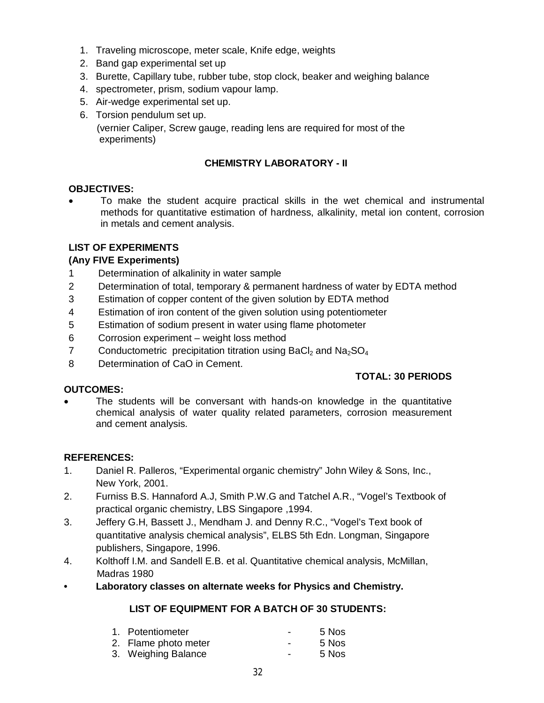- 1. Traveling microscope, meter scale, Knife edge, weights
- 2. Band gap experimental set up
- 3. Burette, Capillary tube, rubber tube, stop clock, beaker and weighing balance
- 4. spectrometer, prism, sodium vapour lamp.
- 5. Air-wedge experimental set up.
- 6. Torsion pendulum set up. (vernier Caliper, Screw gauge, reading lens are required for most of the experiments)

# **CHEMISTRY LABORATORY - II**

### **OBJECTIVES:**

 To make the student acquire practical skills in the wet chemical and instrumental methods for quantitative estimation of hardness, alkalinity, metal ion content, corrosion in metals and cement analysis.

### **LIST OF EXPERIMENTS**

### **(Any FIVE Experiments)**

- 1 Determination of alkalinity in water sample
- 2 Determination of total, temporary & permanent hardness of water by EDTA method
- 3 Estimation of copper content of the given solution by EDTA method
- 4 Estimation of iron content of the given solution using potentiometer
- 5 Estimation of sodium present in water using flame photometer
- 6 Corrosion experiment weight loss method
- 7 Conductometric precipitation titration using  $BaCl<sub>2</sub>$  and  $Na<sub>2</sub>SO<sub>4</sub>$
- 8 Determination of CaO in Cement.

### **OUTCOMES:**

### **TOTAL: 30 PERIODS**

 The students will be conversant with hands-on knowledge in the quantitative chemical analysis of water quality related parameters, corrosion measurement and cement analysis.

### **REFERENCES:**

- 1. Daniel R. Palleros, "Experimental organic chemistry" John Wiley & Sons, Inc., New York, 2001.
- 2. Furniss B.S. Hannaford A.J, Smith P.W.G and Tatchel A.R., "Vogel's Textbook of practical organic chemistry, LBS Singapore ,1994.
- 3. Jeffery G.H, Bassett J., Mendham J. and Denny R.C., "Vogel's Text book of quantitative analysis chemical analysis", ELBS 5th Edn. Longman, Singapore publishers, Singapore, 1996.
- 4. Kolthoff I.M. and Sandell E.B. et al. Quantitative chemical analysis, McMillan, Madras 1980
- **Laboratory classes on alternate weeks for Physics and Chemistry.**

# **LIST OF EQUIPMENT FOR A BATCH OF 30 STUDENTS:**

| 1. Potentiometer     | - | 5 Nos        |
|----------------------|---|--------------|
| 2. Flame photo meter | - | 5 Nos        |
| 0 Website Balance    |   | $F$ . N. $-$ |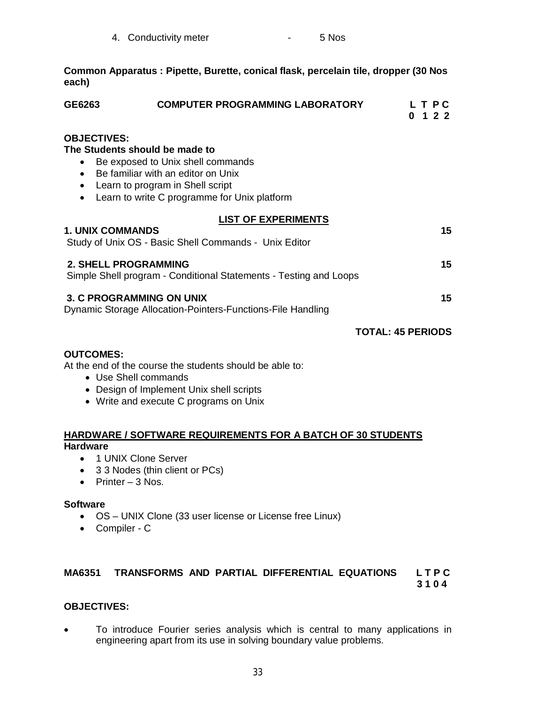| 4. Conductivity meter | 5 Nos |
|-----------------------|-------|
|-----------------------|-------|

**Common Apparatus : Pipette, Burette, conical flask, percelain tile, dropper (30 Nos each)**

| GE6263                                       | <b>COMPUTER PROGRAMMING LABORATORY</b>                                                                                                                                                        | L T P C<br>122<br>0      |
|----------------------------------------------|-----------------------------------------------------------------------------------------------------------------------------------------------------------------------------------------------|--------------------------|
| <b>OBJECTIVES:</b><br>$\bullet$<br>$\bullet$ | The Students should be made to<br>Be exposed to Unix shell commands<br>Be familiar with an editor on Unix<br>Learn to program in Shell script<br>Learn to write C programme for Unix platform |                          |
| <b>1. UNIX COMMANDS</b>                      | <b>LIST OF EXPERIMENTS</b><br>Study of Unix OS - Basic Shell Commands - Unix Editor                                                                                                           | 15                       |
| <b>2. SHELL PROGRAMMING</b>                  | Simple Shell program - Conditional Statements - Testing and Loops                                                                                                                             | 15                       |
|                                              | 3. C PROGRAMMING ON UNIX<br>Dynamic Storage Allocation-Pointers-Functions-File Handling                                                                                                       | 15                       |
|                                              |                                                                                                                                                                                               | <b>TOTAL: 45 PERIODS</b> |
| <b>OUTCOMES:</b>                             | At the end of the course the students should be able to:<br>• Use Shell commands<br>• Design of Implement Unix shell scripts<br>• Write and execute C programs on Unix                        |                          |
| <b>Hardware</b>                              | <b>HARDWARE / SOFTWARE REQUIREMENTS FOR A BATCH OF 30 STUDENTS</b>                                                                                                                            |                          |
|                                              | 1 UNIX Clone Server                                                                                                                                                                           |                          |

- 3 3 Nodes (thin client or PCs)
- Printer  $3$  Nos.

#### **Software**

- OS UNIX Clone (33 user license or License free Linux)
- Compiler C

# **MA6351 TRANSFORMS AND PARTIAL DIFFERENTIAL EQUATIONS L T P C**

 **3 1 0 4**

# **OBJECTIVES:**

 To introduce Fourier series analysis which is central to many applications in engineering apart from its use in solving boundary value problems.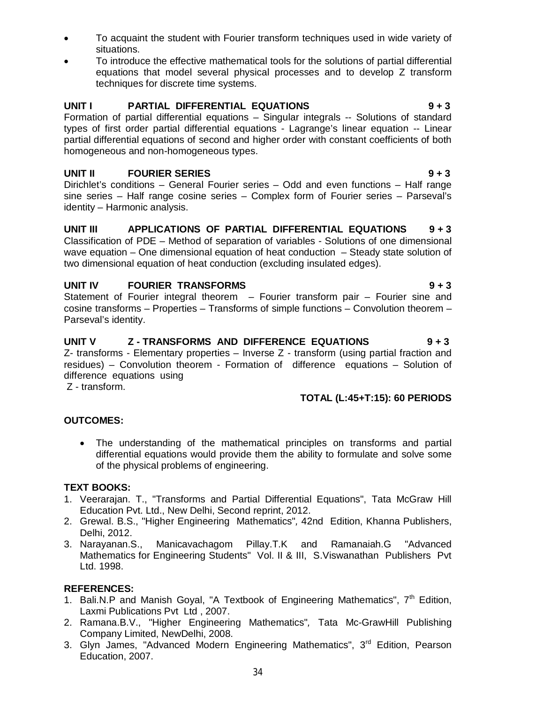- To acquaint the student with Fourier transform techniques used in wide variety of situations.
- To introduce the effective mathematical tools for the solutions of partial differential equations that model several physical processes and to develop Z transform techniques for discrete time systems.

# **UNIT I PARTIAL DIFFERENTIAL EQUATIONS 9 + 3**

Formation of partial differential equations – Singular integrals -- Solutions of standard types of first order partial differential equations - Lagrange's linear equation -- Linear partial differential equations of second and higher order with constant coefficients of both homogeneous and non-homogeneous types.

# **UNIT II** FOURIER SERIES **1943**

Dirichlet's conditions – General Fourier series – Odd and even functions – Half range sine series – Half range cosine series – Complex form of Fourier series – Parseval's identity – Harmonic analysis.

# **UNIT III APPLICATIONS OF PARTIAL DIFFERENTIAL EQUATIONS 9 + 3**

Classification of PDE – Method of separation of variables - Solutions of one dimensional wave equation – One dimensional equation of heat conduction – Steady state solution of two dimensional equation of heat conduction (excluding insulated edges).

# UNIT IV FOURIER TRANSFORMS **9 + 3**

Statement of Fourier integral theorem – Fourier transform pair – Fourier sine and cosine transforms – Properties – Transforms of simple functions – Convolution theorem – Parseval's identity.

# **UNIT V Z - TRANSFORMS AND DIFFERENCE EQUATIONS 9 + 3**

Z- transforms - Elementary properties – Inverse Z - transform (using partial fraction and residues) – Convolution theorem - Formation of difference equations – Solution of difference equations using

Z - transform.

# **TOTAL (L:45+T:15): 60 PERIODS**

### **OUTCOMES:**

 The understanding of the mathematical principles on transforms and partial differential equations would provide them the ability to formulate and solve some of the physical problems of engineering.

### **TEXT BOOKS:**

- 1. Veerarajan. T., "Transforms and Partial Differential Equations", Tata McGraw Hill Education Pvt. Ltd., New Delhi, Second reprint, 2012.
- 2. Grewal. B.S., "Higher Engineering Mathematics"*,* 42nd Edition, Khanna Publishers, Delhi, 2012.
- 3. Narayanan.S., Manicavachagom Pillay.T.K and Ramanaiah.G "Advanced Mathematics for Engineering Students" Vol. II & III, S.Viswanathan Publishers Pvt Ltd. 1998.

### **REFERENCES:**

- 1. Bali.N.P and Manish Goyal, "A Textbook of Engineering Mathematics", 7<sup>th</sup> Edition, Laxmi Publications Pvt Ltd , 2007.
- 2. Ramana.B.V., "Higher Engineering Mathematics"*,* Tata Mc-GrawHill Publishing Company Limited, NewDelhi, 2008.
- 3. Glyn James, "Advanced Modern Engineering Mathematics", 3<sup>rd</sup> Edition, Pearson Education, 2007.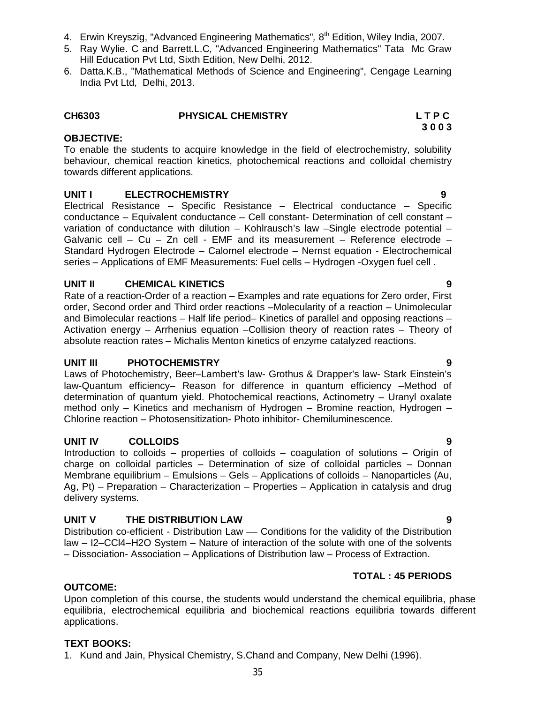**UNIT V THE DISTRIBUTION LAW 9**

**UNIT II CHEMICAL KINETICS 9**

**OBJECTIVE:** To enable the students to acquire knowledge in the field of electrochemistry, solubility behaviour, chemical reaction kinetics, photochemical reactions and colloidal chemistry

# towards different applications.

# **UNIT I ELECTROCHEMISTRY 9**

Electrical Resistance – Specific Resistance – Electrical conductance – Specific conductance – Equivalent conductance – Cell constant- Determination of cell constant – variation of conductance with dilution – Kohlrausch's law –Single electrode potential – Galvanic cell – Cu – Zn cell - EMF and its measurement – Reference electrode – Standard Hydrogen Electrode – Calornel electrode – Nernst equation - Electrochemical series – Applications of EMF Measurements: Fuel cells – Hydrogen -Oxygen fuel cell .

Rate of a reaction-Order of a reaction – Examples and rate equations for Zero order, First order, Second order and Third order reactions –Molecularity of a reaction – Unimolecular and Bimolecular reactions – Half life period– Kinetics of parallel and opposing reactions – Activation energy – Arrhenius equation –Collision theory of reaction rates – Theory of absolute reaction rates – Michalis Menton kinetics of enzyme catalyzed reactions.

# **UNIT III PHOTOCHEMISTRY 9**

Laws of Photochemistry, Beer–Lambert's law- Grothus & Drapper's law- Stark Einstein's law-Quantum efficiency– Reason for difference in quantum efficiency –Method of determination of quantum yield. Photochemical reactions, Actinometry – Uranyl oxalate method only – Kinetics and mechanism of Hydrogen – Bromine reaction, Hydrogen – Chlorine reaction – Photosensitization- Photo inhibitor- Chemiluminescence.

# **UNIT IV COLLOIDS 9**

Introduction to colloids – properties of colloids – coagulation of solutions – Origin of charge on colloidal particles – Determination of size of colloidal particles – Donnan Membrane equilibrium – Emulsions – Gels – Applications of colloids – Nanoparticles (Au, Ag, Pt) – Preparation – Characterization – Properties – Application in catalysis and drug delivery systems.

Distribution co-efficient - Distribution Law –– Conditions for the validity of the Distribution law – I2–CCl4–H2O System – Nature of interaction of the solute with one of the solvents – Dissociation- Association – Applications of Distribution law – Process of Extraction.

# **TOTAL : 45 PERIODS**

#### **OUTCOME:**

Upon completion of this course, the students would understand the chemical equilibria, phase equilibria, electrochemical equilibria and biochemical reactions equilibria towards different applications.

#### **TEXT BOOKS:**

1. Kund and Jain, Physical Chemistry, S.Chand and Company, New Delhi (1996).

# 4. Erwin Kreyszig, "Advanced Engineering Mathematics"*,* 8 th Edition, Wiley India, 2007.

- 5. Ray Wylie. C and Barrett.L.C, "Advanced Engineering Mathematics" Tata Mc Graw Hill Education Pvt Ltd, Sixth Edition, New Delhi, 2012.
- 6. Datta.K.B., "Mathematical Methods of Science and Engineering", Cengage Learning India Pvt Ltd, Delhi, 2013.

### **CH6303 PHYSICAL CHEMISTRY L T P C**

# **3 0 0 3**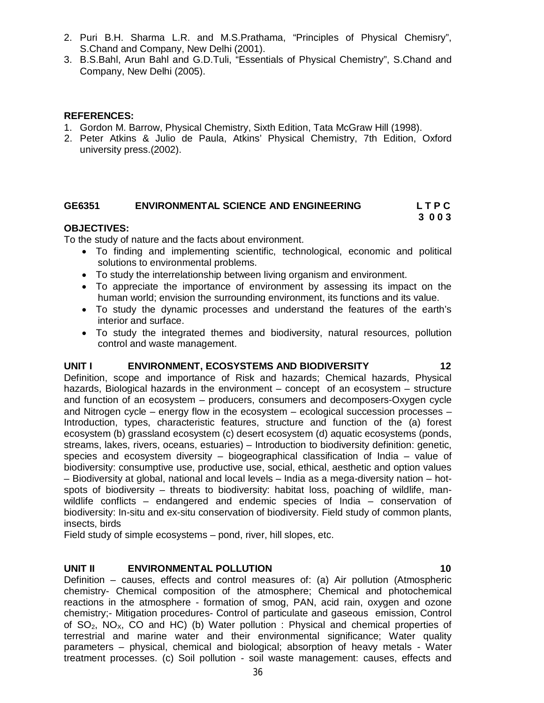- 2. Puri B.H. Sharma L.R. and M.S.Prathama, "Principles of Physical Chemisry", S.Chand and Company, New Delhi (2001).
- 3. B.S.Bahl, Arun Bahl and G.D.Tuli, "Essentials of Physical Chemistry", S.Chand and Company, New Delhi (2005).

#### **REFERENCES:**

- 1. Gordon M. Barrow, Physical Chemistry, Sixth Edition, Tata McGraw Hill (1998).
- 2. Peter Atkins & Julio de Paula, Atkins' Physical Chemistry, 7th Edition, Oxford university press.(2002).

# **GE6351 ENVIRONMENTAL SCIENCE AND ENGINEERING L T P C**

# **3 0 0 3**

# **OBJECTIVES:**

To the study of nature and the facts about environment.

- To finding and implementing scientific, technological, economic and political solutions to environmental problems.
- To study the interrelationship between living organism and environment.
- To appreciate the importance of environment by assessing its impact on the human world; envision the surrounding environment, its functions and its value.
- To study the dynamic processes and understand the features of the earth's interior and surface.
- To study the integrated themes and biodiversity, natural resources, pollution control and waste management.

### UNIT I **ENVIRONMENT, ECOSYSTEMS AND BIODIVERSITY** 12

Definition, scope and importance of Risk and hazards; Chemical hazards, Physical hazards, Biological hazards in the environment – concept of an ecosystem – structure and function of an ecosystem – producers, consumers and decomposers-Oxygen cycle and Nitrogen cycle – energy flow in the ecosystem – ecological succession processes – Introduction, types, characteristic features, structure and function of the (a) forest ecosystem (b) grassland ecosystem (c) desert ecosystem (d) aquatic ecosystems (ponds, streams, lakes, rivers, oceans, estuaries) – Introduction to biodiversity definition: genetic, species and ecosystem diversity – biogeographical classification of India – value of biodiversity: consumptive use, productive use, social, ethical, aesthetic and option values – Biodiversity at global, national and local levels – India as a mega-diversity nation – hotspots of biodiversity – threats to biodiversity: habitat loss, poaching of wildlife, manwildlife conflicts – endangered and endemic species of India – conservation of biodiversity: In-situ and ex-situ conservation of biodiversity. Field study of common plants, insects, birds

Field study of simple ecosystems – pond, river, hill slopes, etc.

# **UNIT II ENVIRONMENTAL POLLUTION 10**

Definition – causes, effects and control measures of: (a) Air pollution (Atmospheric chemistry- Chemical composition of the atmosphere; Chemical and photochemical reactions in the atmosphere - formation of smog, PAN, acid rain, oxygen and ozone chemistry;- Mitigation procedures- Control of particulate and gaseous emission, Control of  $SO_2$ ,  $NO_\chi$ ,  $CO$  and  $HC$ ) (b) Water pollution : Physical and chemical properties of terrestrial and marine water and their environmental significance; Water quality parameters – physical, chemical and biological; absorption of heavy metals - Water treatment processes. (c) Soil pollution - soil waste management: causes, effects and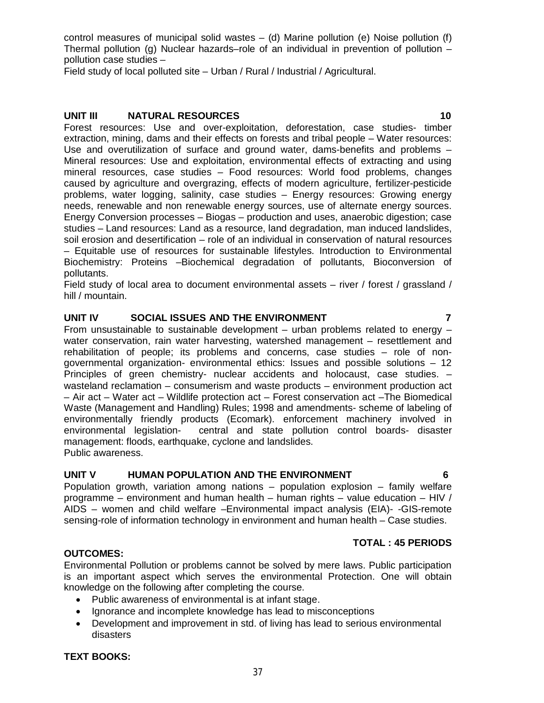control measures of municipal solid wastes  $-$  (d) Marine pollution (e) Noise pollution (f) Thermal pollution (g) Nuclear hazards–role of an individual in prevention of pollution  $$ pollution case studies –

Field study of local polluted site – Urban / Rural / Industrial / Agricultural.

#### **UNIT III NATURAL RESOURCES 10**

Forest resources: Use and over-exploitation, deforestation, case studies- timber extraction, mining, dams and their effects on forests and tribal people – Water resources: Use and overutilization of surface and ground water, dams-benefits and problems – Mineral resources: Use and exploitation, environmental effects of extracting and using mineral resources, case studies – Food resources: World food problems, changes caused by agriculture and overgrazing, effects of modern agriculture, fertilizer-pesticide problems, water logging, salinity, case studies – Energy resources: Growing energy needs, renewable and non renewable energy sources, use of alternate energy sources. Energy Conversion processes – Biogas – production and uses, anaerobic digestion; case studies – Land resources: Land as a resource, land degradation, man induced landslides, soil erosion and desertification – role of an individual in conservation of natural resources – Equitable use of resources for sustainable lifestyles. Introduction to Environmental Biochemistry: Proteins –Biochemical degradation of pollutants, Bioconversion of pollutants.

Field study of local area to document environmental assets – river / forest / grassland / hill / mountain.

### **UNIT IV SOCIAL ISSUES AND THE ENVIRONMENT 7**

From unsustainable to sustainable development – urban problems related to energy – water conservation, rain water harvesting, watershed management – resettlement and rehabilitation of people; its problems and concerns, case studies – role of nongovernmental organization- environmental ethics: Issues and possible solutions – 12 Principles of green chemistry- nuclear accidents and holocaust, case studies. – wasteland reclamation – consumerism and waste products – environment production act – Air act – Water act – Wildlife protection act – Forest conservation act –The Biomedical Waste (Management and Handling) Rules; 1998 and amendments- scheme of labeling of environmentally friendly products (Ecomark). enforcement machinery involved in environmental legislation- central and state pollution control boards- disaster central and state pollution control boards- disaster management: floods, earthquake, cyclone and landslides. Public awareness.

### **UNIT V HUMAN POPULATION AND THE ENVIRONMENT 6**

Population growth, variation among nations – population explosion – family welfare programme – environment and human health – human rights – value education – HIV / AIDS – women and child welfare –Environmental impact analysis (EIA)- -GIS-remote sensing-role of information technology in environment and human health – Case studies.

#### **TOTAL : 45 PERIODS**

#### **OUTCOMES:**

Environmental Pollution or problems cannot be solved by mere laws. Public participation is an important aspect which serves the environmental Protection. One will obtain knowledge on the following after completing the course.

- Public awareness of environmental is at infant stage.
- Ignorance and incomplete knowledge has lead to misconceptions
- Development and improvement in std. of living has lead to serious environmental disasters

#### **TEXT BOOKS:**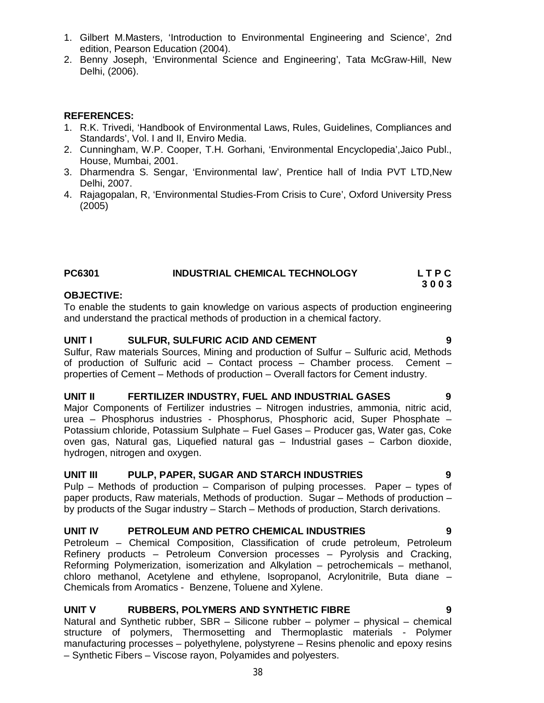- 1. Gilbert M.Masters, 'Introduction to Environmental Engineering and Science', 2nd edition, Pearson Education (2004).
- 2. Benny Joseph, 'Environmental Science and Engineering', Tata McGraw-Hill, New Delhi, (2006).

#### **REFERENCES:**

- 1. R.K. Trivedi, 'Handbook of Environmental Laws, Rules, Guidelines, Compliances and Standards', Vol. I and II, Enviro Media.
- 2. Cunningham, W.P. Cooper, T.H. Gorhani, 'Environmental Encyclopedia',Jaico Publ., House, Mumbai, 2001.
- 3. Dharmendra S. Sengar, 'Environmental law', Prentice hall of India PVT LTD,New Delhi, 2007.
- 4. Rajagopalan, R, 'Environmental Studies-From Crisis to Cure', Oxford University Press (2005)

| <b>PC6301</b> | <b>INDUSTRIAL CHEMICAL TECHNOLOGY</b> | LTPC |
|---------------|---------------------------------------|------|
|               |                                       | 3003 |

#### **OBJECTIVE:**

To enable the students to gain knowledge on various aspects of production engineering and understand the practical methods of production in a chemical factory.

#### **UNIT I SULFUR, SULFURIC ACID AND CEMENT 9**

Sulfur, Raw materials Sources, Mining and production of Sulfur – Sulfuric acid, Methods of production of Sulfuric acid – Contact process – Chamber process. Cement – properties of Cement – Methods of production – Overall factors for Cement industry.

#### **UNIT II FERTILIZER INDUSTRY, FUEL AND INDUSTRIAL GASES 9**

Major Components of Fertilizer industries – Nitrogen industries, ammonia, nitric acid, urea – Phosphorus industries - Phosphorus, Phosphoric acid, Super Phosphate – Potassium chloride, Potassium Sulphate – Fuel Gases – Producer gas, Water gas, Coke oven gas, Natural gas, Liquefied natural gas – Industrial gases – Carbon dioxide, hydrogen, nitrogen and oxygen.

#### **UNIT III PULP, PAPER, SUGAR AND STARCH INDUSTRIES 9**

Pulp – Methods of production – Comparison of pulping processes. Paper – types of paper products, Raw materials, Methods of production. Sugar – Methods of production – by products of the Sugar industry – Starch – Methods of production, Starch derivations.

### **UNIT IV PETROLEUM AND PETRO CHEMICAL INDUSTRIES 9**

Petroleum – Chemical Composition, Classification of crude petroleum, Petroleum Refinery products – Petroleum Conversion processes – Pyrolysis and Cracking, Reforming Polymerization, isomerization and Alkylation – petrochemicals – methanol, chloro methanol, Acetylene and ethylene, Isopropanol, Acrylonitrile, Buta diane – Chemicals from Aromatics - Benzene, Toluene and Xylene.

### **UNIT V RUBBERS, POLYMERS AND SYNTHETIC FIBRE 9**

Natural and Synthetic rubber, SBR – Silicone rubber – polymer – physical – chemical structure of polymers, Thermosetting and Thermoplastic materials - Polymer manufacturing processes – polyethylene, polystyrene – Resins phenolic and epoxy resins – Synthetic Fibers – Viscose rayon, Polyamides and polyesters.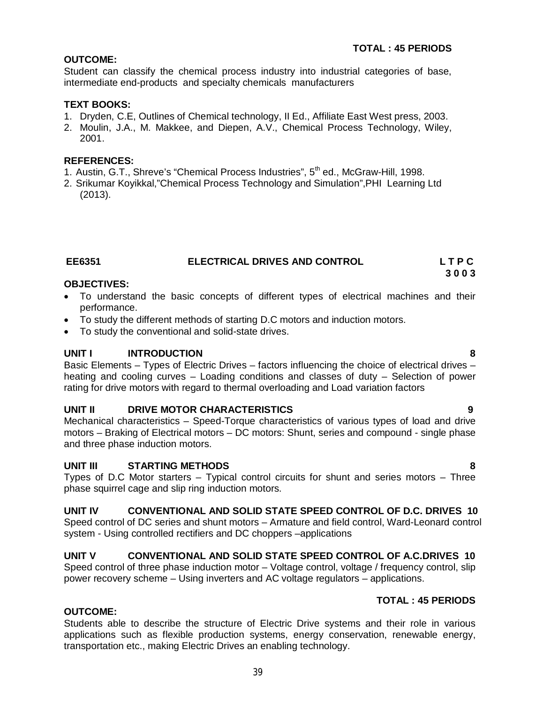# **OUTCOME:**

Student can classify the chemical process industry into industrial categories of base, intermediate end-products and specialty chemicals manufacturers

# **TEXT BOOKS:**

- 1. Dryden, C.E, Outlines of Chemical technology, II Ed., Affiliate East West press, 2003.
- 2. Moulin, J.A., M. Makkee, and Diepen, A.V., Chemical Process Technology, Wiley, 2001.

# **REFERENCES:**

- 1. Austin, G.T., Shreve's "Chemical Process Industries", 5<sup>th</sup> ed., McGraw-Hill, 1998.
- 2. Srikumar Koyikkal,"Chemical Process Technology and Simulation",PHI Learning Ltd (2013).

#### **EE6351 ELECTRICAL DRIVES AND CONTROL L T P C 3 0 0 3**

### **OBJECTIVES:**

- To understand the basic concepts of different types of electrical machines and their performance.
- To study the different methods of starting D.C motors and induction motors.
- To study the conventional and solid-state drives.

# **UNIT I INTRODUCTION 8**

Basic Elements – Types of Electric Drives – factors influencing the choice of electrical drives – heating and cooling curves – Loading conditions and classes of duty – Selection of power rating for drive motors with regard to thermal overloading and Load variation factors

### **UNIT II DRIVE MOTOR CHARACTERISTICS 9**

Mechanical characteristics – Speed-Torque characteristics of various types of load and drive motors – Braking of Electrical motors – DC motors: Shunt, series and compound - single phase and three phase induction motors.

### **UNIT III STARTING METHODS 8**

Types of D.C Motor starters – Typical control circuits for shunt and series motors – Three phase squirrel cage and slip ring induction motors.

### **UNIT IV CONVENTIONAL AND SOLID STATE SPEED CONTROL OF D.C. DRIVES 10**

Speed control of DC series and shunt motors – Armature and field control, Ward-Leonard control system - Using controlled rectifiers and DC choppers –applications

### **UNIT V CONVENTIONAL AND SOLID STATE SPEED CONTROL OF A.C.DRIVES 10**

Speed control of three phase induction motor – Voltage control, voltage / frequency control, slip power recovery scheme – Using inverters and AC voltage regulators – applications.

### **TOTAL : 45 PERIODS**

### **OUTCOME:**

Students able to describe the structure of Electric Drive systems and their role in various applications such as flexible production systems, energy conservation, renewable energy, transportation etc., making Electric Drives an enabling technology.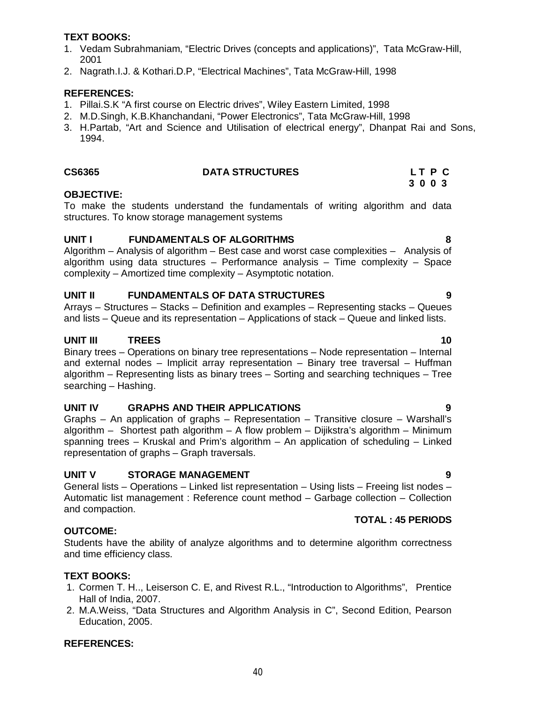#### **TEXT BOOKS:**

- 1. Vedam Subrahmaniam, "Electric Drives (concepts and applications)", Tata McGraw-Hill, 2001
- 2. Nagrath.I.J. & Kothari.D.P, "Electrical Machines", Tata McGraw-Hill, 1998

#### **REFERENCES:**

- 1. Pillai.S.K "A first course on Electric drives", Wiley Eastern Limited, 1998
- 2. M.D.Singh, K.B.Khanchandani, "Power Electronics", Tata McGraw-Hill, 1998
- 3. H.Partab, "Art and Science and Utilisation of electrical energy", Dhanpat Rai and Sons, 1994.

#### **CS6365 DATA STRUCTURES L T P C**

#### **OBJECTIVE:**

To make the students understand the fundamentals of writing algorithm and data structures. To know storage management systems

### **UNIT I FUNDAMENTALS OF ALGORITHMS 8**

Algorithm – Analysis of algorithm – Best case and worst case complexities – Analysis of algorithm using data structures – Performance analysis – Time complexity – Space complexity – Amortized time complexity – Asymptotic notation.

### **UNIT II FUNDAMENTALS OF DATA STRUCTURES 9**

Arrays – Structures – Stacks – Definition and examples – Representing stacks – Queues and lists – Queue and its representation – Applications of stack – Queue and linked lists.

# **UNIT III** TREES 10

Binary trees – Operations on binary tree representations – Node representation – Internal and external nodes – Implicit array representation – Binary tree traversal – Huffman algorithm – Representing lists as binary trees – Sorting and searching techniques – Tree searching – Hashing.

#### **UNIT IV GRAPHS AND THEIR APPLICATIONS 9**

Graphs – An application of graphs – Representation – Transitive closure – Warshall's algorithm – Shortest path algorithm – A flow problem – Dijikstra's algorithm – Minimum spanning trees – Kruskal and Prim's algorithm – An application of scheduling – Linked representation of graphs – Graph traversals.

### **UNIT V STORAGE MANAGEMENT 9**

General lists – Operations – Linked list representation – Using lists – Freeing list nodes – Automatic list management : Reference count method – Garbage collection – Collection and compaction.

# **TOTAL : 45 PERIODS**

# **OUTCOME:**

Students have the ability of analyze algorithms and to determine algorithm correctness and time efficiency class.

# **TEXT BOOKS:**

- 1. Cormen T. H.., Leiserson C. E, and Rivest R.L., "Introduction to Algorithms", Prentice Hall of India, 2007.
- 2. M.A.Weiss, "Data Structures and Algorithm Analysis in C", Second Edition, Pearson Education, 2005.

# **REFERENCES:**

# **3 0 0 3**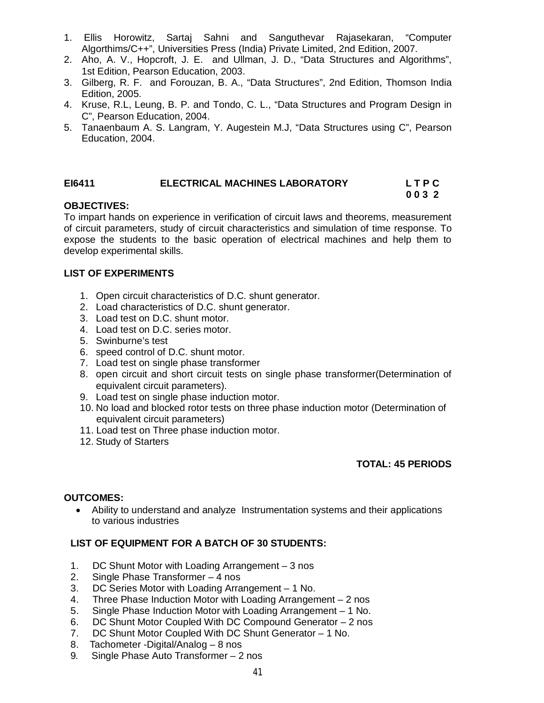- 1. Ellis Horowitz, Sartaj Sahni and Sanguthevar Rajasekaran, "Computer Algorthims/C++", Universities Press (India) Private Limited, 2nd Edition, 2007.
- 2. Aho, A. V., Hopcroft, J. E. and Ullman, J. D., "Data Structures and Algorithms", 1st Edition, Pearson Education, 2003.
- 3. Gilberg, R. F. and Forouzan, B. A., "Data Structures", 2nd Edition, Thomson India Edition, 2005.
- 4. Kruse, R.L, Leung, B. P. and Tondo, C. L., "Data Structures and Program Design in C", Pearson Education, 2004.
- 5. Tanaenbaum A. S. Langram, Y. Augestein M.J, "Data Structures using C", Pearson Education, 2004.

### **EI6411 ELECTRICAL MACHINES LABORATORY L T P C**

# **0 0 3 2**

# **OBJECTIVES:**

To impart hands on experience in verification of circuit laws and theorems, measurement of circuit parameters, study of circuit characteristics and simulation of time response. To expose the students to the basic operation of electrical machines and help them to develop experimental skills.

#### **LIST OF EXPERIMENTS**

- 1. Open circuit characteristics of D.C. shunt generator.
- 2. Load characteristics of D.C. shunt generator.
- 3. Load test on D.C. shunt motor.
- 4. Load test on D.C. series motor.
- 5. Swinburne's test
- 6. speed control of D.C. shunt motor.
- 7. Load test on single phase transformer
- 8. open circuit and short circuit tests on single phase transformer(Determination of equivalent circuit parameters).
- 9. Load test on single phase induction motor.
- 10. No load and blocked rotor tests on three phase induction motor (Determination of equivalent circuit parameters)
- 11. Load test on Three phase induction motor.
- 12. Study of Starters

### **TOTAL: 45 PERIODS**

#### **OUTCOMES:**

 Ability to understand and analyze Instrumentation systems and their applications to various industries

# **LIST OF EQUIPMENT FOR A BATCH OF 30 STUDENTS:**

- 1. DC Shunt Motor with Loading Arrangement 3 nos
- 2. Single Phase Transformer 4 nos
- 3. DC Series Motor with Loading Arrangement 1 No.
- 4. Three Phase Induction Motor with Loading Arrangement 2 nos
- 5. Single Phase Induction Motor with Loading Arrangement 1 No.
- 6. DC Shunt Motor Coupled With DC Compound Generator 2 nos
- 7. DC Shunt Motor Coupled With DC Shunt Generator 1 No.
- 8. Tachometer -Digital/Analog 8 nos
- 9. Single Phase Auto Transformer 2 nos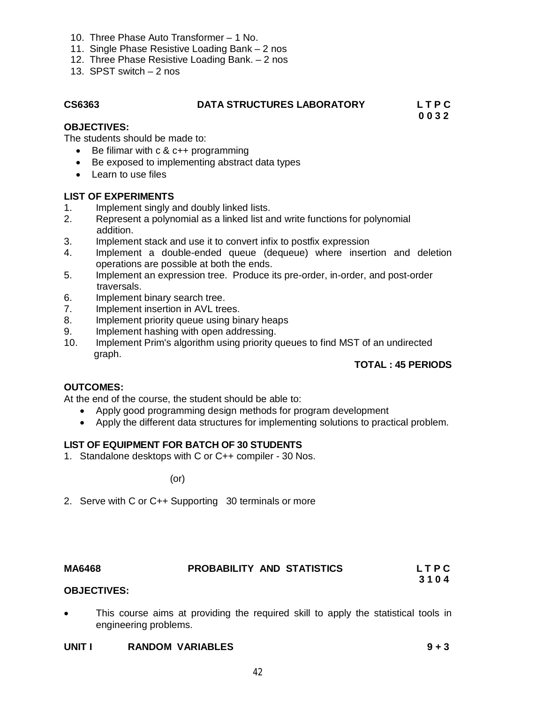- 10. Three Phase Auto Transformer 1 No.
- 11. Single Phase Resistive Loading Bank 2 nos
- 12. Three Phase Resistive Loading Bank. 2 nos
- 13. SPST switch 2 nos

# **CS6363 DATA STRUCTURES LABORATORY L T P C**

 **0 0 3 2 OBJECTIVES:**

The students should be made to:

- $\bullet$  Be filimar with c & c++ programming
- Be exposed to implementing abstract data types
- Learn to use files

# **LIST OF EXPERIMENTS**

- 1. Implement singly and doubly linked lists.
- 2. Represent a polynomial as a linked list and write functions for polynomial addition.
- 3. Implement stack and use it to convert infix to postfix expression
- 4. Implement a double-ended queue (dequeue) where insertion and deletion operations are possible at both the ends.
- 5. Implement an expression tree. Produce its pre-order, in-order, and post-order traversals.
- 6. Implement binary search tree.
- 7. Implement insertion in AVL trees.
- 8. Implement priority queue using binary heaps
- 9. Implement hashing with open addressing.
- 10. Implement Prim's algorithm using priority queues to find MST of an undirected graph.

# **TOTAL : 45 PERIODS**

### **OUTCOMES:**

At the end of the course, the student should be able to:

- Apply good programming design methods for program development
- Apply the different data structures for implementing solutions to practical problem.

# **LIST OF EQUIPMENT FOR BATCH OF 30 STUDENTS**

1. Standalone desktops with C or C++ compiler - 30 Nos.

(or)

2. Serve with C or C++ Supporting 30 terminals or more

# **MA6468 PROBABILITY AND STATISTICS L T P C 3 1 0 4**

- **OBJECTIVES:**
- This course aims at providing the required skill to apply the statistical tools in engineering problems.

### **UNIT I RANDOM VARIABLES 9 + 3**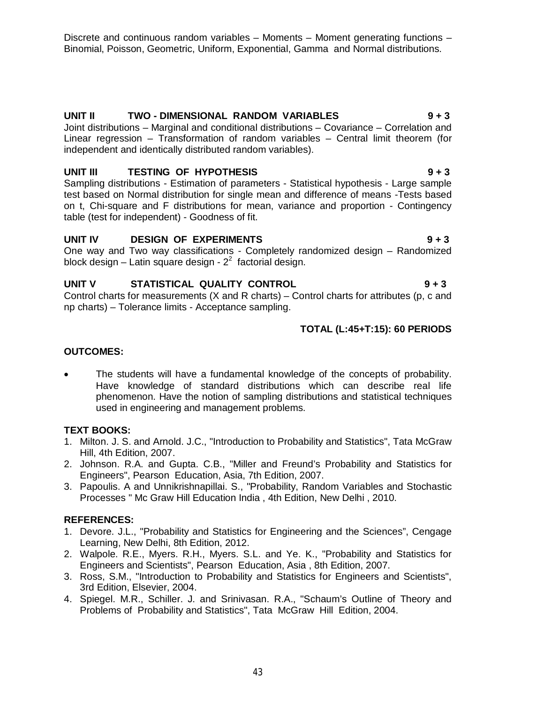Discrete and continuous random variables – Moments – Moment generating functions – Binomial, Poisson, Geometric, Uniform, Exponential, Gamma and Normal distributions.

# **UNIT II TWO - DIMENSIONAL RANDOM VARIABLES 9 + 3**

Joint distributions – Marginal and conditional distributions – Covariance – Correlation and Linear regression – Transformation of random variables – Central limit theorem (for independent and identically distributed random variables).

# **UNIT III TESTING OF HYPOTHESIS 9 + 3**

Sampling distributions - Estimation of parameters - Statistical hypothesis - Large sample test based on Normal distribution for single mean and difference of means -Tests based on t, Chi-square and F distributions for mean, variance and proportion - Contingency table (test for independent) - Goodness of fit.

# UNIT IV DESIGN OF EXPERIMENTS 9 + 3

One way and Two way classifications - Completely randomized design – Randomized block design – Latin square design -  $2^2$  factorial design.

# **UNIT V STATISTICAL QUALITY CONTROL 9 + 3**

Control charts for measurements (X and R charts) – Control charts for attributes (p, c and np charts) – Tolerance limits - Acceptance sampling.

# **TOTAL (L:45+T:15): 60 PERIODS**

# **OUTCOMES:**

 The students will have a fundamental knowledge of the concepts of probability. Have knowledge of standard distributions which can describe real life phenomenon. Have the notion of sampling distributions and statistical techniques used in engineering and management problems.

### **TEXT BOOKS:**

- 1. Milton. J. S. and Arnold. J.C., "Introduction to Probability and Statistics", Tata McGraw Hill, 4th Edition, 2007.
- 2. Johnson. R.A. and Gupta. C.B., "Miller and Freund's Probability and Statistics for Engineers", Pearson Education, Asia, 7th Edition, 2007.
- 3. Papoulis. A and Unnikrishnapillai. S., "Probability, Random Variables and Stochastic Processes " Mc Graw Hill Education India , 4th Edition, New Delhi , 2010.

- 1. Devore. J.L., "Probability and Statistics for Engineering and the Sciences", Cengage Learning, New Delhi, 8th Edition, 2012.
- 2. Walpole. R.E., Myers. R.H., Myers. S.L. and Ye. K., "Probability and Statistics for Engineers and Scientists", Pearson Education, Asia , 8th Edition, 2007.
- 3. Ross, S.M., "Introduction to Probability and Statistics for Engineers and Scientists", 3rd Edition, Elsevier, 2004.
- 4. Spiegel. M.R., Schiller. J. and Srinivasan. R.A., "Schaum's Outline of Theory and Problems of Probability and Statistics", Tata McGraw Hill Edition, 2004.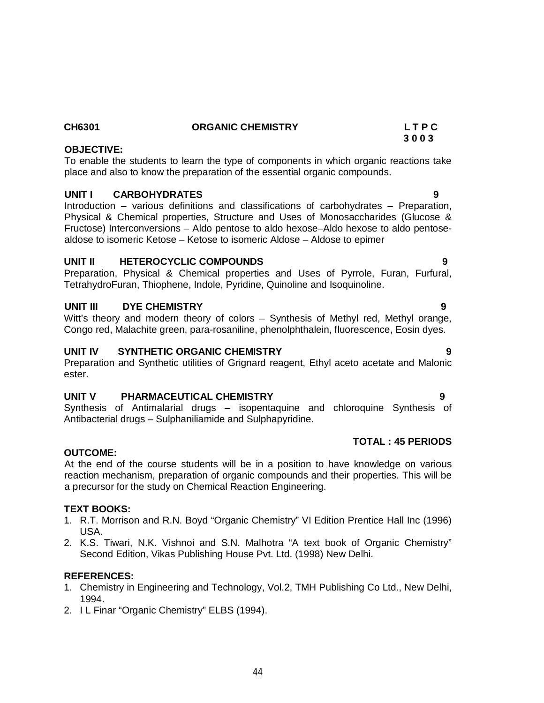#### **CH6301 ORGANIC CHEMISTRY L T P C 3 0 0 3**

# **OBJECTIVE:**

To enable the students to learn the type of components in which organic reactions take place and also to know the preparation of the essential organic compounds.

# **UNIT I CARBOHYDRATES 9**

Introduction – various definitions and classifications of carbohydrates – Preparation, Physical & Chemical properties, Structure and Uses of Monosaccharides (Glucose & Fructose) Interconversions – Aldo pentose to aldo hexose–Aldo hexose to aldo pentosealdose to isomeric Ketose – Ketose to isomeric Aldose – Aldose to epimer

# **UNIT II HETEROCYCLIC COMPOUNDS 9**

Preparation, Physical & Chemical properties and Uses of Pyrrole, Furan, Furfural, TetrahydroFuran, Thiophene, Indole, Pyridine, Quinoline and Isoquinoline.

# **UNIT III DYE CHEMISTRY 9**

Witt's theory and modern theory of colors – Synthesis of Methyl red, Methyl orange, Congo red, Malachite green, para-rosaniline, phenolphthalein, fluorescence, Eosin dyes.

# UNIT IV SYNTHETIC ORGANIC CHEMISTRY

Preparation and Synthetic utilities of Grignard reagent, Ethyl aceto acetate and Malonic ester.

### **UNIT V PHARMACEUTICAL CHEMISTRY 9**

Synthesis of Antimalarial drugs – isopentaquine and chloroquine Synthesis of Antibacterial drugs – Sulphaniliamide and Sulphapyridine.

#### **OUTCOME:**

At the end of the course students will be in a position to have knowledge on various reaction mechanism, preparation of organic compounds and their properties. This will be a precursor for the study on Chemical Reaction Engineering.

### **TEXT BOOKS:**

- 1. R.T. Morrison and R.N. Boyd "Organic Chemistry" VI Edition Prentice Hall Inc (1996) USA.
- 2. K.S. Tiwari, N.K. Vishnoi and S.N. Malhotra "A text book of Organic Chemistry" Second Edition, Vikas Publishing House Pvt. Ltd. (1998) New Delhi.

### **REFERENCES:**

- 1. Chemistry in Engineering and Technology, Vol.2, TMH Publishing Co Ltd., New Delhi, 1994.
- 2. I L Finar "Organic Chemistry" ELBS (1994).

**TOTAL : 45 PERIODS**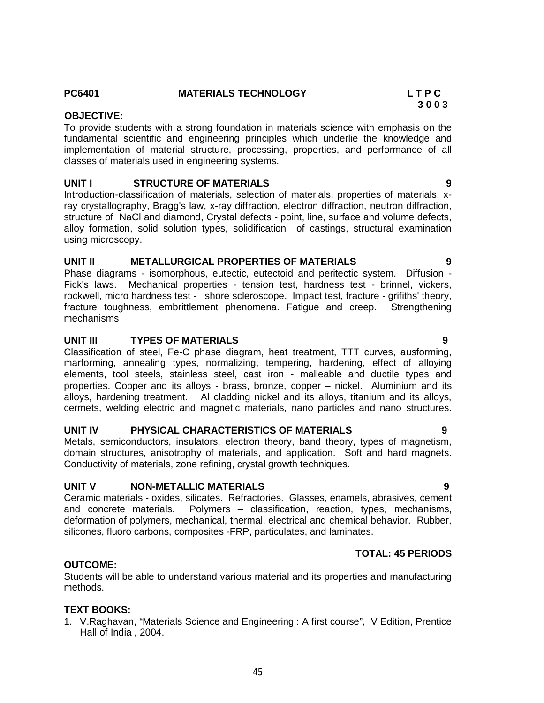# **PC6401 MATERIALS TECHNOLOGY L T P C**

#### **3 0 0 3 OBJECTIVE:**

To provide students with a strong foundation in materials science with emphasis on the fundamental scientific and engineering principles which underlie the knowledge and implementation of material structure, processing, properties, and performance of all classes of materials used in engineering systems.

### **UNIT I STRUCTURE OF MATERIALS 9**

Introduction-classification of materials, selection of materials, properties of materials, xray crystallography, Bragg's law, x-ray diffraction, electron diffraction, neutron diffraction, structure of NaCl and diamond, Crystal defects - point, line, surface and volume defects, alloy formation, solid solution types, solidification of castings, structural examination using microscopy.

#### **UNIT II METALLURGICAL PROPERTIES OF MATERIALS 9**

Phase diagrams - isomorphous, eutectic, eutectoid and peritectic system. Diffusion - Fick's laws. Mechanical properties - tension test, hardness test - brinnel, vickers, rockwell, micro hardness test - shore scleroscope. Impact test, fracture - grifiths' theory, fracture toughness, embrittlement phenomena. Fatigue and creep. Strengthening mechanisms

#### **UNIT III TYPES OF MATERIALS 9**

Classification of steel, Fe-C phase diagram, heat treatment, TTT curves, ausforming, marforming, annealing types, normalizing, tempering, hardening, effect of alloying elements, tool steels, stainless steel, cast iron - malleable and ductile types and properties. Copper and its alloys - brass, bronze, copper – nickel. Aluminium and its alloys, hardening treatment. Al cladding nickel and its alloys, titanium and its alloys, cermets, welding electric and magnetic materials, nano particles and nano structures.

### **UNIT IV PHYSICAL CHARACTERISTICS OF MATERIALS 9**

Metals, semiconductors, insulators, electron theory, band theory, types of magnetism, domain structures, anisotrophy of materials, and application. Soft and hard magnets. Conductivity of materials, zone refining, crystal growth techniques.

#### **UNIT V NON-METALLIC MATERIALS 9**

Ceramic materials - oxides, silicates. Refractories. Glasses, enamels, abrasives, cement and concrete materials. Polymers – classification, reaction, types, mechanisms, deformation of polymers, mechanical, thermal, electrical and chemical behavior. Rubber, silicones, fluoro carbons, composites -FRP, particulates, and laminates.

### **TOTAL: 45 PERIODS**

# **OUTCOME:**

Students will be able to understand various material and its properties and manufacturing methods.

#### **TEXT BOOKS:**

1. V.Raghavan, "Materials Science and Engineering : A first course", V Edition, Prentice Hall of India , 2004.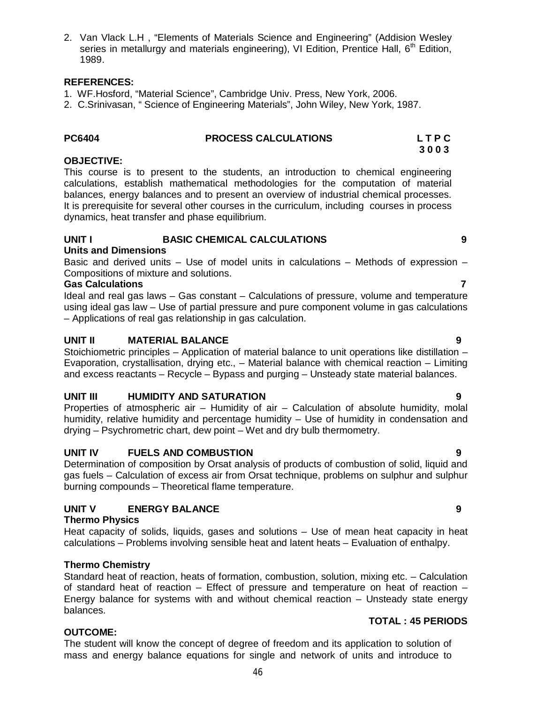2. Van Vlack L.H , "Elements of Materials Science and Engineering" (Addision Wesley series in metallurgy and materials engineering), VI Edition, Prentice Hall, 6<sup>th</sup> Edition, 1989.

#### **REFERENCES:**

- 1. WF.Hosford, "Material Science", Cambridge Univ. Press, New York, 2006.
- 2. C.Srinivasan, " Science of Engineering Materials", John Wiley, New York, 1987.

#### **PC6404 PROCESS CALCULATIONS L T P C 3 0 0 3**

# **OBJECTIVE:**

This course is to present to the students, an introduction to chemical engineering calculations, establish mathematical methodologies for the computation of material balances, energy balances and to present an overview of industrial chemical processes. It is prerequisite for several other courses in the curriculum, including courses in process dynamics, heat transfer and phase equilibrium.

#### **UNIT I BASIC CHEMICAL CALCULATIONS 9 Units and Dimensions**

Basic and derived units – Use of model units in calculations – Methods of expression – Compositions of mixture and solutions.

#### **Gas Calculations 7**

Ideal and real gas laws – Gas constant – Calculations of pressure, volume and temperature using ideal gas law – Use of partial pressure and pure component volume in gas calculations – Applications of real gas relationship in gas calculation.

### **UNIT II MATERIAL BALANCE 9**

Stoichiometric principles – Application of material balance to unit operations like distillation – Evaporation, crystallisation, drying etc., – Material balance with chemical reaction – Limiting and excess reactants – Recycle – Bypass and purging – Unsteady state material balances.

### **UNIT III HUMIDITY AND SATURATION 9**

Properties of atmospheric air – Humidity of air – Calculation of absolute humidity, molal humidity, relative humidity and percentage humidity – Use of humidity in condensation and drying – Psychrometric chart, dew point – Wet and dry bulb thermometry.

### **UNIT IV FUELS AND COMBUSTION 9**

Determination of composition by Orsat analysis of products of combustion of solid, liquid and gas fuels – Calculation of excess air from Orsat technique, problems on sulphur and sulphur burning compounds – Theoretical flame temperature.

# **UNIT V ENERGY BALANCE 9**

### **Thermo Physics**

Heat capacity of solids, liquids, gases and solutions – Use of mean heat capacity in heat calculations – Problems involving sensible heat and latent heats – Evaluation of enthalpy.

### **Thermo Chemistry**

Standard heat of reaction, heats of formation, combustion, solution, mixing etc. – Calculation of standard heat of reaction – Effect of pressure and temperature on heat of reaction – Energy balance for systems with and without chemical reaction – Unsteady state energy

### **TOTAL : 45 PERIODS**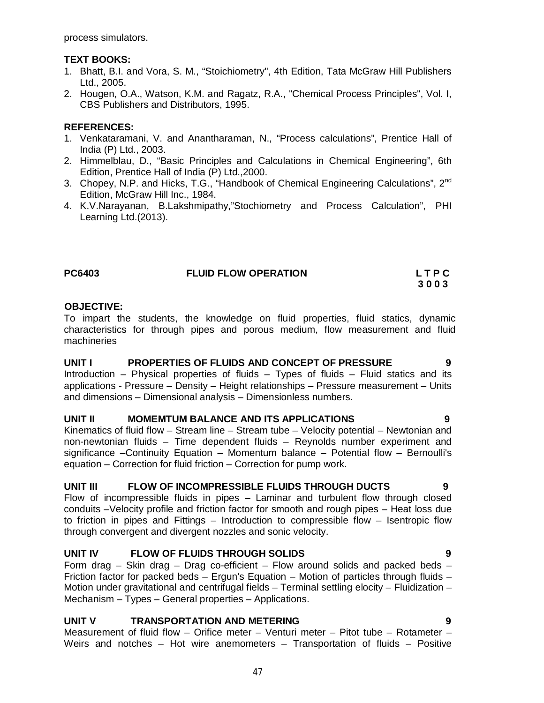process simulators.

#### **TEXT BOOKS:**

- 1. Bhatt, B.I. and Vora, S. M., "Stoichiometry", 4th Edition, Tata McGraw Hill Publishers Ltd., 2005.
- 2. Hougen, O.A., Watson, K.M. and Ragatz, R.A., "Chemical Process Principles", Vol. I, CBS Publishers and Distributors, 1995.

### **REFERENCES:**

- 1. Venkataramani, V. and Anantharaman, N., "Process calculations", Prentice Hall of India (P) Ltd., 2003.
- 2. Himmelblau, D., "Basic Principles and Calculations in Chemical Engineering", 6th Edition, Prentice Hall of India (P) Ltd.,2000.
- 3. Chopey, N.P. and Hicks, T.G., "Handbook of Chemical Engineering Calculations", 2<sup>nd</sup> Edition, McGraw Hill Inc., 1984.
- 4. K.V.Narayanan, B.Lakshmipathy,"Stochiometry and Process Calculation", PHI Learning Ltd.(2013).

### **PC6403 FLUID FLOW OPERATION L T P C**

# **3 0 0 3**

#### **OBJECTIVE:**

To impart the students, the knowledge on fluid properties, fluid statics, dynamic characteristics for through pipes and porous medium, flow measurement and fluid machineries

#### **UNIT I PROPERTIES OF FLUIDS AND CONCEPT OF PRESSURE 9**  Introduction – Physical properties of fluids – Types of fluids – Fluid statics and its applications - Pressure – Density – Height relationships – Pressure measurement – Units and dimensions – Dimensional analysis – Dimensionless numbers.

#### **UNIT II MOMEMTUM BALANCE AND ITS APPLICATIONS 9**

Kinematics of fluid flow – Stream line – Stream tube – Velocity potential – Newtonian and non-newtonian fluids – Time dependent fluids – Reynolds number experiment and significance –Continuity Equation – Momentum balance – Potential flow – Bernoulli's equation – Correction for fluid friction – Correction for pump work.

### **UNIT III FLOW OF INCOMPRESSIBLE FLUIDS THROUGH DUCTS 9**

Flow of incompressible fluids in pipes – Laminar and turbulent flow through closed conduits –Velocity profile and friction factor for smooth and rough pipes – Heat loss due to friction in pipes and Fittings – Introduction to compressible flow – Isentropic flow through convergent and divergent nozzles and sonic velocity.

### **UNIT IV FLOW OF FLUIDS THROUGH SOLIDS 9**

Form drag – Skin drag – Drag co-efficient – Flow around solids and packed beds – Friction factor for packed beds – Ergun's Equation – Motion of particles through fluids – Motion under gravitational and centrifugal fields – Terminal settling elocity – Fluidization – Mechanism – Types – General properties – Applications.

# **UNIT V TRANSPORTATION AND METERING 9**

Measurement of fluid flow – Orifice meter – Venturi meter – Pitot tube – Rotameter – Weirs and notches – Hot wire anemometers – Transportation of fluids – Positive

47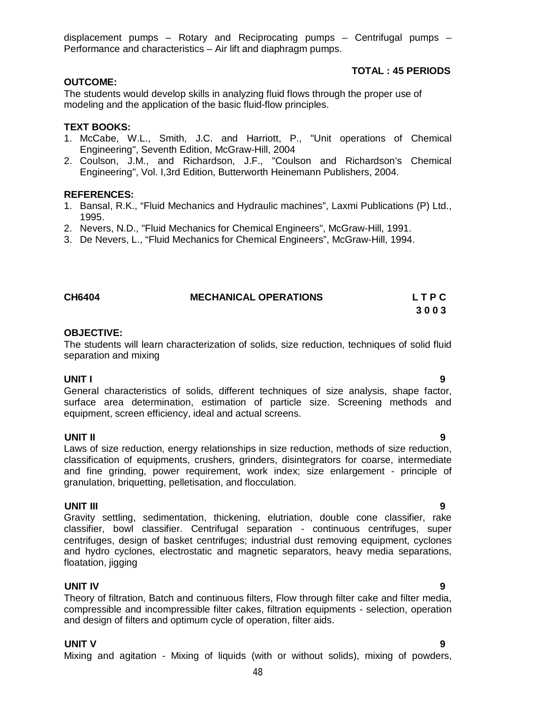displacement pumps – Rotary and Reciprocating pumps – Centrifugal pumps – Performance and characteristics – Air lift and diaphragm pumps.

# **OUTCOME:**

The students would develop skills in analyzing fluid flows through the proper use of modeling and the application of the basic fluid-flow principles.

#### **TEXT BOOKS:**

- 1. McCabe, W.L., Smith, J.C. and Harriott, P., "Unit operations of Chemical Engineering", Seventh Edition, McGraw-Hill, 2004
- 2. Coulson, J.M., and Richardson, J.F., "Coulson and Richardson's Chemical Engineering", Vol. I,3rd Edition, Butterworth Heinemann Publishers, 2004.

#### **REFERENCES:**

- 1. Bansal, R.K., "Fluid Mechanics and Hydraulic machines", Laxmi Publications (P) Ltd., 1995.
- 2. Nevers, N.D., "Fluid Mechanics for Chemical Engineers", McGraw-Hill, 1991.
- 3. De Nevers, L., "Fluid Mechanics for Chemical Engineers", McGraw-Hill, 1994.

# **CH6404 MECHANICAL OPERATIONS L T P C**

#### **OBJECTIVE:**

The students will learn characterization of solids, size reduction, techniques of solid fluid separation and mixing

# **UNIT I 9**

General characteristics of solids, different techniques of size analysis, shape factor, surface area determination, estimation of particle size. Screening methods and equipment, screen efficiency, ideal and actual screens.

# **UNIT II 9**

Laws of size reduction, energy relationships in size reduction, methods of size reduction, classification of equipments, crushers, grinders, disintegrators for coarse, intermediate and fine grinding, power requirement, work index; size enlargement - principle of granulation, briquetting, pelletisation, and flocculation.

#### **UNIT III 9**

Gravity settling, sedimentation, thickening, elutriation, double cone classifier, rake classifier, bowl classifier. Centrifugal separation - continuous centrifuges, super centrifuges, design of basket centrifuges; industrial dust removing equipment, cyclones and hydro cyclones, electrostatic and magnetic separators, heavy media separations, floatation, jigging

### **UNIT IV 9**

Theory of filtration, Batch and continuous filters, Flow through filter cake and filter media, compressible and incompressible filter cakes, filtration equipments - selection, operation and design of filters and optimum cycle of operation, filter aids.

# **UNIT V 9**

Mixing and agitation - Mixing of liquids (with or without solids), mixing of powders,

**3 0 0 3**

 **TOTAL : 45 PERIODS**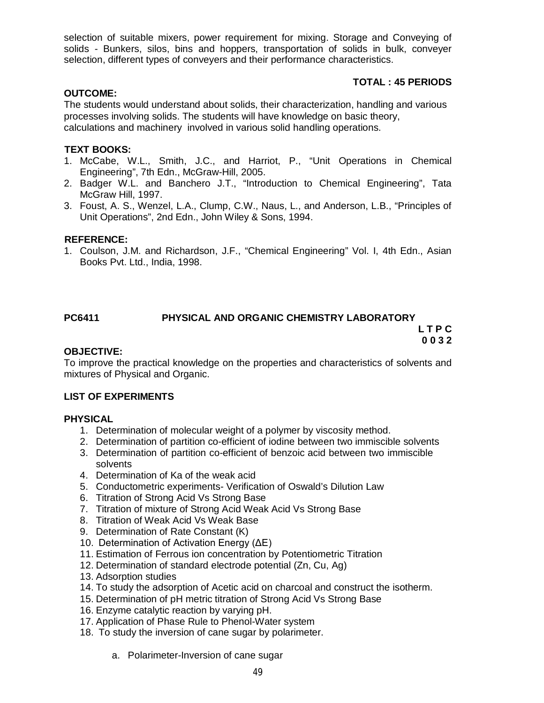selection of suitable mixers, power requirement for mixing. Storage and Conveying of solids - Bunkers, silos, bins and hoppers, transportation of solids in bulk, conveyer selection, different types of conveyers and their performance characteristics.

# **TOTAL : 45 PERIODS**

#### **OUTCOME:**

The students would understand about solids, their characterization, handling and various processes involving solids. The students will have knowledge on basic theory, calculations and machinery involved in various solid handling operations.

#### **TEXT BOOKS:**

- 1. McCabe, W.L., Smith, J.C., and Harriot, P., "Unit Operations in Chemical Engineering", 7th Edn., McGraw-Hill, 2005.
- 2. Badger W.L. and Banchero J.T., "Introduction to Chemical Engineering", Tata McGraw Hill, 1997.
- 3. Foust, A. S., Wenzel, L.A., Clump, C.W., Naus, L., and Anderson, L.B., "Principles of Unit Operations", 2nd Edn., John Wiley & Sons, 1994.

#### **REFERENCE:**

1. Coulson, J.M. and Richardson, J.F., "Chemical Engineering" Vol. I, 4th Edn., Asian Books Pvt. Ltd., India, 1998.

#### **PC6411 PHYSICAL AND ORGANIC CHEMISTRY LABORATORY L T P C 0 0 3 2**

#### **OBJECTIVE:**

To improve the practical knowledge on the properties and characteristics of solvents and mixtures of Physical and Organic.

#### **LIST OF EXPERIMENTS**

#### **PHYSICAL**

- 1. Determination of molecular weight of a polymer by viscosity method.
- 2. Determination of partition co-efficient of iodine between two immiscible solvents
- 3. Determination of partition co-efficient of benzoic acid between two immiscible solvents
- 4. Determination of Ka of the weak acid
- 5. Conductometric experiments- Verification of Oswald's Dilution Law
- 6. Titration of Strong Acid Vs Strong Base
- 7. Titration of mixture of Strong Acid Weak Acid Vs Strong Base
- 8. Titration of Weak Acid Vs Weak Base
- 9. Determination of Rate Constant (K)
- 10. Determination of Activation Energy (ΔE)
- 11. Estimation of Ferrous ion concentration by Potentiometric Titration
- 12. Determination of standard electrode potential (Zn, Cu, Ag)
- 13. Adsorption studies
- 14. To study the adsorption of Acetic acid on charcoal and construct the isotherm.
- 15. Determination of pH metric titration of Strong Acid Vs Strong Base
- 16. Enzyme catalytic reaction by varying pH.
- 17. Application of Phase Rule to Phenol-Water system
- 18. To study the inversion of cane sugar by polarimeter.
	- a. Polarimeter-Inversion of cane sugar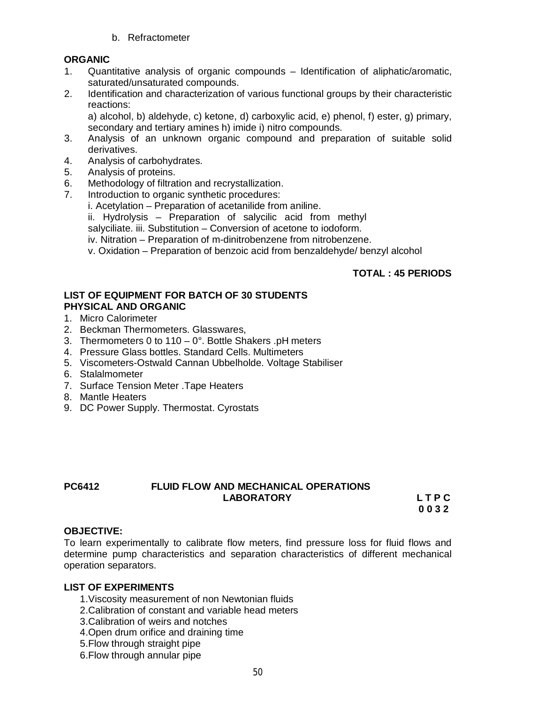b. Refractometer

# **ORGANIC**

- 1. Quantitative analysis of organic compounds Identification of aliphatic/aromatic, saturated/unsaturated compounds.
- 2. Identification and characterization of various functional groups by their characteristic reactions:

a) alcohol, b) aldehyde, c) ketone, d) carboxylic acid, e) phenol, f) ester, g) primary, secondary and tertiary amines h) imide i) nitro compounds.

- 3. Analysis of an unknown organic compound and preparation of suitable solid derivatives.
- 4. Analysis of carbohydrates.
- 5. Analysis of proteins.
- 6. Methodology of filtration and recrystallization.
- 7. Introduction to organic synthetic procedures:
	- i. Acetylation Preparation of acetanilide from aniline.
	- ii. Hydrolysis Preparation of salycilic acid from methyl

salyciliate. iii. Substitution – Conversion of acetone to iodoform.

- iv. Nitration Preparation of m-dinitrobenzene from nitrobenzene.
- v. Oxidation Preparation of benzoic acid from benzaldehyde/ benzyl alcohol

### **TOTAL : 45 PERIODS**

#### **LIST OF EQUIPMENT FOR BATCH OF 30 STUDENTS PHYSICAL AND ORGANIC**

- 1. Micro Calorimeter
- 2. Beckman Thermometers. Glasswares,
- 3. Thermometers 0 to 110 0°. Bottle Shakers .pH meters
- 4. Pressure Glass bottles. Standard Cells. Multimeters
- 5. Viscometers-Ostwald Cannan Ubbelholde. Voltage Stabiliser
- 6. Stalalmometer
- 7. Surface Tension Meter .Tape Heaters
- 8. Mantle Heaters
- 9. DC Power Supply. Thermostat. Cyrostats

### **PC6412 FLUID FLOW AND MECHANICAL OPERATIONS LABORATORY L T P C**

**0 0 3 2**

#### **OBJECTIVE:**

To learn experimentally to calibrate flow meters, find pressure loss for fluid flows and determine pump characteristics and separation characteristics of different mechanical operation separators.

#### **LIST OF EXPERIMENTS**

- 1.Viscosity measurement of non Newtonian fluids
- 2.Calibration of constant and variable head meters
- 3.Calibration of weirs and notches
- 4.Open drum orifice and draining time
- 5.Flow through straight pipe
- 6.Flow through annular pipe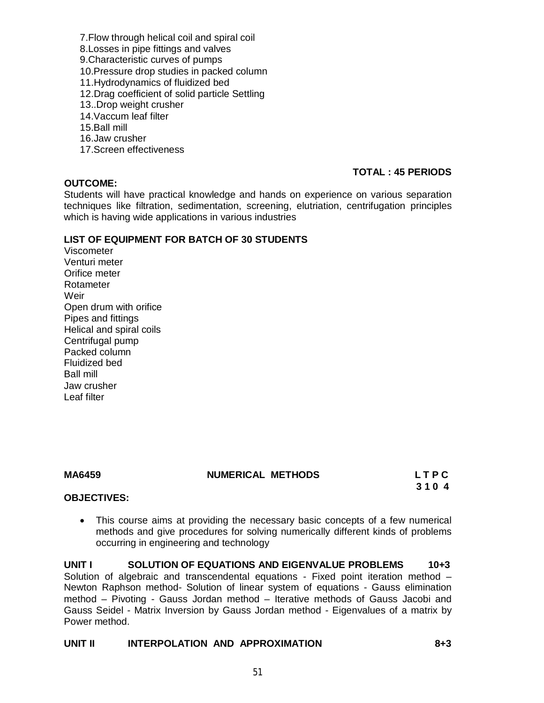- 7.Flow through helical coil and spiral coil
- 8.Losses in pipe fittings and valves
- 9.Characteristic curves of pumps
- 10.Pressure drop studies in packed column
- 11.Hydrodynamics of fluidized bed
- 12.Drag coefficient of solid particle Settling
- 13..Drop weight crusher
- 14.Vaccum leaf filter
- 15.Ball mill
- 16.Jaw crusher
- 17.Screen effectiveness

#### **OUTCOME:**

### **TOTAL : 45 PERIODS**

Students will have practical knowledge and hands on experience on various separation techniques like filtration, sedimentation, screening, elutriation, centrifugation principles which is having wide applications in various industries

#### **LIST OF EQUIPMENT FOR BATCH OF 30 STUDENTS**

Viscometer Venturi meter Orifice meter Rotameter **Weir** Open drum with orifice Pipes and fittings Helical and spiral coils Centrifugal pump Packed column Fluidized bed Ball mill Jaw crusher Leaf filter

#### **MA6459 NUMERICAL METHODS L T P C**

 **3 1 0 4**

#### **OBJECTIVES:**

 This course aims at providing the necessary basic concepts of a few numerical methods and give procedures for solving numerically different kinds of problems occurring in engineering and technology

**UNIT I SOLUTION OF EQUATIONS AND EIGENVALUE PROBLEMS 10+3** Solution of algebraic and transcendental equations - Fixed point iteration method – Newton Raphson method- Solution of linear system of equations - Gauss elimination method – Pivoting - Gauss Jordan method – Iterative methods of Gauss Jacobi and Gauss Seidel - Matrix Inversion by Gauss Jordan method - Eigenvalues of a matrix by Power method.

#### **UNIT II INTERPOLATION AND APPROXIMATION 8+3**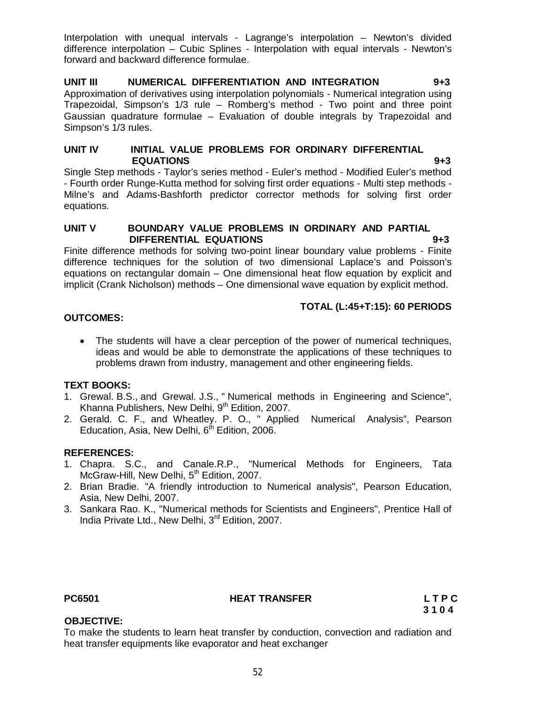Interpolation with unequal intervals - Lagrange's interpolation – Newton's divided difference interpolation – Cubic Splines - Interpolation with equal intervals - Newton's forward and backward difference formulae.

#### **UNIT III NUMERICAL DIFFERENTIATION AND INTEGRATION 9+3** Approximation of derivatives using interpolation polynomials - Numerical integration using Trapezoidal, Simpson's 1/3 rule – Romberg's method - Two point and three point Gaussian quadrature formulae – Evaluation of double integrals by Trapezoidal and Simpson's 1/3 rules.

### **UNIT IV INITIAL VALUE PROBLEMS FOR ORDINARY DIFFERENTIAL EQUATIONS 9+3**

Single Step methods - Taylor's series method - Euler's method - Modified Euler's method - Fourth order Runge-Kutta method for solving first order equations - Multi step methods - Milne's and Adams-Bashforth predictor corrector methods for solving first order equations.

#### **UNIT V BOUNDARY VALUE PROBLEMS IN ORDINARY AND PARTIAL DIFFERENTIAL EQUATIONS 9+3**

Finite difference methods for solving two-point linear boundary value problems - Finite difference techniques for the solution of two dimensional Laplace's and Poisson's equations on rectangular domain – One dimensional heat flow equation by explicit and implicit (Crank Nicholson) methods – One dimensional wave equation by explicit method.

# **TOTAL (L:45+T:15): 60 PERIODS**

# **OUTCOMES:**

 The students will have a clear perception of the power of numerical techniques, ideas and would be able to demonstrate the applications of these techniques to problems drawn from industry, management and other engineering fields.

### **TEXT BOOKS:**

- 1. Grewal. B.S., and Grewal. J.S., " Numerical methods in Engineering and Science", Khanna Publishers, New Delhi, 9<sup>th</sup> Edition, 2007.
- 2. Gerald. C. F., and Wheatley. P. O., " Applied Numerical Analysis", Pearson Education, Asia, New Delhi,  $6<sup>th</sup>$  Edition, 2006.

# **REFERENCES:**

- 1. Chapra. S.C., and Canale.R.P., "Numerical Methods for Engineers, Tata McGraw-Hill, New Delhi, 5<sup>th</sup> Edition, 2007.
- 2. Brian Bradie. "A friendly introduction to Numerical analysis", Pearson Education, Asia, New Delhi, 2007.
- 3. Sankara Rao. K., "Numerical methods for Scientists and Engineers", Prentice Hall of India Private Ltd., New Delhi, 3<sup>rd</sup> Edition, 2007.

### **PC6501 HEAT TRANSFER L T P C**

 **3 1 0 4**

# **OBJECTIVE:**

To make the students to learn heat transfer by conduction, convection and radiation and heat transfer equipments like evaporator and heat exchanger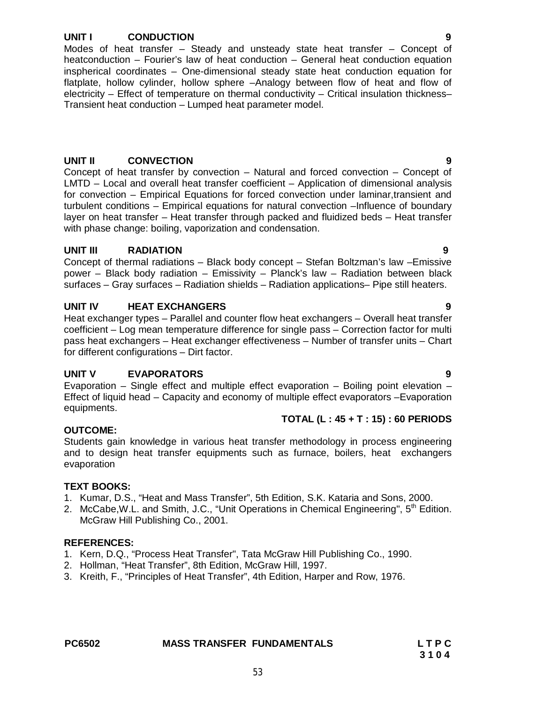# **UNIT I CONDUCTION 9**

Modes of heat transfer – Steady and unsteady state heat transfer – Concept of heatconduction – Fourier's law of heat conduction – General heat conduction equation inspherical coordinates – One-dimensional steady state heat conduction equation for flatplate, hollow cylinder, hollow sphere –Analogy between flow of heat and flow of electricity – Effect of temperature on thermal conductivity – Critical insulation thickness– Transient heat conduction – Lumped heat parameter model.

# **UNIT II CONVECTION 9**

Concept of heat transfer by convection – Natural and forced convection – Concept of LMTD – Local and overall heat transfer coefficient – Application of dimensional analysis for convection – Empirical Equations for forced convection under laminar,transient and turbulent conditions – Empirical equations for natural convection –Influence of boundary layer on heat transfer – Heat transfer through packed and fluidized beds – Heat transfer with phase change: boiling, vaporization and condensation.

# **UNIT III RADIATION 9**

Concept of thermal radiations – Black body concept – Stefan Boltzman's law –Emissive power – Black body radiation – Emissivity – Planck's law – Radiation between black surfaces – Gray surfaces – Radiation shields – Radiation applications– Pipe still heaters.

# **UNIT IV HEAT EXCHANGERS 9**

Heat exchanger types – Parallel and counter flow heat exchangers – Overall heat transfer coefficient – Log mean temperature difference for single pass – Correction factor for multi pass heat exchangers – Heat exchanger effectiveness – Number of transfer units – Chart for different configurations – Dirt factor.

### **UNIT V EVAPORATORS 9**

Evaporation – Single effect and multiple effect evaporation – Boiling point elevation – Effect of liquid head – Capacity and economy of multiple effect evaporators –Evaporation equipments.

### **TOTAL (L : 45 + T : 15) : 60 PERIODS**

### **OUTCOME:**

Students gain knowledge in various heat transfer methodology in process engineering and to design heat transfer equipments such as furnace, boilers, heat exchangers evaporation

### **TEXT BOOKS:**

- 1. Kumar, D.S., "Heat and Mass Transfer", 5th Edition, S.K. Kataria and Sons, 2000.
- 2. McCabe, W.L. and Smith, J.C., "Unit Operations in Chemical Engineering", 5<sup>th</sup> Edition. McGraw Hill Publishing Co., 2001.

- 1. Kern, D.Q., "Process Heat Transfer", Tata McGraw Hill Publishing Co., 1990.
- 2. Hollman, "Heat Transfer", 8th Edition, McGraw Hill, 1997.
- 3. Kreith, F., "Principles of Heat Transfer", 4th Edition, Harper and Row, 1976.

| <b>PC6502</b> | <b>MASS TRANSFER FUNDAMENTALS</b> | LTPC |
|---------------|-----------------------------------|------|
|               |                                   | 3104 |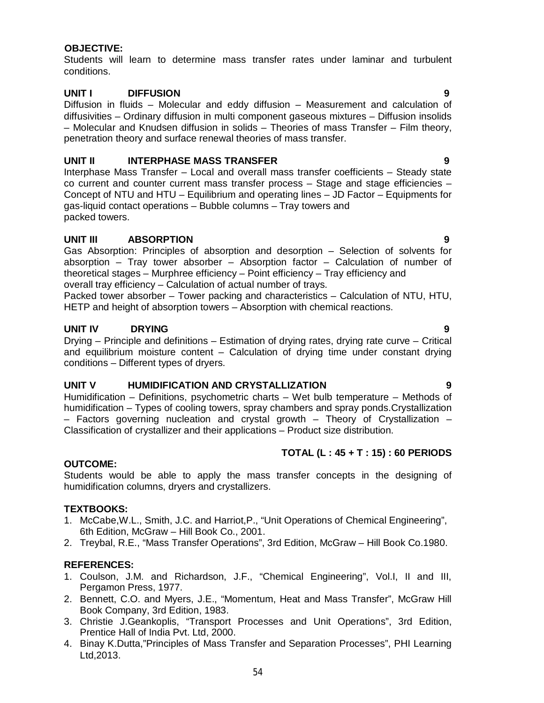#### **OBJECTIVE:**

Students will learn to determine mass transfer rates under laminar and turbulent conditions.

#### **UNIT I DIFFUSION 9**

Diffusion in fluids – Molecular and eddy diffusion – Measurement and calculation of diffusivities – Ordinary diffusion in multi component gaseous mixtures – Diffusion insolids – Molecular and Knudsen diffusion in solids – Theories of mass Transfer – Film theory, penetration theory and surface renewal theories of mass transfer.

#### **UNIT II** INTERPHASE MASS TRANSFER 9

Interphase Mass Transfer – Local and overall mass transfer coefficients – Steady state co current and counter current mass transfer process – Stage and stage efficiencies – Concept of NTU and HTU – Equilibrium and operating lines – JD Factor – Equipments for gas-liquid contact operations – Bubble columns – Tray towers and packed towers.

#### **UNIT III ABSORPTION 9**

Gas Absorption: Principles of absorption and desorption – Selection of solvents for absorption – Tray tower absorber – Absorption factor – Calculation of number of theoretical stages – Murphree efficiency – Point efficiency – Tray efficiency and overall tray efficiency – Calculation of actual number of trays.

Packed tower absorber – Tower packing and characteristics – Calculation of NTU, HTU, HETP and height of absorption towers – Absorption with chemical reactions.

#### **UNIT IV DRYING 9**

Drying – Principle and definitions – Estimation of drying rates, drying rate curve – Critical and equilibrium moisture content – Calculation of drying time under constant drying conditions – Different types of dryers.

# **UNIT V HUMIDIFICATION AND CRYSTALLIZATION 9**

Humidification – Definitions, psychometric charts – Wet bulb temperature – Methods of humidification – Types of cooling towers, spray chambers and spray ponds.Crystallization – Factors governing nucleation and crystal growth – Theory of Crystallization – Classification of crystallizer and their applications – Product size distribution.

#### **TOTAL (L : 45 + T : 15) : 60 PERIODS**

#### **OUTCOME:**

Students would be able to apply the mass transfer concepts in the designing of humidification columns, dryers and crystallizers.

#### **TEXTBOOKS:**

- 1. McCabe,W.L., Smith, J.C. and Harriot,P., "Unit Operations of Chemical Engineering", 6th Edition, McGraw – Hill Book Co., 2001.
- 2. Treybal, R.E., "Mass Transfer Operations", 3rd Edition, McGraw Hill Book Co.1980.

- 1. Coulson, J.M. and Richardson, J.F., "Chemical Engineering", Vol.I, II and III, Pergamon Press, 1977.
- 2. Bennett, C.O. and Myers, J.E., "Momentum, Heat and Mass Transfer", McGraw Hill Book Company, 3rd Edition, 1983.
- 3. Christie J.Geankoplis, "Transport Processes and Unit Operations", 3rd Edition, Prentice Hall of India Pvt. Ltd, 2000.
- 4. Binay K.Dutta,"Principles of Mass Transfer and Separation Processes", PHI Learning Ltd,2013.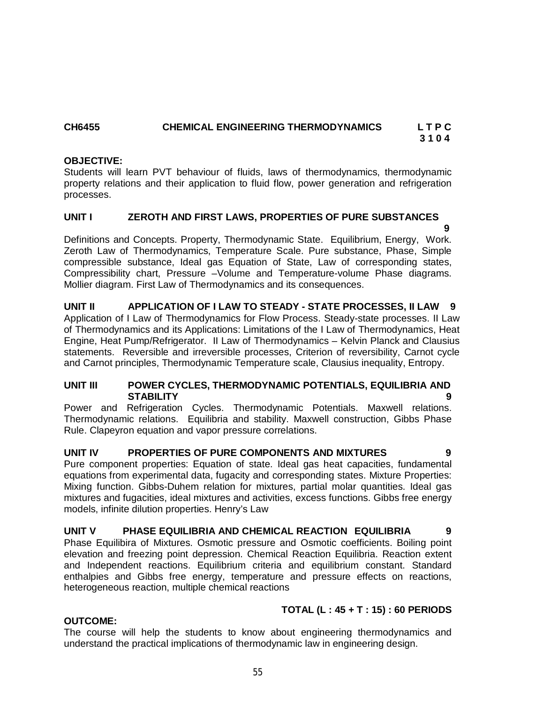# **CH6455 CHEMICAL ENGINEERING THERMODYNAMICS L T P C**

**3 1 0 4**

### **OBJECTIVE:**

Students will learn PVT behaviour of fluids, laws of thermodynamics, thermodynamic property relations and their application to fluid flow, power generation and refrigeration processes.

# **UNIT I ZEROTH AND FIRST LAWS, PROPERTIES OF PURE SUBSTANCES**

 **9**  Definitions and Concepts. Property, Thermodynamic State. Equilibrium, Energy, Work. Zeroth Law of Thermodynamics, Temperature Scale. Pure substance, Phase, Simple compressible substance, Ideal gas Equation of State, Law of corresponding states, Compressibility chart, Pressure –Volume and Temperature-volume Phase diagrams. Mollier diagram. First Law of Thermodynamics and its consequences.

**UNIT II APPLICATION OF I LAW TO STEADY - STATE PROCESSES, II LAW 9**  Application of I Law of Thermodynamics for Flow Process. Steady-state processes. II Law of Thermodynamics and its Applications: Limitations of the I Law of Thermodynamics, Heat Engine, Heat Pump/Refrigerator. II Law of Thermodynamics – Kelvin Planck and Clausius statements. Reversible and irreversible processes, Criterion of reversibility, Carnot cycle and Carnot principles, Thermodynamic Temperature scale, Clausius inequality, Entropy.

### **UNIT III POWER CYCLES, THERMODYNAMIC POTENTIALS, EQUILIBRIA AND STABILITY 9**

Power and Refrigeration Cycles. Thermodynamic Potentials. Maxwell relations. Thermodynamic relations. Equilibria and stability. Maxwell construction, Gibbs Phase Rule. Clapeyron equation and vapor pressure correlations.

### **UNIT IV PROPERTIES OF PURE COMPONENTS AND MIXTURES 9**

Pure component properties: Equation of state. Ideal gas heat capacities, fundamental equations from experimental data, fugacity and corresponding states. Mixture Properties: Mixing function. Gibbs-Duhem relation for mixtures, partial molar quantities. Ideal gas mixtures and fugacities, ideal mixtures and activities, excess functions. Gibbs free energy models, infinite dilution properties. Henry's Law

### **UNIT V PHASE EQUILIBRIA AND CHEMICAL REACTION EQUILIBRIA 9**

Phase Equilibira of Mixtures. Osmotic pressure and Osmotic coefficients. Boiling point elevation and freezing point depression. Chemical Reaction Equilibria. Reaction extent and Independent reactions. Equilibrium criteria and equilibrium constant. Standard enthalpies and Gibbs free energy, temperature and pressure effects on reactions, heterogeneous reaction, multiple chemical reactions

# **TOTAL (L : 45 + T : 15) : 60 PERIODS**

### **OUTCOME:**

The course will help the students to know about engineering thermodynamics and understand the practical implications of thermodynamic law in engineering design.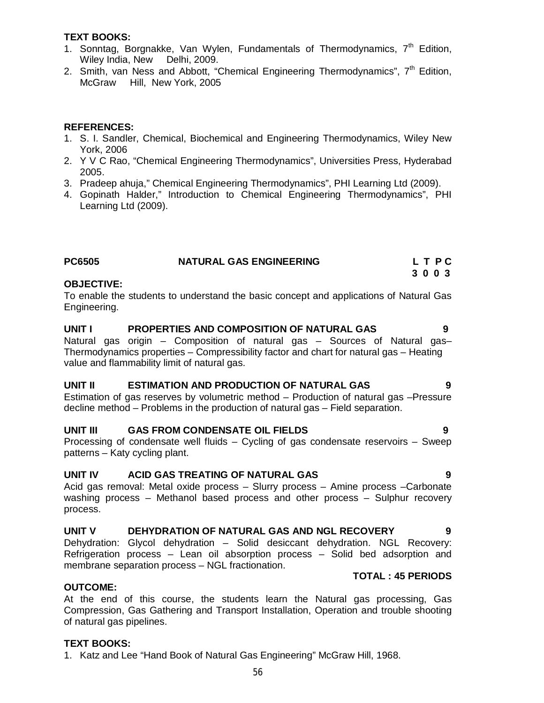#### **TEXT BOOKS:**

- 1. Sonntag, Borgnakke, Van Wylen, Fundamentals of Thermodynamics, 7<sup>th</sup> Edition, Wiley India, New Delhi, 2009.
- 2. Smith, van Ness and Abbott, "Chemical Engineering Thermodynamics",  $7<sup>th</sup>$  Edition, McGraw Hill, New York, 2005

#### **REFERENCES:**

- 1. S. I. Sandler, Chemical, Biochemical and Engineering Thermodynamics, Wiley New York, 2006
- 2. Y V C Rao, "Chemical Engineering Thermodynamics", Universities Press, Hyderabad 2005.
- 3. Pradeep ahuja," Chemical Engineering Thermodynamics", PHI Learning Ltd (2009).
- 4. Gopinath Halder," Introduction to Chemical Engineering Thermodynamics", PHI Learning Ltd (2009).

| <b>PC6505</b> | <b>NATURAL GAS ENGINEERING</b> | LTPC |
|---------------|--------------------------------|------|
|               |                                | 3003 |

#### **OBJECTIVE:**

To enable the students to understand the basic concept and applications of Natural Gas Engineering.

#### **UNIT I PROPERTIES AND COMPOSITION OF NATURAL GAS 9**

Natural gas origin – Composition of natural gas – Sources of Natural gas– Thermodynamics properties – Compressibility factor and chart for natural gas – Heating value and flammability limit of natural gas.

#### **UNIT II ESTIMATION AND PRODUCTION OF NATURAL GAS 9**

Estimation of gas reserves by volumetric method – Production of natural gas –Pressure decline method – Problems in the production of natural gas – Field separation.

### **UNIT III GAS FROM CONDENSATE OIL FIELDS 9**

Processing of condensate well fluids – Cycling of gas condensate reservoirs – Sweep patterns – Katy cycling plant.

### **UNIT IV ACID GAS TREATING OF NATURAL GAS 9**

Acid gas removal: Metal oxide process – Slurry process – Amine process –Carbonate washing process – Methanol based process and other process – Sulphur recovery process.

### **UNIT V DEHYDRATION OF NATURAL GAS AND NGL RECOVERY 9**

Dehydration: Glycol dehydration – Solid desiccant dehydration. NGL Recovery: Refrigeration process – Lean oil absorption process – Solid bed adsorption and membrane separation process – NGL fractionation.

#### **TOTAL : 45 PERIODS**

#### **OUTCOME:**

At the end of this course, the students learn the Natural gas processing, Gas Compression, Gas Gathering and Transport Installation, Operation and trouble shooting of natural gas pipelines.

#### **TEXT BOOKS:**

1. Katz and Lee "Hand Book of Natural Gas Engineering" McGraw Hill, 1968.

- 
- 
- 
-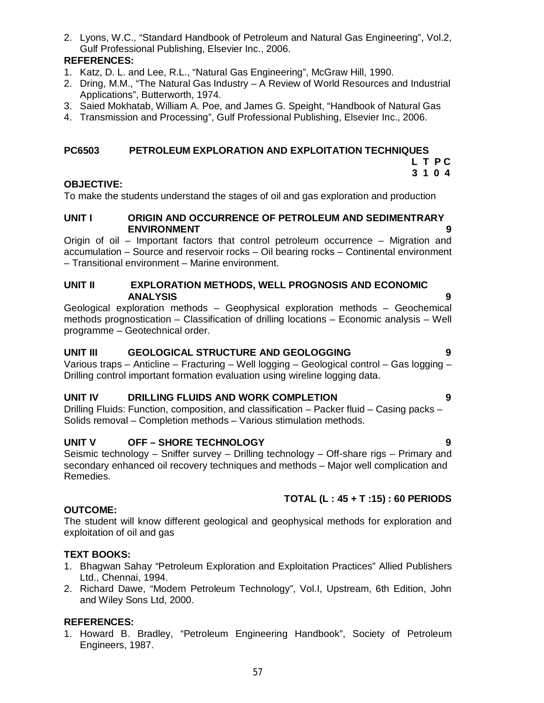2. Lyons, W.C., "Standard Handbook of Petroleum and Natural Gas Engineering", Vol.2, Gulf Professional Publishing, Elsevier Inc., 2006.

# **REFERENCES:**

- 1. Katz, D. L. and Lee, R.L., "Natural Gas Engineering", McGraw Hill, 1990.
- 2. Dring, M.M., "The Natural Gas Industry A Review of World Resources and Industrial Applications", Butterworth, 1974.
- 3. Saied Mokhatab, William A. Poe, and James G. Speight, "Handbook of Natural Gas
- 4. Transmission and Processing", Gulf Professional Publishing, Elsevier Inc., 2006.

# **PC6503 PETROLEUM EXPLORATION AND EXPLOITATION TECHNIQUES**

#### **L T P C 3 1 0 4**

# **OBJECTIVE:**

To make the students understand the stages of oil and gas exploration and production

#### **UNIT I ORIGIN AND OCCURRENCE OF PETROLEUM AND SEDIMENTRARY ENVIRONMENT 9**

Origin of oil – Important factors that control petroleum occurrence – Migration and accumulation – Source and reservoir rocks – Oil bearing rocks – Continental environment – Transitional environment – Marine environment.

#### **UNIT II EXPLORATION METHODS, WELL PROGNOSIS AND ECONOMIC ANALYSIS 9**

Geological exploration methods – Geophysical exploration methods – Geochemical methods prognostication – Classification of drilling locations – Economic analysis – Well programme – Geotechnical order.

# **UNIT III GEOLOGICAL STRUCTURE AND GEOLOGGING 9**

Various traps – Anticline – Fracturing – Well logging – Geological control – Gas logging – Drilling control important formation evaluation using wireline logging data.

# **UNIT IV DRILLING FLUIDS AND WORK COMPLETION 9**

Drilling Fluids: Function, composition, and classification – Packer fluid – Casing packs – Solids removal – Completion methods – Various stimulation methods.

# **UNIT V OFF – SHORE TECHNOLOGY 9**

Seismic technology – Sniffer survey – Drilling technology – Off-share rigs – Primary and secondary enhanced oil recovery techniques and methods – Major well complication and Remedies.

# **TOTAL (L : 45 + T :15) : 60 PERIODS**

### **OUTCOME:**

The student will know different geological and geophysical methods for exploration and exploitation of oil and gas

### **TEXT BOOKS:**

- 1. Bhagwan Sahay "Petroleum Exploration and Exploitation Practices" Allied Publishers Ltd., Chennai, 1994.
- 2. Richard Dawe, "Modern Petroleum Technology", Vol.I, Upstream, 6th Edition, John and Wiley Sons Ltd, 2000.

# **REFERENCES:**

1. Howard B. Bradley, "Petroleum Engineering Handbook", Society of Petroleum Engineers, 1987.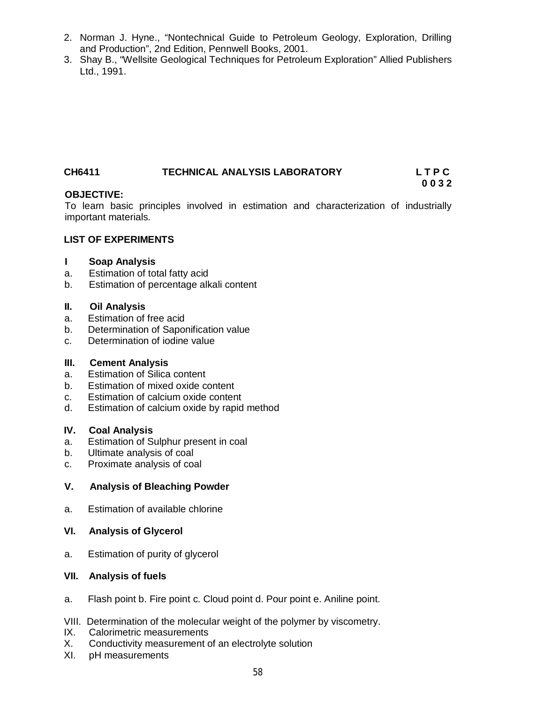- 2. Norman J. Hyne., "Nontechnical Guide to Petroleum Geology, Exploration, Drilling and Production", 2nd Edition, Pennwell Books, 2001.
- 3. Shay B., "Wellsite Geological Techniques for Petroleum Exploration" Allied Publishers Ltd., 1991.

# **CH6411 TECHNICAL ANALYSIS LABORATORY L T P C**

### **OBJECTIVE:**

To learn basic principles involved in estimation and characterization of industrially important materials.

**0 0 3 2**

#### **LIST OF EXPERIMENTS**

#### **I Soap Analysis**

- a. Estimation of total fatty acid
- b. Estimation of percentage alkali content

#### **II. Oil Analysis**

- a. Estimation of free acid
- b. Determination of Saponification value
- c. Determination of iodine value

### **III. Cement Analysis**

- a. Estimation of Silica content
- b. Estimation of mixed oxide content
- c. Estimation of calcium oxide content
- d. Estimation of calcium oxide by rapid method

#### **IV. Coal Analysis**

- a. Estimation of Sulphur present in coal
- b. Ultimate analysis of coal
- c. Proximate analysis of coal

### **V. Analysis of Bleaching Powder**

a. Estimation of available chlorine

### **VI. Analysis of Glycerol**

a. Estimation of purity of glycerol

#### **VII. Analysis of fuels**

a. Flash point b. Fire point c. Cloud point d. Pour point e. Aniline point.

#### VIII. Determination of the molecular weight of the polymer by viscometry.

- IX. Calorimetric measurements
- X. Conductivity measurement of an electrolyte solution
- XI. pH measurements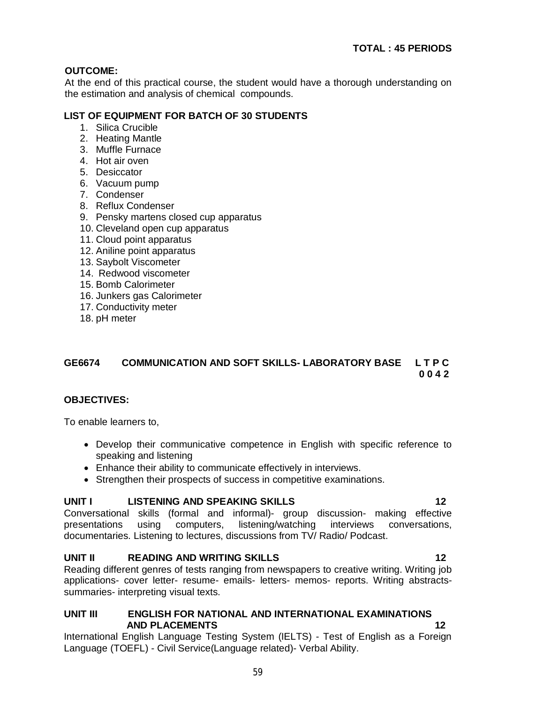# **OUTCOME:**

At the end of this practical course, the student would have a thorough understanding on the estimation and analysis of chemical compounds.

# **LIST OF EQUIPMENT FOR BATCH OF 30 STUDENTS**

- 1. Silica Crucible
- 2. Heating Mantle
- 3. Muffle Furnace
- 4. Hot air oven
- 5. Desiccator
- 6. Vacuum pump
- 7. Condenser
- 8. Reflux Condenser
- 9. Pensky martens closed cup apparatus
- 10. Cleveland open cup apparatus
- 11. Cloud point apparatus
- 12. Aniline point apparatus
- 13. Saybolt Viscometer
- 14. Redwood viscometer
- 15. Bomb Calorimeter
- 16. Junkers gas Calorimeter
- 17. Conductivity meter
- 18. pH meter

# **GE6674 COMMUNICATION AND SOFT SKILLS- LABORATORY BASE L T P C 0 0 4 2**

### **OBJECTIVES:**

To enable learners to,

- Develop their communicative competence in English with specific reference to speaking and listening
- Enhance their ability to communicate effectively in interviews.
- Strengthen their prospects of success in competitive examinations.

# **UNIT I LISTENING AND SPEAKING SKILLS 12**

Conversational skills (formal and informal)- group discussion- making effective presentations using computers, listening/watching interviews conversations, documentaries. Listening to lectures, discussions from TV/ Radio/ Podcast.

# **UNIT II READING AND WRITING SKILLS 12**

Reading different genres of tests ranging from newspapers to creative writing. Writing job applications- cover letter- resume- emails- letters- memos- reports. Writing abstractssummaries- interpreting visual texts.

### **UNIT III ENGLISH FOR NATIONAL AND INTERNATIONAL EXAMINATIONS AND PLACEMENTS** 12

International English Language Testing System (IELTS) - Test of English as a Foreign Language (TOEFL) - Civil Service(Language related)- Verbal Ability.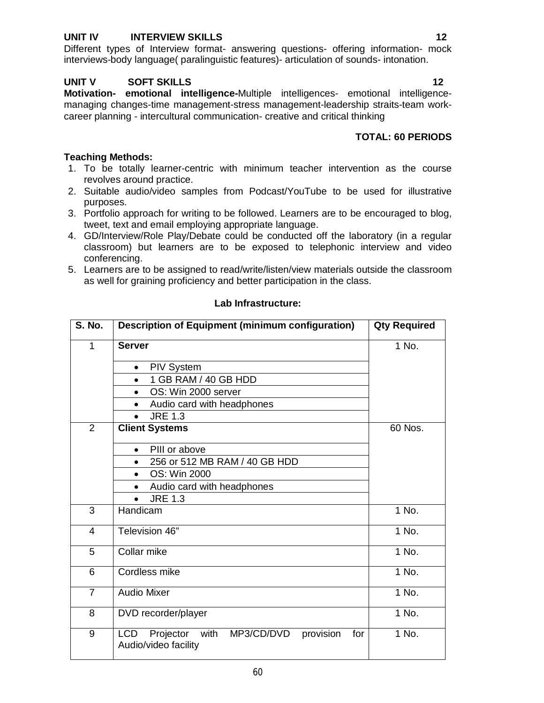### **UNIT IV INTERVIEW SKILLS** 12

Different types of Interview format- answering questions- offering information- mock interviews-body language( paralinguistic features)- articulation of sounds- intonation.

#### **UNIT V SOFT SKILLS 12**

**Motivation- emotional intelligence-**Multiple intelligences- emotional intelligencemanaging changes-time management-stress management-leadership straits-team workcareer planning - intercultural communication- creative and critical thinking

# **TOTAL: 60 PERIODS**

#### **Teaching Methods:**

- 1. To be totally learner-centric with minimum teacher intervention as the course revolves around practice.
- 2. Suitable audio/video samples from Podcast/YouTube to be used for illustrative purposes.
- 3. Portfolio approach for writing to be followed. Learners are to be encouraged to blog, tweet, text and email employing appropriate language.
- 4. GD/Interview/Role Play/Debate could be conducted off the laboratory (in a regular classroom) but learners are to be exposed to telephonic interview and video conferencing.
- 5. Learners are to be assigned to read/write/listen/view materials outside the classroom as well for graining proficiency and better participation in the class.

| <b>S. No.</b>  | <b>Description of Equipment (minimum configuration)</b>                                   | <b>Qty Required</b> |
|----------------|-------------------------------------------------------------------------------------------|---------------------|
| $\mathbf 1$    | <b>Server</b>                                                                             | 1 No.               |
|                | <b>PIV System</b><br>$\bullet$                                                            |                     |
|                | 1 GB RAM / 40 GB HDD                                                                      |                     |
|                | OS: Win 2000 server<br>$\bullet$                                                          |                     |
|                | Audio card with headphones                                                                |                     |
|                | <b>JRE 1.3</b>                                                                            |                     |
| 2              | <b>Client Systems</b>                                                                     | 60 Nos.             |
|                | PIII or above<br>$\bullet$                                                                |                     |
|                | 256 or 512 MB RAM / 40 GB HDD                                                             |                     |
|                | OS: Win 2000<br>$\bullet$                                                                 |                     |
|                | Audio card with headphones                                                                |                     |
|                | <b>JRE 1.3</b><br>$\bullet$                                                               |                     |
| 3              | Handicam                                                                                  | 1 No.               |
| $\overline{4}$ | Television 46"                                                                            | 1 No.               |
| 5              | Collar mike                                                                               | $1$ No.             |
| 6              | Cordless mike                                                                             | 1 No.               |
| $\overline{7}$ | <b>Audio Mixer</b>                                                                        | 1 No.               |
| 8              | DVD recorder/player                                                                       | $1$ No.             |
| 9              | with<br>provision<br><b>LCD</b><br>Projector<br>MP3/CD/DVD<br>for<br>Audio/video facility | 1 No.               |

#### **Lab Infrastructure:**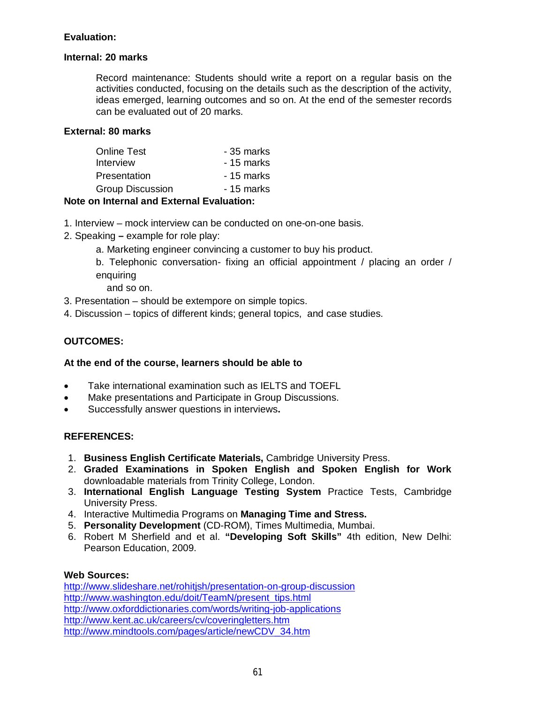# **Evaluation:**

### **Internal: 20 marks**

Record maintenance: Students should write a report on a regular basis on the activities conducted, focusing on the details such as the description of the activity, ideas emerged, learning outcomes and so on. At the end of the semester records can be evaluated out of 20 marks.

### **External: 80 marks**

| - 35 marks |
|------------|
| - 15 marks |
| - 15 marks |
| - 15 marks |
|            |

### **Note on Internal and External Evaluation:**

- 1. Interview mock interview can be conducted on one-on-one basis.
- 2. Speaking **–** example for role play:
	- a. Marketing engineer convincing a customer to buy his product.
	- b. Telephonic conversation- fixing an official appointment / placing an order / enquiring
		- and so on.
- 3. Presentation should be extempore on simple topics.
- 4. Discussion topics of different kinds; general topics, and case studies.

# **OUTCOMES:**

### **At the end of the course, learners should be able to**

- Take international examination such as IELTS and TOEFL
- Make presentations and Participate in Group Discussions.
- Successfully answer questions in interviews**.**

### **REFERENCES:**

- 1. **Business English Certificate Materials,** Cambridge University Press.
- 2. **Graded Examinations in Spoken English and Spoken English for Work**  downloadable materials from Trinity College, London.
- 3. **International English Language Testing System** Practice Tests, Cambridge University Press.
- 4. Interactive Multimedia Programs on **Managing Time and Stress.**
- 5. **Personality Development** (CD-ROM), Times Multimedia, Mumbai.
- 6. Robert M Sherfield and et al. **"Developing Soft Skills"** 4th edition, New Delhi: Pearson Education, 2009.

### **Web Sources:**

http://www.slideshare.net/rohitjsh/presentation-on-group-discussion http://www.washington.edu/doit/TeamN/present\_tips.html http://www.oxforddictionaries.com/words/writing-job-applications http://www.kent.ac.uk/careers/cv/coveringletters.htm http://www.mindtools.com/pages/article/newCDV\_34.htm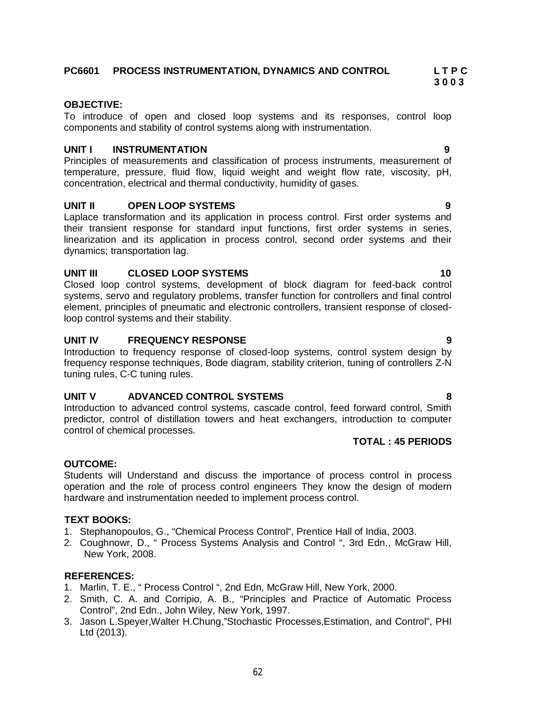# **PC6601 PROCESS INSTRUMENTATION, DYNAMICS AND CONTROL L T P C**

#### **OBJECTIVE:**

To introduce of open and closed loop systems and its responses, control loop components and stability of control systems along with instrumentation.

 **3 0 0 3**

#### **UNIT I INSTRUMENTATION 9**

Principles of measurements and classification of process instruments, measurement of temperature, pressure, fluid flow, liquid weight and weight flow rate, viscosity, pH, concentration, electrical and thermal conductivity, humidity of gases.

#### **UNIT II OPEN LOOP SYSTEMS 9**

Laplace transformation and its application in process control. First order systems and their transient response for standard input functions, first order systems in series, linearization and its application in process control, second order systems and their dynamics; transportation lag.

#### **UNIT III** CLOSED LOOP SYSTEMS 10

Closed loop control systems, development of block diagram for feed-back control systems, servo and regulatory problems, transfer function for controllers and final control element, principles of pneumatic and electronic controllers, transient response of closedloop control systems and their stability.

#### **UNIT IV FREQUENCY RESPONSE 9**

Introduction to frequency response of closed-loop systems, control system design by frequency response techniques, Bode diagram, stability criterion, tuning of controllers Z-N tuning rules, C-C tuning rules.

#### **UNIT V ADVANCED CONTROL SYSTEMS 8**

Introduction to advanced control systems, cascade control, feed forward control, Smith predictor, control of distillation towers and heat exchangers, introduction to computer control of chemical processes.

# **TOTAL : 45 PERIODS**

#### **OUTCOME:**

Students will Understand and discuss the importance of process control in process operation and the role of process control engineers They know the design of modern hardware and instrumentation needed to implement process control.

#### **TEXT BOOKS:**

- 1. Stephanopoulos, G., "Chemical Process Control", Prentice Hall of India, 2003.
- 2. Coughnowr, D., " Process Systems Analysis and Control ", 3rd Edn., McGraw Hill, New York, 2008.

- 1. Marlin, T. E., " Process Control ", 2nd Edn, McGraw Hill, New York, 2000.
- 2. Smith, C. A. and Corripio, A. B., "Principles and Practice of Automatic Process Control", 2nd Edn., John Wiley, New York, 1997.
- 3. Jason L.Speyer,Walter H.Chung,"Stochastic Processes,Estimation, and Control", PHI Ltd (2013).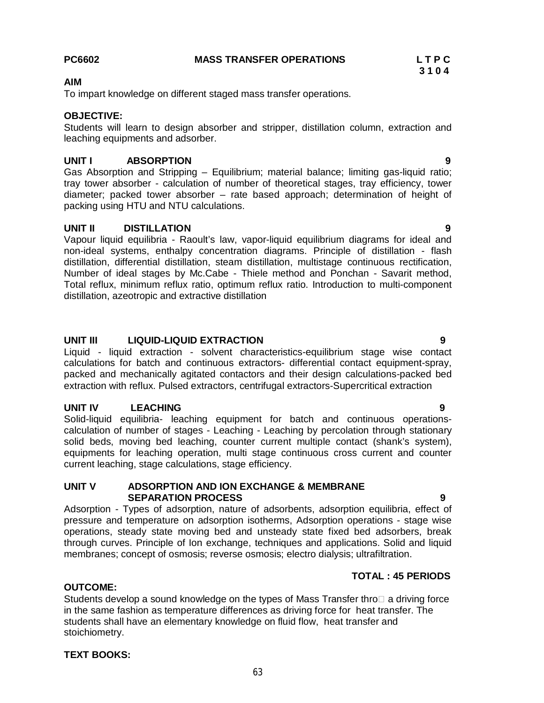**AIM**

**OBJECTIVE:**

#### **UNIT I ABSORPTION 9**

leaching equipments and adsorber.

Gas Absorption and Stripping – Equilibrium; material balance; limiting gas-liquid ratio; tray tower absorber - calculation of number of theoretical stages, tray efficiency, tower diameter; packed tower absorber – rate based approach; determination of height of packing using HTU and NTU calculations.

#### **UNIT II DISTILLATION 9**

Vapour liquid equilibria - Raoult's law, vapor-liquid equilibrium diagrams for ideal and non-ideal systems, enthalpy concentration diagrams. Principle of distillation - flash distillation, differential distillation, steam distillation, multistage continuous rectification, Number of ideal stages by Mc.Cabe - Thiele method and Ponchan - Savarit method, Total reflux, minimum reflux ratio, optimum reflux ratio. Introduction to multi-component distillation, azeotropic and extractive distillation

#### **UNIT III LIQUID-LIQUID EXTRACTION 9**

Liquid - liquid extraction - solvent characteristics-equilibrium stage wise contact calculations for batch and continuous extractors- differential contact equipment-spray, packed and mechanically agitated contactors and their design calculations-packed bed extraction with reflux. Pulsed extractors, centrifugal extractors-Supercritical extraction

#### **UNIT IV LEACHING 9**

Solid-liquid equilibria- leaching equipment for batch and continuous operationscalculation of number of stages - Leaching - Leaching by percolation through stationary solid beds, moving bed leaching, counter current multiple contact (shank's system), equipments for leaching operation, multi stage continuous cross current and counter current leaching, stage calculations, stage efficiency.

#### **UNIT V ADSORPTION AND ION EXCHANGE & MEMBRANE SEPARATION PROCESS 9**

Adsorption - Types of adsorption, nature of adsorbents, adsorption equilibria, effect of pressure and temperature on adsorption isotherms, Adsorption operations - stage wise operations, steady state moving bed and unsteady state fixed bed adsorbers, break through curves. Principle of Ion exchange, techniques and applications. Solid and liquid membranes; concept of osmosis; reverse osmosis; electro dialysis; ultrafiltration.

#### **TOTAL : 45 PERIODS**

#### Students develop a sound knowledge on the types of Mass Transfer thro $\square$  a driving force in the same fashion as temperature differences as driving force for heat transfer. The students shall have an elementary knowledge on fluid flow, heat transfer and stoichiometry.

# **TEXT BOOKS:**

**OUTCOME:**

### **PC6602 MASS TRANSFER OPERATIONS L T P C 3 1 0 4**

To impart knowledge on different staged mass transfer operations.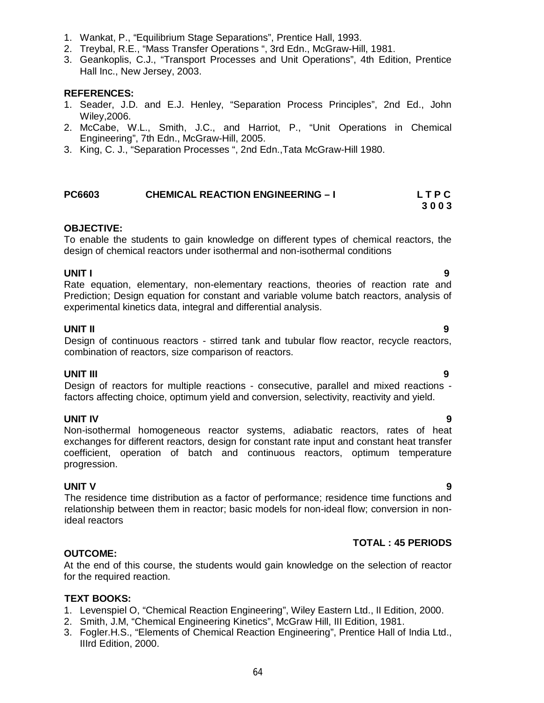- 1. Wankat, P., "Equilibrium Stage Separations", Prentice Hall, 1993.
- 2. Treybal, R.E., "Mass Transfer Operations ", 3rd Edn., McGraw-Hill, 1981.
- 3. Geankoplis, C.J., "Transport Processes and Unit Operations", 4th Edition, Prentice Hall Inc., New Jersey, 2003.

#### **REFERENCES:**

- 1. Seader, J.D. and E.J. Henley, "Separation Process Principles", 2nd Ed., John Wiley,2006.
- 2. McCabe, W.L., Smith, J.C., and Harriot, P., "Unit Operations in Chemical Engineering", 7th Edn., McGraw-Hill, 2005.
- 3. King, C. J., "Separation Processes ", 2nd Edn.,Tata McGraw-Hill 1980.

#### **PC6603 CHEMICAL REACTION ENGINEERING – I L T P C 3 0 0 3**

#### **OBJECTIVE:**

To enable the students to gain knowledge on different types of chemical reactors, the design of chemical reactors under isothermal and non-isothermal conditions

**UNIT I 9** Rate equation, elementary, non-elementary reactions, theories of reaction rate and Prediction; Design equation for constant and variable volume batch reactors, analysis of experimental kinetics data, integral and differential analysis.

#### **UNIT II 9**

Design of continuous reactors - stirred tank and tubular flow reactor, recycle reactors, combination of reactors, size comparison of reactors.

#### **UNIT III 9**

Design of reactors for multiple reactions - consecutive, parallel and mixed reactions factors affecting choice, optimum yield and conversion, selectivity, reactivity and yield.

### **UNIT IV 9**

Non-isothermal homogeneous reactor systems, adiabatic reactors, rates of heat exchanges for different reactors, design for constant rate input and constant heat transfer coefficient, operation of batch and continuous reactors, optimum temperature progression.

#### **UNIT V 9**

The residence time distribution as a factor of performance; residence time functions and relationship between them in reactor; basic models for non-ideal flow; conversion in nonideal reactors

### **TOTAL : 45 PERIODS**

#### **OUTCOME:**

At the end of this course, the students would gain knowledge on the selection of reactor for the required reaction.

#### **TEXT BOOKS:**

- 1. Levenspiel O, "Chemical Reaction Engineering", Wiley Eastern Ltd., II Edition, 2000.
- 2. Smith, J.M, "Chemical Engineering Kinetics", McGraw Hill, III Edition, 1981.
- 3. Fogler.H.S., "Elements of Chemical Reaction Engineering", Prentice Hall of India Ltd., IIIrd Edition, 2000.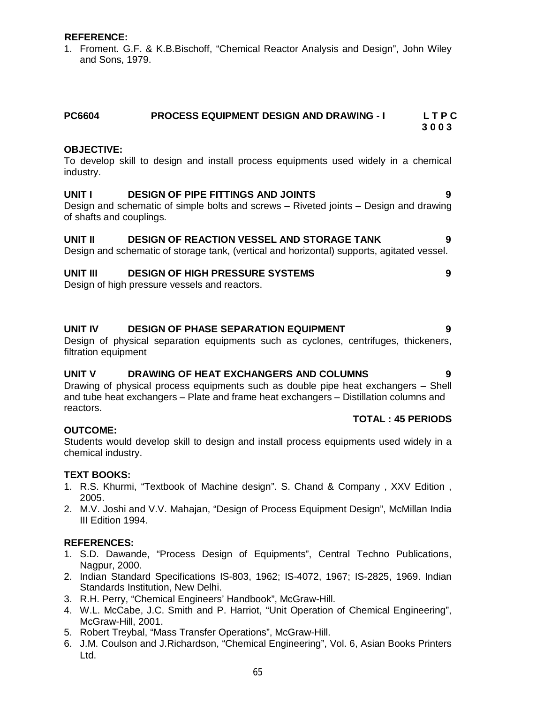#### **REFERENCE:**

1. Froment. G.F. & K.B.Bischoff, "Chemical Reactor Analysis and Design", John Wiley and Sons, 1979.

#### **OBJECTIVE:**

To develop skill to design and install process equipments used widely in a chemical industry.

#### **UNIT I DESIGN OF PIPE FITTINGS AND JOINTS 9**

Design and schematic of simple bolts and screws – Riveted joints – Design and drawing of shafts and couplings.

#### **UNIT II DESIGN OF REACTION VESSEL AND STORAGE TANK 9**

Design and schematic of storage tank, (vertical and horizontal) supports, agitated vessel.

#### **UNIT III DESIGN OF HIGH PRESSURE SYSTEMS 9**

Design of high pressure vessels and reactors.

#### **UNIT IV DESIGN OF PHASE SEPARATION EQUIPMENT 9**

Design of physical separation equipments such as cyclones, centrifuges, thickeners, filtration equipment

#### **UNIT V DRAWING OF HEAT EXCHANGERS AND COLUMNS 9**

Drawing of physical process equipments such as double pipe heat exchangers – Shell and tube heat exchangers – Plate and frame heat exchangers – Distillation columns and reactors.

#### **TOTAL : 45 PERIODS**

#### **OUTCOME:**

Students would develop skill to design and install process equipments used widely in a chemical industry.

#### **TEXT BOOKS:**

- 1. R.S. Khurmi, "Textbook of Machine design". S. Chand & Company , XXV Edition , 2005.
- 2. M.V. Joshi and V.V. Mahajan, "Design of Process Equipment Design", McMillan India III Edition 1994.

- 1. S.D. Dawande, "Process Design of Equipments", Central Techno Publications, Nagpur, 2000.
- 2. Indian Standard Specifications IS-803, 1962; IS-4072, 1967; IS-2825, 1969. Indian Standards Institution, New Delhi.
- 3. R.H. Perry, "Chemical Engineers' Handbook", McGraw-Hill.
- 4. W.L. McCabe, J.C. Smith and P. Harriot, "Unit Operation of Chemical Engineering", McGraw-Hill, 2001.
- 5. Robert Treybal, "Mass Transfer Operations", McGraw-Hill.
- 6. J.M. Coulson and J.Richardson, "Chemical Engineering", Vol. 6, Asian Books Printers Ltd.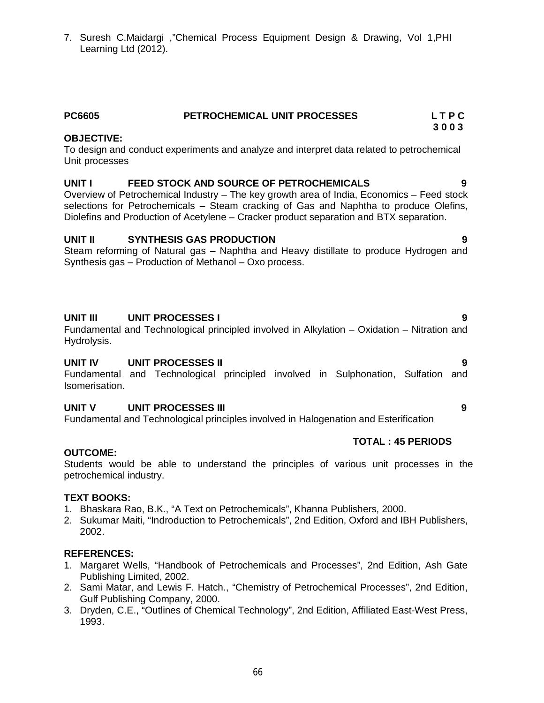7. Suresh C.Maidargi ,"Chemical Process Equipment Design & Drawing, Vol 1,PHI Learning Ltd (2012).

# **PC6605 PETROCHEMICAL UNIT PROCESSES L T P C**

#### **3 0 0 3 OBJECTIVE:**

To design and conduct experiments and analyze and interpret data related to petrochemical Unit processes

### **UNIT I FEED STOCK AND SOURCE OF PETROCHEMICALS 9**

Overview of Petrochemical Industry – The key growth area of India, Economics – Feed stock selections for Petrochemicals – Steam cracking of Gas and Naphtha to produce Olefins, Diolefins and Production of Acetylene – Cracker product separation and BTX separation.

### **UNIT II SYNTHESIS GAS PRODUCTION 9**

Steam reforming of Natural gas – Naphtha and Heavy distillate to produce Hydrogen and Synthesis gas – Production of Methanol – Oxo process.

### **UNIT III UNIT PROCESSES I 9**

Fundamental and Technological principled involved in Alkylation – Oxidation – Nitration and Hydrolysis.

# **UNIT IV UNIT PROCESSES II 9**

Fundamental and Technological principled involved in Sulphonation, Sulfation and Isomerisation.

### **UNIT V UNIT PROCESSES III 9**

Fundamental and Technological principles involved in Halogenation and Esterification

### **TOTAL : 45 PERIODS**

#### **OUTCOME:**

Students would be able to understand the principles of various unit processes in the petrochemical industry.

#### **TEXT BOOKS:**

- 1. Bhaskara Rao, B.K., "A Text on Petrochemicals", Khanna Publishers, 2000.
- 2. Sukumar Maiti, "Indroduction to Petrochemicals", 2nd Edition, Oxford and IBH Publishers, 2002.

- 1. Margaret Wells, "Handbook of Petrochemicals and Processes", 2nd Edition, Ash Gate Publishing Limited, 2002.
- 2. Sami Matar, and Lewis F. Hatch., "Chemistry of Petrochemical Processes", 2nd Edition, Gulf Publishing Company, 2000.
- 3. Dryden, C.E., "Outlines of Chemical Technology", 2nd Edition, Affiliated East-West Press, 1993.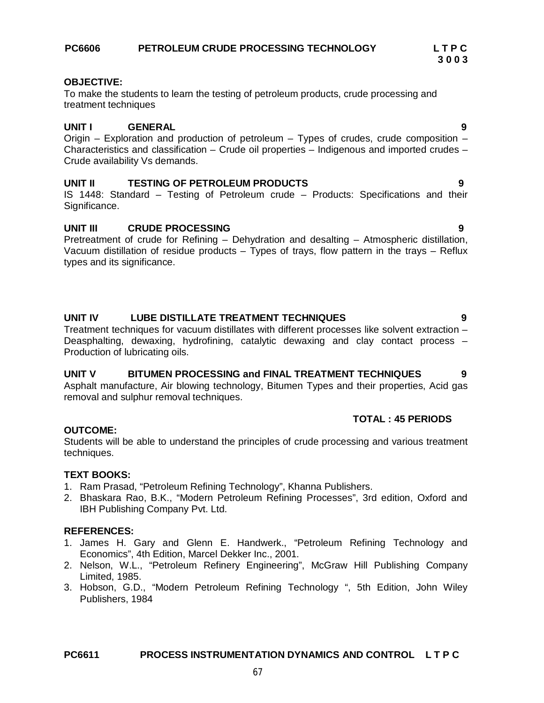# **PC6611 PROCESS INSTRUMENTATION DYNAMICS AND CONTROL L T P C**

# **PC6606 PETROLEUM CRUDE PROCESSING TECHNOLOGY L T P C**

# **OBJECTIVE:**

To make the students to learn the testing of petroleum products, crude processing and treatment techniques

# **UNIT I GENERAL 9**

Origin – Exploration and production of petroleum – Types of crudes, crude composition – Characteristics and classification – Crude oil properties – Indigenous and imported crudes – Crude availability Vs demands.

# **UNIT II TESTING OF PETROLEUM PRODUCTS 9**

IS 1448: Standard – Testing of Petroleum crude – Products: Specifications and their Significance.

# **UNIT III CRUDE PROCESSING 9**

Pretreatment of crude for Refining – Dehydration and desalting – Atmospheric distillation, Vacuum distillation of residue products – Types of trays, flow pattern in the trays – Reflux types and its significance.

# **UNIT IV LUBE DISTILLATE TREATMENT TECHNIQUES 9**

Treatment techniques for vacuum distillates with different processes like solvent extraction – Deasphalting, dewaxing, hydrofining, catalytic dewaxing and clay contact process – Production of lubricating oils.

### **UNIT V BITUMEN PROCESSING and FINAL TREATMENT TECHNIQUES 9**

Asphalt manufacture, Air blowing technology, Bitumen Types and their properties, Acid gas removal and sulphur removal techniques.

### **TOTAL : 45 PERIODS**

### **OUTCOME:**

Students will be able to understand the principles of crude processing and various treatment techniques.

# **TEXT BOOKS:**

- 1. Ram Prasad, "Petroleum Refining Technology", Khanna Publishers.
- 2. Bhaskara Rao, B.K., "Modern Petroleum Refining Processes", 3rd edition, Oxford and IBH Publishing Company Pvt. Ltd.

- 1. James H. Gary and Glenn E. Handwerk., "Petroleum Refining Technology and Economics", 4th Edition, Marcel Dekker Inc., 2001.
- 2. Nelson, W.L., "Petroleum Refinery Engineering", McGraw Hill Publishing Company Limited, 1985.
- 3. Hobson, G.D., "Modern Petroleum Refining Technology ", 5th Edition, John Wiley Publishers, 1984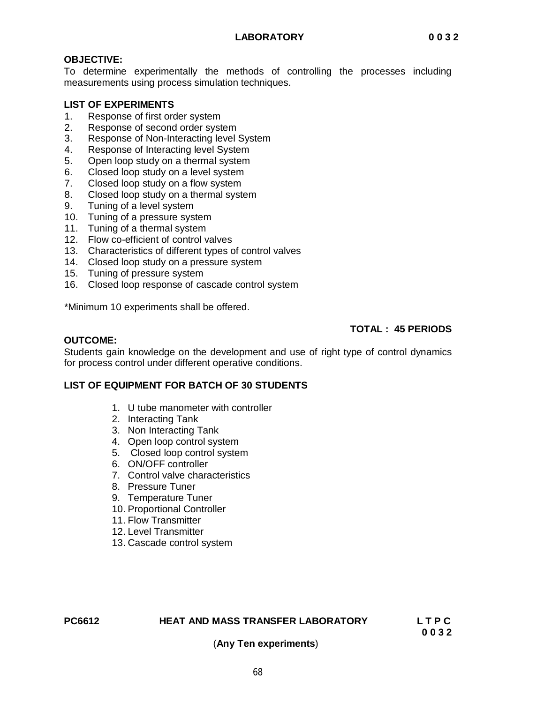# **OBJECTIVE:**

To determine experimentally the methods of controlling the processes including measurements using process simulation techniques.

### **LIST OF EXPERIMENTS**

- 1. Response of first order system
- 2. Response of second order system
- 3. Response of Non-Interacting level System
- 4. Response of Interacting level System
- 5. Open loop study on a thermal system
- 6. Closed loop study on a level system
- 7. Closed loop study on a flow system
- 8. Closed loop study on a thermal system
- 9. Tuning of a level system
- 10. Tuning of a pressure system
- 11. Tuning of a thermal system
- 12. Flow co-efficient of control valves
- 13. Characteristics of different types of control valves
- 14. Closed loop study on a pressure system
- 15. Tuning of pressure system
- 16. Closed loop response of cascade control system

\*Minimum 10 experiments shall be offered.

# **TOTAL : 45 PERIODS**

#### **OUTCOME:**

Students gain knowledge on the development and use of right type of control dynamics for process control under different operative conditions.

### **LIST OF EQUIPMENT FOR BATCH OF 30 STUDENTS**

- 1. U tube manometer with controller
- 2. Interacting Tank
- 3. Non Interacting Tank
- 4. Open loop control system
- 5. Closed loop control system
- 6. ON/OFF controller
- 7. Control valve characteristics
- 8. Pressure Tuner
- 9. Temperature Tuner
- 10. Proportional Controller
- 11. Flow Transmitter
- 12. Level Transmitter
- 13. Cascade control system

# **PC6612 HEAT AND MASS TRANSFER LABORATORY****L T P C**

**0 0 3 2**

### (**Any Ten experiments**)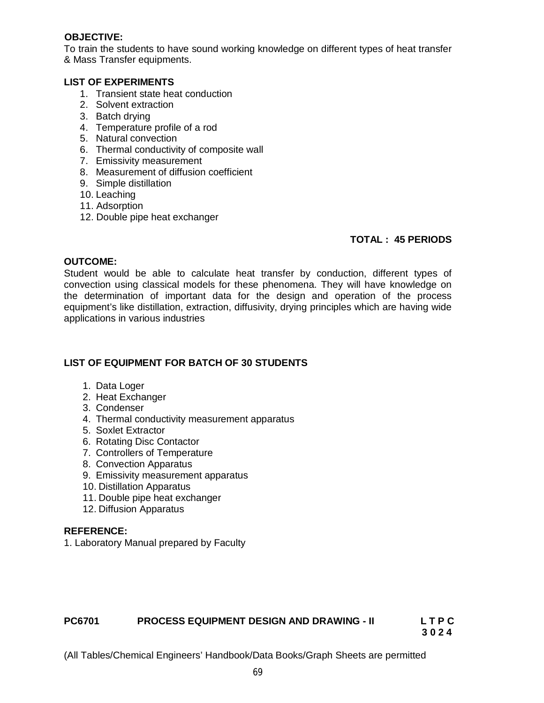### **OBJECTIVE:**

To train the students to have sound working knowledge on different types of heat transfer & Mass Transfer equipments.

#### **LIST OF EXPERIMENTS**

- 1. Transient state heat conduction
- 2. Solvent extraction
- 3. Batch drying
- 4. Temperature profile of a rod
- 5. Natural convection
- 6. Thermal conductivity of composite wall
- 7. Emissivity measurement
- 8. Measurement of diffusion coefficient
- 9. Simple distillation
- 10. Leaching
- 11. Adsorption
- 12. Double pipe heat exchanger

# **TOTAL : 45 PERIODS**

#### **OUTCOME:**

Student would be able to calculate heat transfer by conduction, different types of convection using classical models for these phenomena. They will have knowledge on the determination of important data for the design and operation of the process equipment's like distillation, extraction, diffusivity, drying principles which are having wide applications in various industries

### **LIST OF EQUIPMENT FOR BATCH OF 30 STUDENTS**

- 1. Data Loger
- 2. Heat Exchanger
- 3. Condenser
- 4. Thermal conductivity measurement apparatus
- 5. Soxlet Extractor
- 6. Rotating Disc Contactor
- 7. Controllers of Temperature
- 8. Convection Apparatus
- 9. Emissivity measurement apparatus
- 10. Distillation Apparatus
- 11. Double pipe heat exchanger
- 12. Diffusion Apparatus

#### **REFERENCE:**

1. Laboratory Manual prepared by Faculty

# **PC6701 PROCESS EQUIPMENT DESIGN AND DRAWING - II L T P C**

**3 0 2 4**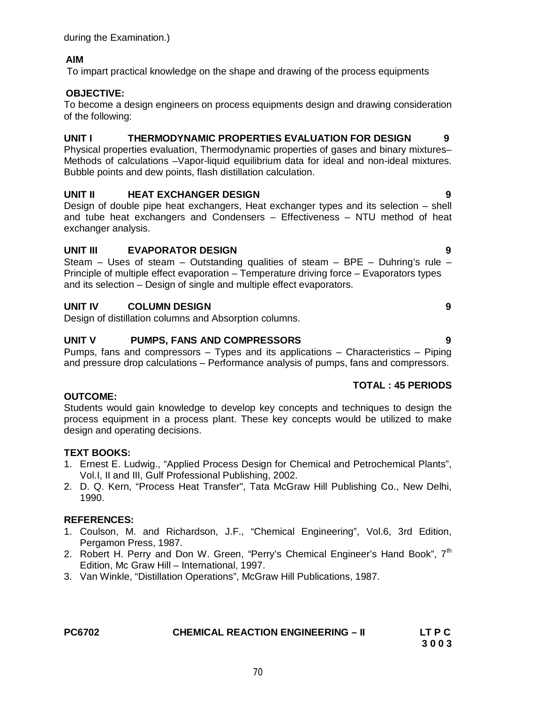# **AIM**

To impart practical knowledge on the shape and drawing of the process equipments

#### **OBJECTIVE:**

To become a design engineers on process equipments design and drawing consideration of the following:

### **UNIT I THERMODYNAMIC PROPERTIES EVALUATION FOR DESIGN 9**

Physical properties evaluation, Thermodynamic properties of gases and binary mixtures– Methods of calculations –Vapor-liquid equilibrium data for ideal and non-ideal mixtures. Bubble points and dew points, flash distillation calculation.

### **UNIT II HEAT EXCHANGER DESIGN 9**

Design of double pipe heat exchangers, Heat exchanger types and its selection – shell and tube heat exchangers and Condensers – Effectiveness – NTU method of heat exchanger analysis.

### **UNIT III EVAPORATOR DESIGN 9**

Steam – Uses of steam – Outstanding qualities of steam – BPE – Duhring's rule – Principle of multiple effect evaporation – Temperature driving force – Evaporators types and its selection – Design of single and multiple effect evaporators.

### **UNIT IV COLUMN DESIGN 9**

Design of distillation columns and Absorption columns.

### **UNIT V PUMPS, FANS AND COMPRESSORS 9**

Pumps, fans and compressors – Types and its applications – Characteristics – Piping and pressure drop calculations – Performance analysis of pumps, fans and compressors.

### **TOTAL : 45 PERIODS**

#### **OUTCOME:**

Students would gain knowledge to develop key concepts and techniques to design the process equipment in a process plant. These key concepts would be utilized to make design and operating decisions.

### **TEXT BOOKS:**

- 1. Ernest E. Ludwig., "Applied Process Design for Chemical and Petrochemical Plants", Vol.I, II and III, Gulf Professional Publishing, 2002.
- 2. D. Q. Kern, "Process Heat Transfer", Tata McGraw Hill Publishing Co., New Delhi, 1990.

- 1. Coulson, M. and Richardson, J.F., "Chemical Engineering", Vol.6, 3rd Edition, Pergamon Press, 1987.
- 2. Robert H. Perry and Don W. Green, "Perry's Chemical Engineer's Hand Book",  $7<sup>th</sup>$ Edition, Mc Graw Hill – International, 1997.
- 3. Van Winkle, "Distillation Operations", McGraw Hill Publications, 1987.

| <b>PC6702</b> | <b>CHEMICAL REACTION ENGINEERING - II</b> | LT P C |
|---------------|-------------------------------------------|--------|
|               |                                           | 3003   |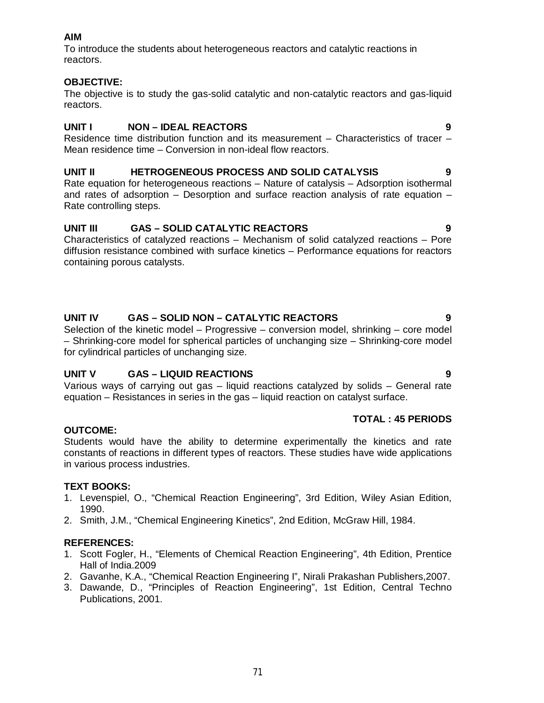# **AIM**

To introduce the students about heterogeneous reactors and catalytic reactions in reactors.

# **OBJECTIVE:**

The objective is to study the gas-solid catalytic and non-catalytic reactors and gas-liquid reactors.

# **UNIT I NON – IDEAL REACTORS 9**

Residence time distribution function and its measurement – Characteristics of tracer – Mean residence time – Conversion in non-ideal flow reactors.

# **UNIT II HETROGENEOUS PROCESS AND SOLID CATALYSIS 9**

Rate equation for heterogeneous reactions – Nature of catalysis – Adsorption isothermal and rates of adsorption – Desorption and surface reaction analysis of rate equation – Rate controlling steps.

# **UNIT III GAS – SOLID CATALYTIC REACTORS 9**

Characteristics of catalyzed reactions – Mechanism of solid catalyzed reactions – Pore diffusion resistance combined with surface kinetics – Performance equations for reactors containing porous catalysts.

# **UNIT IV GAS – SOLID NON – CATALYTIC REACTORS 9**

Selection of the kinetic model – Progressive – conversion model, shrinking – core model – Shrinking-core model for spherical particles of unchanging size – Shrinking-core model for cylindrical particles of unchanging size.

# **UNIT V GAS – LIQUID REACTIONS 9**

Various ways of carrying out gas – liquid reactions catalyzed by solids – General rate equation – Resistances in series in the gas – liquid reaction on catalyst surface.

### **TOTAL : 45 PERIODS**

### **OUTCOME:**

Students would have the ability to determine experimentally the kinetics and rate constants of reactions in different types of reactors. These studies have wide applications in various process industries.

### **TEXT BOOKS:**

- 1. Levenspiel, O., "Chemical Reaction Engineering", 3rd Edition, Wiley Asian Edition, 1990.
- 2. Smith, J.M., "Chemical Engineering Kinetics", 2nd Edition, McGraw Hill, 1984.

- 1. Scott Fogler, H., "Elements of Chemical Reaction Engineering", 4th Edition, Prentice Hall of India.2009
- 2. Gavanhe, K.A., "Chemical Reaction Engineering I", Nirali Prakashan Publishers,2007.
- 3. Dawande, D., "Principles of Reaction Engineering", 1st Edition, Central Techno Publications, 2001.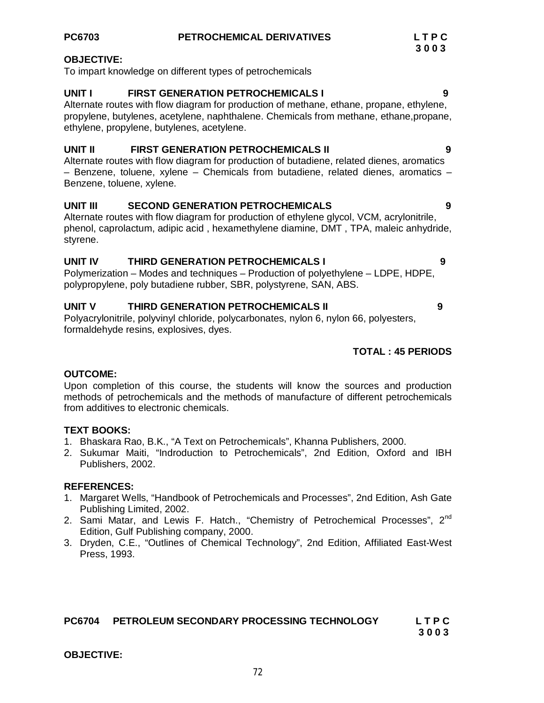#### **OBJECTIVE:**

To impart knowledge on different types of petrochemicals

#### **UNIT I FIRST GENERATION PETROCHEMICALS I 9**

Alternate routes with flow diagram for production of methane, ethane, propane, ethylene, propylene, butylenes, acetylene, naphthalene. Chemicals from methane, ethane,propane, ethylene, propylene, butylenes, acetylene.

#### **UNIT II FIRST GENERATION PETROCHEMICALS II 9**

Alternate routes with flow diagram for production of butadiene, related dienes, aromatics – Benzene, toluene, xylene – Chemicals from butadiene, related dienes, aromatics – Benzene, toluene, xylene.

# **UNIT III SECOND GENERATION PETROCHEMICALS 9**

Alternate routes with flow diagram for production of ethylene glycol, VCM, acrylonitrile, phenol, caprolactum, adipic acid , hexamethylene diamine, DMT , TPA, maleic anhydride, styrene.

#### **UNIT IV THIRD GENERATION PETROCHEMICALS I 9**

Polymerization – Modes and techniques – Production of polyethylene – LDPE, HDPE, polypropylene, poly butadiene rubber, SBR, polystyrene, SAN, ABS.

# **UNIT V THIRD GENERATION PETROCHEMICALS II 9**

Polyacrylonitrile, polyvinyl chloride, polycarbonates, nylon 6, nylon 66, polyesters, formaldehyde resins, explosives, dyes.

#### **TOTAL : 45 PERIODS**

#### **OUTCOME:**

Upon completion of this course, the students will know the sources and production methods of petrochemicals and the methods of manufacture of different petrochemicals from additives to electronic chemicals.

#### **TEXT BOOKS:**

- 1. Bhaskara Rao, B.K., "A Text on Petrochemicals", Khanna Publishers, 2000.
- 2. Sukumar Maiti, "Indroduction to Petrochemicals", 2nd Edition, Oxford and IBH Publishers, 2002.

#### **REFERENCES:**

- 1. Margaret Wells, "Handbook of Petrochemicals and Processes", 2nd Edition, Ash Gate Publishing Limited, 2002.
- 2. Sami Matar, and Lewis F. Hatch., "Chemistry of Petrochemical Processes", 2<sup>nd</sup> Edition, Gulf Publishing company, 2000.
- 3. Dryden, C.E., "Outlines of Chemical Technology", 2nd Edition, Affiliated East-West Press, 1993.

# **PC6704 PETROLEUM SECONDARY PROCESSING TECHNOLOGY L T P C**

**3 0 0 3**

#### **OBJECTIVE:**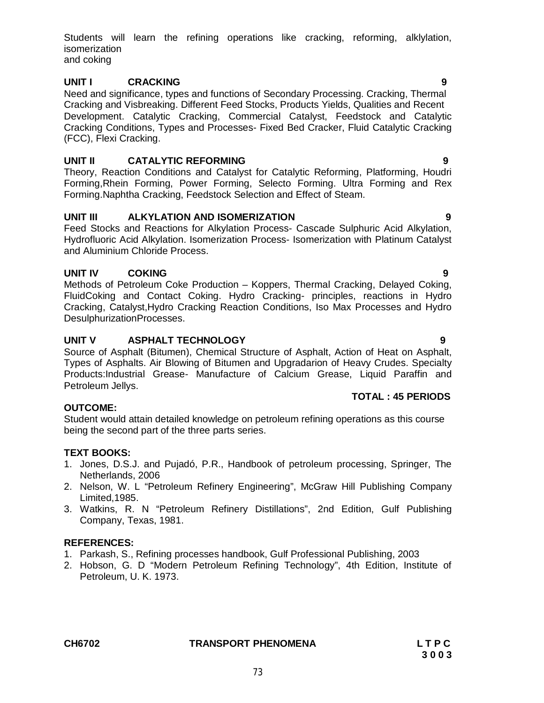**CH6702 TRANSPORT PHENOMENA L T P C**

### **UNIT I CRACKING 9**

isomerization and coking

Need and significance, types and functions of Secondary Processing. Cracking, Thermal Cracking and Visbreaking. Different Feed Stocks, Products Yields, Qualities and Recent Development. Catalytic Cracking, Commercial Catalyst, Feedstock and Catalytic Cracking Conditions, Types and Processes- Fixed Bed Cracker, Fluid Catalytic Cracking (FCC), Flexi Cracking.

Students will learn the refining operations like cracking, reforming, alklylation,

# **UNIT II CATALYTIC REFORMING 9**

Theory, Reaction Conditions and Catalyst for Catalytic Reforming, Platforming, Houdri Forming,Rhein Forming, Power Forming, Selecto Forming. Ultra Forming and Rex Forming.Naphtha Cracking, Feedstock Selection and Effect of Steam.

#### **UNIT III ALKYLATION AND ISOMERIZATION 9**

Feed Stocks and Reactions for Alkylation Process- Cascade Sulphuric Acid Alkylation, Hydrofluoric Acid Alkylation. Isomerization Process- Isomerization with Platinum Catalyst and Aluminium Chloride Process.

#### **UNIT IV COKING 9**

Methods of Petroleum Coke Production – Koppers, Thermal Cracking, Delayed Coking, FluidCoking and Contact Coking. Hydro Cracking- principles, reactions in Hydro Cracking, Catalyst,Hydro Cracking Reaction Conditions, Iso Max Processes and Hydro DesulphurizationProcesses.

#### **UNIT V ASPHALT TECHNOLOGY 9**

Source of Asphalt (Bitumen), Chemical Structure of Asphalt, Action of Heat on Asphalt, Types of Asphalts. Air Blowing of Bitumen and Upgradarion of Heavy Crudes. Specialty Products:Industrial Grease- Manufacture of Calcium Grease, Liquid Paraffin and Petroleum Jellys.

#### **OUTCOME:**

Student would attain detailed knowledge on petroleum refining operations as this course being the second part of the three parts series.

#### **TEXT BOOKS:**

- 1. Jones, D.S.J. and Pujadó, P.R., Handbook of petroleum processing, Springer, The Netherlands, 2006
- 2. Nelson, W. L "Petroleum Refinery Engineering", McGraw Hill Publishing Company Limited,1985.
- 3. Watkins, R. N "Petroleum Refinery Distillations", 2nd Edition, Gulf Publishing Company, Texas, 1981.

#### **REFERENCES:**

- 1. Parkash, S., Refining processes handbook, Gulf Professional Publishing, 2003
- 2. Hobson, G. D "Modern Petroleum Refining Technology", 4th Edition, Institute of Petroleum, U. K. 1973.

**TOTAL : 45 PERIODS**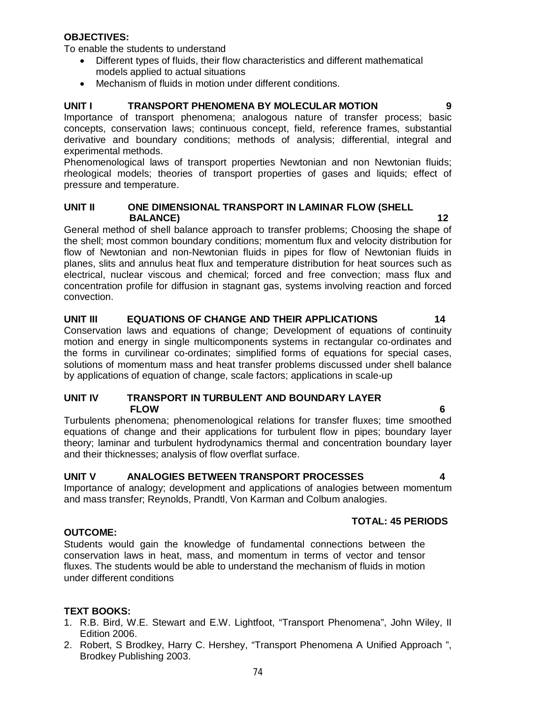### **OBJECTIVES:**

To enable the students to understand

- Different types of fluids, their flow characteristics and different mathematical models applied to actual situations
- Mechanism of fluids in motion under different conditions.

#### **UNIT I TRANSPORT PHENOMENA BY MOLECULAR MOTION 9**

Importance of transport phenomena; analogous nature of transfer process; basic concepts, conservation laws; continuous concept, field, reference frames, substantial derivative and boundary conditions; methods of analysis; differential, integral and experimental methods.

Phenomenological laws of transport properties Newtonian and non Newtonian fluids; rheological models; theories of transport properties of gases and liquids; effect of pressure and temperature.

#### **UNIT II ONE DIMENSIONAL TRANSPORT IN LAMINAR FLOW (SHELL BALANCE)** 12

General method of shell balance approach to transfer problems; Choosing the shape of the shell; most common boundary conditions; momentum flux and velocity distribution for flow of Newtonian and non-Newtonian fluids in pipes for flow of Newtonian fluids in planes, slits and annulus heat flux and temperature distribution for heat sources such as electrical, nuclear viscous and chemical; forced and free convection; mass flux and concentration profile for diffusion in stagnant gas, systems involving reaction and forced convection.

#### **UNIT III EQUATIONS OF CHANGE AND THEIR APPLICATIONS 14**

Conservation laws and equations of change; Development of equations of continuity motion and energy in single multicomponents systems in rectangular co-ordinates and the forms in curvilinear co-ordinates; simplified forms of equations for special cases, solutions of momentum mass and heat transfer problems discussed under shell balance by applications of equation of change, scale factors; applications in scale-up

#### **UNIT IV TRANSPORT IN TURBULENT AND BOUNDARY LAYER FLOW 6**

Turbulents phenomena; phenomenological relations for transfer fluxes; time smoothed equations of change and their applications for turbulent flow in pipes; boundary layer theory; laminar and turbulent hydrodynamics thermal and concentration boundary layer and their thicknesses; analysis of flow overflat surface.

### **UNIT V ANALOGIES BETWEEN TRANSPORT PROCESSES 4**

Importance of analogy; development and applications of analogies between momentum and mass transfer; Reynolds, Prandtl, Von Karman and Colbum analogies.

#### **TOTAL: 45 PERIODS**

#### **OUTCOME:**

Students would gain the knowledge of fundamental connections between the conservation laws in heat, mass, and momentum in terms of vector and tensor fluxes. The students would be able to understand the mechanism of fluids in motion under different conditions

#### **TEXT BOOKS:**

- 1. R.B. Bird, W.E. Stewart and E.W. Lightfoot, "Transport Phenomena", John Wiley, II Edition 2006.
- 2. Robert, S Brodkey, Harry C. Hershey, "Transport Phenomena A Unified Approach ", Brodkey Publishing 2003.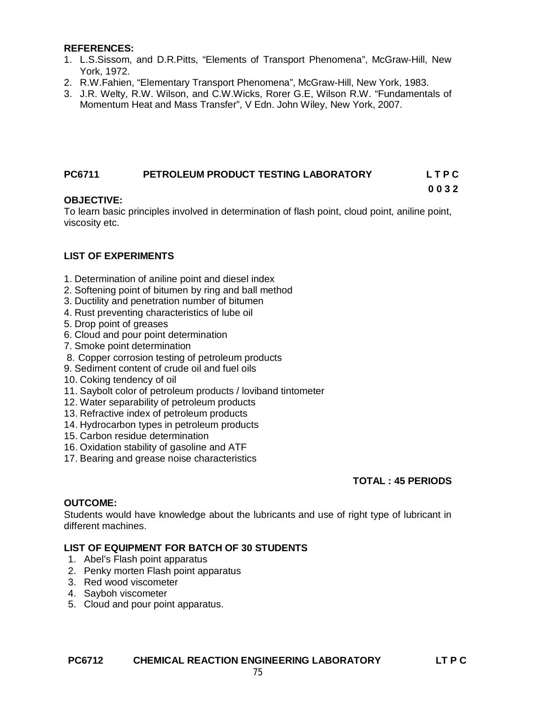#### **REFERENCES:**

- 1. L.S.Sissom, and D.R.Pitts, "Elements of Transport Phenomena", McGraw-Hill, New York, 1972.
- 2. R.W.Fahien, "Elementary Transport Phenomena", McGraw-Hill, New York, 1983.
- 3. J.R. Welty, R.W. Wilson, and C.W.Wicks, Rorer G.E, Wilson R.W. "Fundamentals of Momentum Heat and Mass Transfer", V Edn. John Wiley, New York, 2007.

# **PC6711 PETROLEUM PRODUCT TESTING LABORATORY L T P C**

### **OBJECTIVE:**

To learn basic principles involved in determination of flash point, cloud point, aniline point, viscosity etc.

### **LIST OF EXPERIMENTS**

- 1. Determination of aniline point and diesel index
- 2. Softening point of bitumen by ring and ball method
- 3. Ductility and penetration number of bitumen
- 4. Rust preventing characteristics of lube oil
- 5. Drop point of greases
- 6. Cloud and pour point determination
- 7. Smoke point determination
- 8. Copper corrosion testing of petroleum products
- 9. Sediment content of crude oil and fuel oils
- 10. Coking tendency of oil
- 11. Saybolt color of petroleum products / loviband tintometer
- 12. Water separability of petroleum products
- 13. Refractive index of petroleum products
- 14. Hydrocarbon types in petroleum products
- 15. Carbon residue determination
- 16. Oxidation stability of gasoline and ATF
- 17. Bearing and grease noise characteristics

### **TOTAL : 45 PERIODS**

**0 0 3 2**

#### **OUTCOME:**

Students would have knowledge about the lubricants and use of right type of lubricant in different machines.

### **LIST OF EQUIPMENT FOR BATCH OF 30 STUDENTS**

- 1. Abel's Flash point apparatus
- 2. Penky morten Flash point apparatus
- 3. Red wood viscometer
- 4. Sayboh viscometer
- 5. Cloud and pour point apparatus.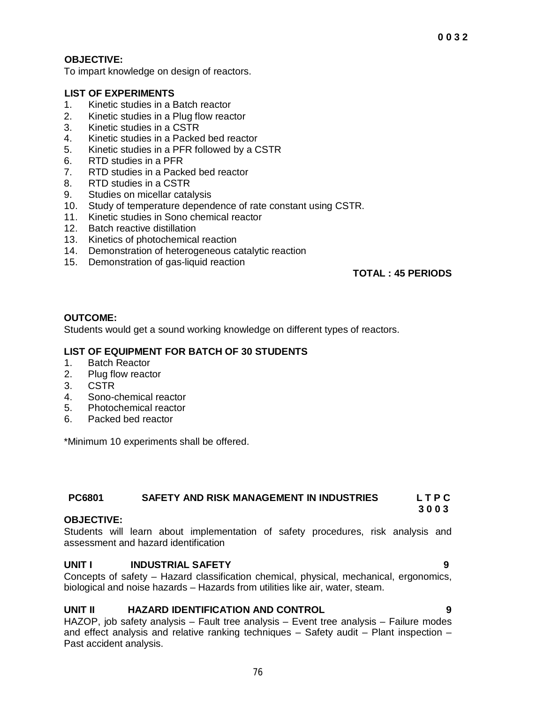# **OBJECTIVE:**

To impart knowledge on design of reactors.

# **LIST OF EXPERIMENTS**

- 1. Kinetic studies in a Batch reactor
- 2. Kinetic studies in a Plug flow reactor
- 3. Kinetic studies in a CSTR
- 4. Kinetic studies in a Packed bed reactor
- 5. Kinetic studies in a PFR followed by a CSTR
- 6. RTD studies in a PFR
- 7. RTD studies in a Packed bed reactor
- 8. RTD studies in a CSTR
- 9. Studies on micellar catalysis
- 10. Study of temperature dependence of rate constant using CSTR.
- 11. Kinetic studies in Sono chemical reactor
- 12. Batch reactive distillation
- 13. Kinetics of photochemical reaction
- 14. Demonstration of heterogeneous catalytic reaction
- 15. Demonstration of gas-liquid reaction

### **TOTAL : 45 PERIODS**

#### **OUTCOME:**

Students would get a sound working knowledge on different types of reactors.

# **LIST OF EQUIPMENT FOR BATCH OF 30 STUDENTS**

- 1. Batch Reactor
- 2. Plug flow reactor
- 3. CSTR
- 4. Sono-chemical reactor
- 5. Photochemical reactor
- 6. Packed bed reactor

\*Minimum 10 experiments shall be offered.

#### **PC6801 SAFETY AND RISK MANAGEMENT IN INDUSTRIES L T P C 3 0 0 3**

#### **OBJECTIVE:**

Students will learn about implementation of safety procedures, risk analysis and assessment and hazard identification

### **UNIT I INDUSTRIAL SAFETY 9**

Concepts of safety – Hazard classification chemical, physical, mechanical, ergonomics, biological and noise hazards – Hazards from utilities like air, water, steam.

### **UNIT II HAZARD IDENTIFICATION AND CONTROL 9**

HAZOP, job safety analysis – Fault tree analysis – Event tree analysis – Failure modes and effect analysis and relative ranking techniques – Safety audit – Plant inspection – Past accident analysis.

76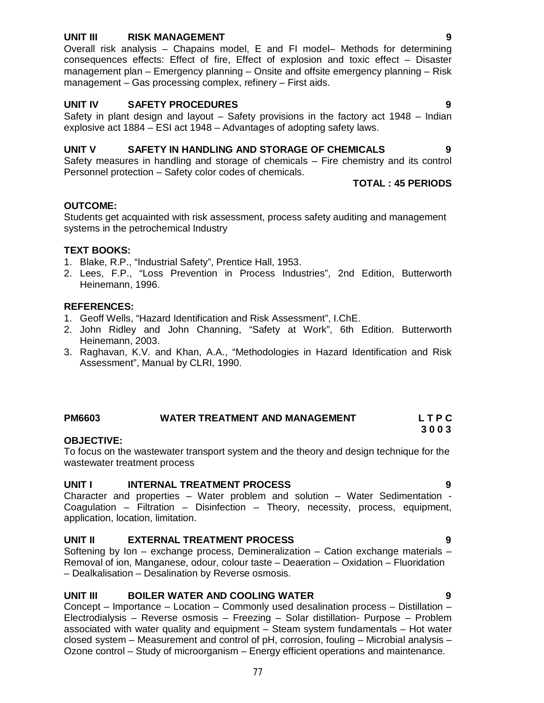#### **UNIT III RISK MANAGEMENT 9**

Overall risk analysis – Chapains model, E and FI model– Methods for determining consequences effects: Effect of fire, Effect of explosion and toxic effect – Disaster management plan – Emergency planning – Onsite and offsite emergency planning – Risk management – Gas processing complex, refinery – First aids.

#### **UNIT IV SAFETY PROCEDURES 9**

Safety in plant design and layout – Safety provisions in the factory act 1948 – Indian explosive act 1884 – ESI act 1948 – Advantages of adopting safety laws.

#### **UNIT V SAFETY IN HANDLING AND STORAGE OF CHEMICALS 9**

Safety measures in handling and storage of chemicals – Fire chemistry and its control Personnel protection – Safety color codes of chemicals.

**TOTAL : 45 PERIODS**

#### **OUTCOME:**

Students get acquainted with risk assessment, process safety auditing and management systems in the petrochemical Industry

#### **TEXT BOOKS:**

- 1. Blake, R.P., "Industrial Safety", Prentice Hall, 1953.
- 2. Lees, F.P., "Loss Prevention in Process Industries", 2nd Edition, Butterworth Heinemann, 1996.

#### **REFERENCES:**

- 1. Geoff Wells, "Hazard Identification and Risk Assessment", I.ChE.
- 2. John Ridley and John Channing, "Safety at Work", 6th Edition. Butterworth Heinemann, 2003.
- 3. Raghavan, K.V. and Khan, A.A., "Methodologies in Hazard Identification and Risk Assessment", Manual by CLRI, 1990.

### **PM6603 WATER TREATMENT AND MANAGEMENT L T P C**

#### **OBJECTIVE:**

To focus on the wastewater transport system and the theory and design technique for the wastewater treatment process

#### **UNIT I INTERNAL TREATMENT PROCESS 9**

Character and properties – Water problem and solution – Water Sedimentation - Coagulation – Filtration – Disinfection – Theory, necessity, process, equipment, application, location, limitation.

#### **UNIT II EXTERNAL TREATMENT PROCESS 9**

Softening by Ion – exchange process, Demineralization – Cation exchange materials – Removal of ion, Manganese, odour, colour taste – Deaeration – Oxidation – Fluoridation – Dealkalisation – Desalination by Reverse osmosis.

#### **UNIT III BOILER WATER AND COOLING WATER 9**

Concept – Importance – Location – Commonly used desalination process – Distillation – Electrodialysis – Reverse osmosis – Freezing – Solar distillation- Purpose – Problem associated with water quality and equipment – Steam system fundamentals – Hot water closed system – Measurement and control of pH, corrosion, fouling – Microbial analysis – Ozone control – Study of microorganism – Energy efficient operations and maintenance.

77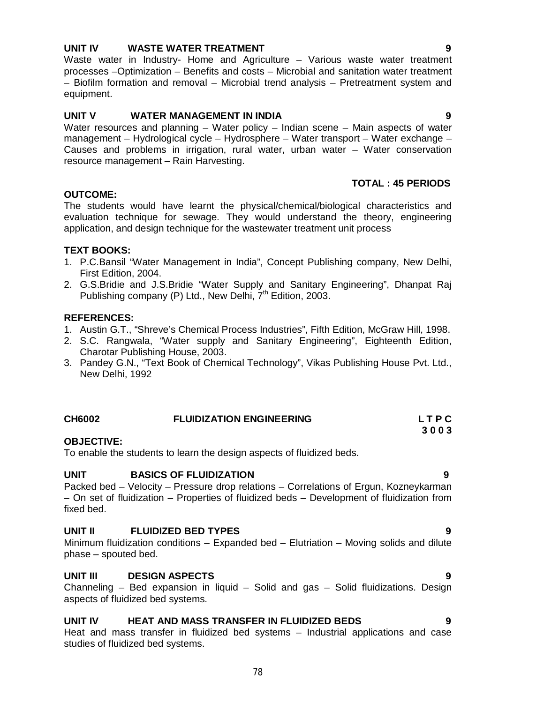# **UNIT IV WASTE WATER TREATMENT 9**

Waste water in Industry- Home and Agriculture – Various waste water treatment processes –Optimization – Benefits and costs – Microbial and sanitation water treatment – Biofilm formation and removal – Microbial trend analysis – Pretreatment system and equipment.

#### **UNIT V WATER MANAGEMENT IN INDIA 9**

Water resources and planning – Water policy – Indian scene – Main aspects of water management – Hydrological cycle – Hydrosphere – Water transport – Water exchange – Causes and problems in irrigation, rural water, urban water – Water conservation resource management – Rain Harvesting.

# **TOTAL : 45 PERIODS**

#### **OUTCOME:**

The students would have learnt the physical/chemical/biological characteristics and evaluation technique for sewage. They would understand the theory, engineering application, and design technique for the wastewater treatment unit process

#### **TEXT BOOKS:**

- 1. P.C.Bansil "Water Management in India", Concept Publishing company, New Delhi, First Edition, 2004.
- 2. G.S.Bridie and J.S.Bridie "Water Supply and Sanitary Engineering", Dhanpat Raj Publishing company (P) Ltd., New Delhi,  $7<sup>th</sup>$  Edition, 2003.

#### **REFERENCES:**

- 1. Austin G.T., "Shreve's Chemical Process Industries", Fifth Edition, McGraw Hill, 1998.
- 2. S.C. Rangwala, "Water supply and Sanitary Engineering", Eighteenth Edition, Charotar Publishing House, 2003.
- 3. Pandey G.N., "Text Book of Chemical Technology", Vikas Publishing House Pvt. Ltd., New Delhi, 1992

| <b>CH6002</b> | <b>FLUIDIZATION ENGINEERING</b> | LTPC |
|---------------|---------------------------------|------|
|               |                                 | 3003 |

#### **OBJECTIVE:**

To enable the students to learn the design aspects of fluidized beds.

#### **UNIT BASICS OF FLUIDIZATION 9**

Packed bed – Velocity – Pressure drop relations – Correlations of Ergun, Kozneykarman – On set of fluidization – Properties of fluidized beds – Development of fluidization from fixed bed.

#### **UNIT II FLUIDIZED BED TYPES 9**

Minimum fluidization conditions – Expanded bed – Elutriation – Moving solids and dilute phase – spouted bed.

### **UNIT III DESIGN ASPECTS 9**

Channeling – Bed expansion in liquid – Solid and gas – Solid fluidizations. Design aspects of fluidized bed systems.

#### **UNIT IV HEAT AND MASS TRANSFER IN FLUIDIZED BEDS 9**

Heat and mass transfer in fluidized bed systems – Industrial applications and case studies of fluidized bed systems.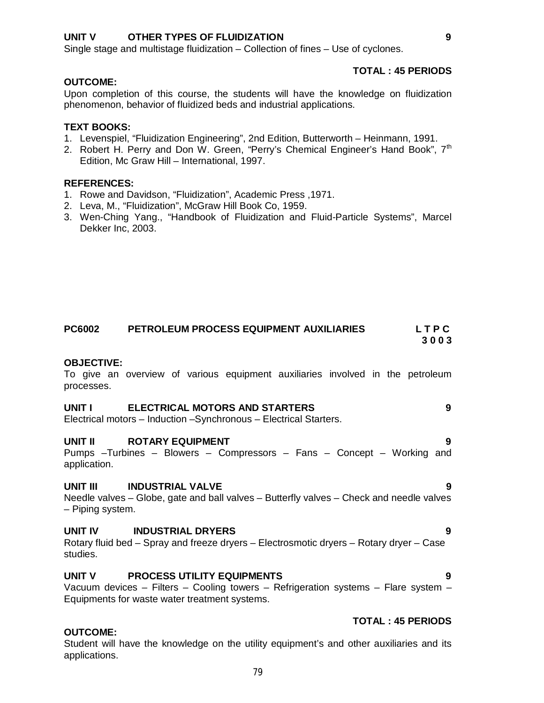#### **UNIT V OTHER TYPES OF FLUIDIZATION 9**

Single stage and multistage fluidization – Collection of fines – Use of cyclones.

#### **OUTCOME:**

Upon completion of this course, the students will have the knowledge on fluidization phenomenon, behavior of fluidized beds and industrial applications.

#### **TEXT BOOKS:**

- 1. Levenspiel, "Fluidization Engineering", 2nd Edition, Butterworth Heinmann, 1991.
- 2. Robert H. Perry and Don W. Green, "Perry's Chemical Engineer's Hand Book", 7<sup>th</sup> Edition, Mc Graw Hill – International, 1997.

#### **REFERENCES:**

- 1. Rowe and Davidson, "Fluidization", Academic Press ,1971.
- 2. Leva, M., "Fluidization", McGraw Hill Book Co, 1959.
- 3. Wen-Ching Yang., "Handbook of Fluidization and Fluid-Particle Systems", Marcel Dekker Inc, 2003.

#### **PC6002 PETROLEUM PROCESS EQUIPMENT AUXILIARIES L T P C 3 0 0 3**

**OBJECTIVE:**

To give an overview of various equipment auxiliaries involved in the petroleum processes.

#### **UNIT I ELECTRICAL MOTORS AND STARTERS 9**

Electrical motors – Induction –Synchronous – Electrical Starters.

#### **UNIT II** ROTARY EQUIPMENT **19 1** Pumps –Turbines – Blowers – Compressors – Fans – Concept – Working and application.

#### **UNIT III INDUSTRIAL VALVE 9**

Needle valves – Globe, gate and ball valves – Butterfly valves – Check and needle valves – Piping system.

#### **UNIT IV INDUSTRIAL DRYERS 9**

Rotary fluid bed – Spray and freeze dryers – Electrosmotic dryers – Rotary dryer – Case studies.

#### **UNIT V PROCESS UTILITY EQUIPMENTS 9**

Vacuum devices – Filters – Cooling towers – Refrigeration systems – Flare system – Equipments for waste water treatment systems.

#### **OUTCOME:**

Student will have the knowledge on the utility equipment's and other auxiliaries and its applications.

**TOTAL : 45 PERIODS**

**TOTAL : 45 PERIODS**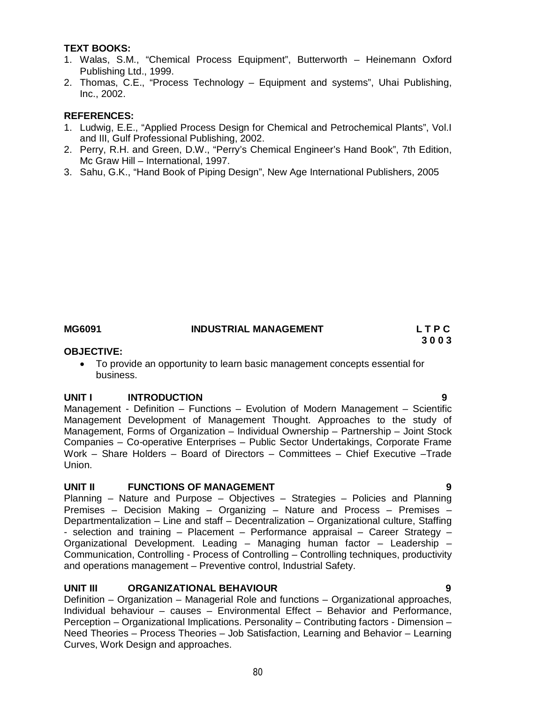#### **TEXT BOOKS:**

- 1. Walas, S.M., "Chemical Process Equipment", Butterworth Heinemann Oxford Publishing Ltd., 1999.
- 2. Thomas, C.E., "Process Technology Equipment and systems", Uhai Publishing, Inc., 2002.

#### **REFERENCES:**

- 1. Ludwig, E.E., "Applied Process Design for Chemical and Petrochemical Plants", Vol.I and III, Gulf Professional Publishing, 2002.
- 2. Perry, R.H. and Green, D.W., "Perry's Chemical Engineer's Hand Book", 7th Edition, Mc Graw Hill – International, 1997.
- 3. Sahu, G.K., "Hand Book of Piping Design", New Age International Publishers, 2005

### **MG6091 INDUSTRIAL MANAGEMENT L T P C**

# **3 0 0 3**

#### **OBJECTIVE:**

 To provide an opportunity to learn basic management concepts essential for business.

#### **UNIT I INTRODUCTION 9**

Management - Definition – Functions – Evolution of Modern Management – Scientific Management Development of Management Thought. Approaches to the study of Management, Forms of Organization – Individual Ownership – Partnership – Joint Stock Companies – Co-operative Enterprises – Public Sector Undertakings, Corporate Frame Work – Share Holders – Board of Directors – Committees – Chief Executive –Trade Union.

### **UNIT II FUNCTIONS OF MANAGEMENT 4 CONSUMING A SET OF A SET OF A SET OF A SET OF A SET OF A SET OF A SET OF A S**

Planning – Nature and Purpose – Objectives – Strategies – Policies and Planning Premises – Decision Making – Organizing – Nature and Process – Premises – Departmentalization – Line and staff – Decentralization – Organizational culture, Staffing - selection and training – Placement – Performance appraisal – Career Strategy – Organizational Development. Leading – Managing human factor – Leadership – Communication, Controlling - Process of Controlling – Controlling techniques, productivity and operations management – Preventive control, Industrial Safety.

#### **UNIT III ORGANIZATIONAL BEHAVIOUR 9**

Definition – Organization – Managerial Role and functions – Organizational approaches, Individual behaviour – causes – Environmental Effect – Behavior and Performance, Perception – Organizational Implications. Personality – Contributing factors - Dimension – Need Theories – Process Theories – Job Satisfaction, Learning and Behavior – Learning Curves, Work Design and approaches.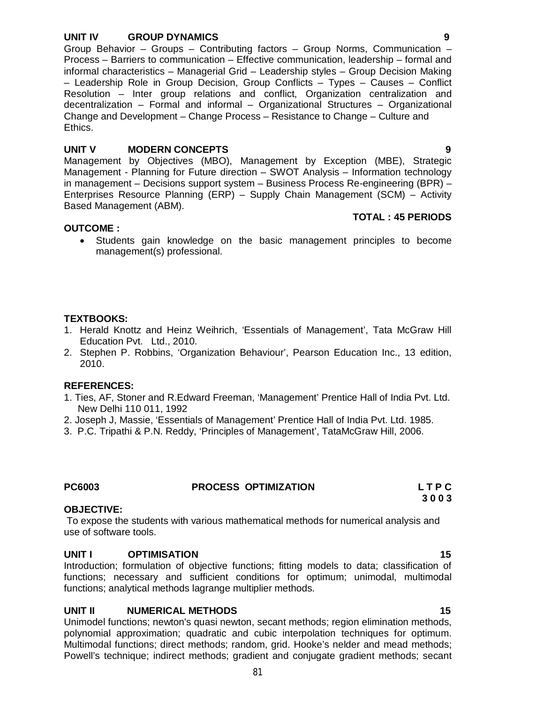#### **UNIT IV GROUP DYNAMICS 9**

Group Behavior – Groups – Contributing factors – Group Norms, Communication – Process – Barriers to communication – Effective communication, leadership – formal and informal characteristics – Managerial Grid – Leadership styles – Group Decision Making – Leadership Role in Group Decision, Group Conflicts – Types – Causes – Conflict Resolution – Inter group relations and conflict, Organization centralization and decentralization – Formal and informal – Organizational Structures – Organizational Change and Development – Change Process – Resistance to Change – Culture and Ethics.

#### **UNIT V MODERN CONCEPTS 9**

**TOTAL : 45 PERIODS** 

Management by Objectives (MBO), Management by Exception (MBE), Strategic Management - Planning for Future direction – SWOT Analysis – Information technology in management – Decisions support system – Business Process Re-engineering (BPR) – Enterprises Resource Planning (ERP) – Supply Chain Management (SCM) – Activity Based Management (ABM).

#### **OUTCOME :**

 Students gain knowledge on the basic management principles to become management(s) professional.

#### **TEXTBOOKS:**

- 1. Herald Knottz and Heinz Weihrich, 'Essentials of Management', Tata McGraw Hill Education Pvt. Ltd., 2010.
- 2. Stephen P. Robbins, 'Organization Behaviour', Pearson Education Inc., 13 edition, 2010.

#### **REFERENCES:**

- 1. Ties, AF, Stoner and R.Edward Freeman, 'Management' Prentice Hall of India Pvt. Ltd. New Delhi 110 011, 1992
- 2. Joseph J, Massie, 'Essentials of Management' Prentice Hall of India Pvt. Ltd. 1985.
- 3. P.C. Tripathi & P.N. Reddy, 'Principles of Management', TataMcGraw Hill, 2006.

#### **PC6003 PROCESS OPTIMIZATION L T P C**

#### **OBJECTIVE:**

To expose the students with various mathematical methods for numerical analysis and use of software tools.

#### **UNIT I OPTIMISATION 15**

Introduction; formulation of objective functions; fitting models to data; classification of functions; necessary and sufficient conditions for optimum; unimodal, multimodal functions; analytical methods lagrange multiplier methods.

#### **UNIT II NUMERICAL METHODS 15**

Unimodel functions; newton's quasi newton, secant methods; region elimination methods, polynomial approximation; quadratic and cubic interpolation techniques for optimum. Multimodal functions; direct methods; random, grid. Hooke's nelder and mead methods; Powell's technique; indirect methods; gradient and conjugate gradient methods; secant

81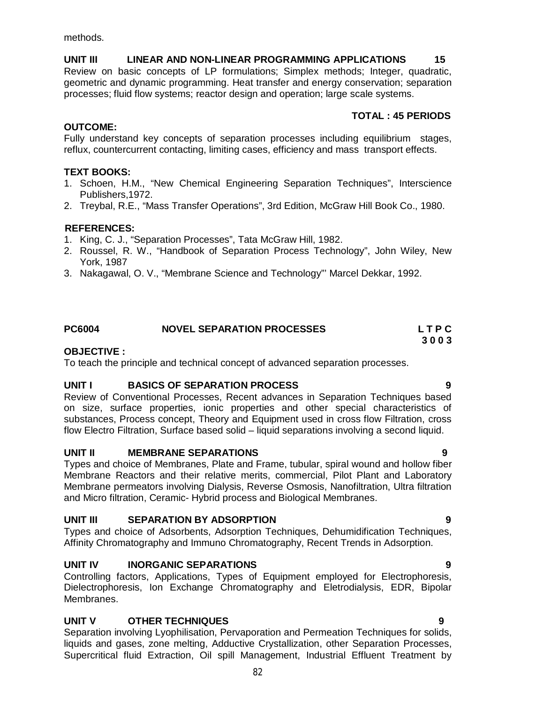methods.

**UNIT III LINEAR AND NON-LINEAR PROGRAMMING APPLICATIONS 15** Review on basic concepts of LP formulations; Simplex methods; Integer, quadratic, geometric and dynamic programming. Heat transfer and energy conservation; separation processes; fluid flow systems; reactor design and operation; large scale systems.

# **TOTAL : 45 PERIODS**

### **OUTCOME:**

Fully understand key concepts of separation processes including equilibrium stages, reflux, countercurrent contacting, limiting cases, efficiency and mass transport effects.

# **TEXT BOOKS:**

- 1. Schoen, H.M., "New Chemical Engineering Separation Techniques", Interscience Publishers,1972.
- 2. Treybal, R.E., "Mass Transfer Operations", 3rd Edition, McGraw Hill Book Co., 1980.

### **REFERENCES:**

- 1. King, C. J., "Separation Processes", Tata McGraw Hill, 1982.
- 2. Roussel, R. W., "Handbook of Separation Process Technology", John Wiley, New York, 1987
- 3. Nakagawal, O. V., "Membrane Science and Technology"' Marcel Dekkar, 1992.

### **PC6004 NOVEL SEPARATION PROCESSES L T P C**

### **OBJECTIVE :**

To teach the principle and technical concept of advanced separation processes.

### **UNIT I BASICS OF SEPARATION PROCESS 9**

Review of Conventional Processes, Recent advances in Separation Techniques based on size, surface properties, ionic properties and other special characteristics of substances, Process concept, Theory and Equipment used in cross flow Filtration, cross flow Electro Filtration, Surface based solid – liquid separations involving a second liquid.

### **UNIT II MEMBRANE SEPARATIONS 9**

Types and choice of Membranes, Plate and Frame, tubular, spiral wound and hollow fiber Membrane Reactors and their relative merits, commercial, Pilot Plant and Laboratory Membrane permeators involving Dialysis, Reverse Osmosis, Nanofiltration, Ultra filtration and Micro filtration, Ceramic- Hybrid process and Biological Membranes.

### **UNIT III SEPARATION BY ADSORPTION 9**

Types and choice of Adsorbents, Adsorption Techniques, Dehumidification Techniques, Affinity Chromatography and Immuno Chromatography, Recent Trends in Adsorption.

### **UNIT IV INORGANIC SEPARATIONS 9**

Controlling factors, Applications, Types of Equipment employed for Electrophoresis, Dielectrophoresis, Ion Exchange Chromatography and Eletrodialysis, EDR, Bipolar Membranes.

# **UNIT V OTHER TECHNIQUES 9**

Separation involving Lyophilisation, Pervaporation and Permeation Techniques for solids, liquids and gases, zone melting, Adductive Crystallization, other Separation Processes, Supercritical fluid Extraction, Oil spill Management, Industrial Effluent Treatment by

82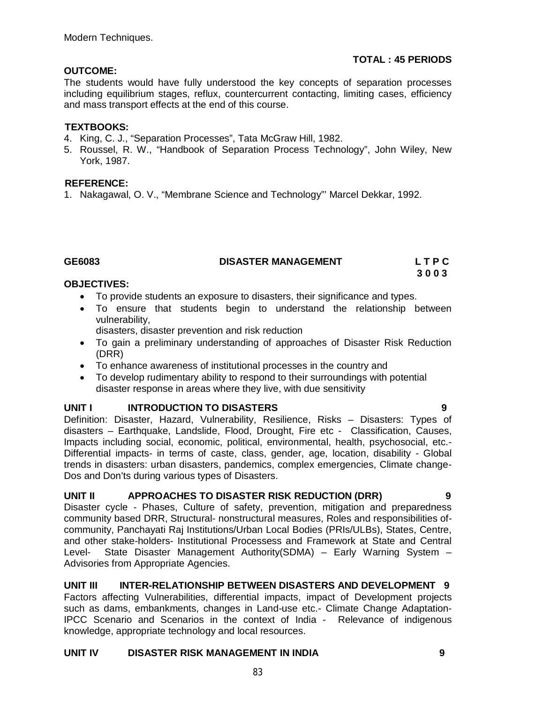# **TOTAL : 45 PERIODS**

### **OUTCOME:**

The students would have fully understood the key concepts of separation processes including equilibrium stages, reflux, countercurrent contacting, limiting cases, efficiency and mass transport effects at the end of this course.

# **TEXTBOOKS:**

- 4. King, C. J., "Separation Processes", Tata McGraw Hill, 1982.
- 5. Roussel, R. W., "Handbook of Separation Process Technology", John Wiley, New York, 1987.

# **REFERENCE:**

1. Nakagawal, O. V., "Membrane Science and Technology"' Marcel Dekkar, 1992.

# GE6083 **DISASTER MANAGEMENT** L T P C L T P C

 **3 0 0 3** 

# **OBJECTIVES:**

- To provide students an exposure to disasters, their significance and types.
- To ensure that students begin to understand the relationship between vulnerability,

disasters, disaster prevention and risk reduction

- To gain a preliminary understanding of approaches of Disaster Risk Reduction (DRR)
- To enhance awareness of institutional processes in the country and
- To develop rudimentary ability to respond to their surroundings with potential disaster response in areas where they live, with due sensitivity

# **UNIT I INTRODUCTION TO DISASTERS 9**

Definition: Disaster, Hazard, Vulnerability, Resilience, Risks – Disasters: Types of disasters – Earthquake, Landslide, Flood, Drought, Fire etc - Classification, Causes, Impacts including social, economic, political, environmental, health, psychosocial, etc.- Differential impacts- in terms of caste, class, gender, age, location, disability - Global trends in disasters: urban disasters, pandemics, complex emergencies, Climate change-Dos and Don'ts during various types of Disasters.

# **UNIT II APPROACHES TO DISASTER RISK REDUCTION (DRR) 9**

Disaster cycle - Phases, Culture of safety, prevention, mitigation and preparedness community based DRR, Structural- nonstructural measures, Roles and responsibilities ofcommunity, Panchayati Raj Institutions/Urban Local Bodies (PRIs/ULBs), States, Centre, and other stake-holders- Institutional Processess and Framework at State and Central Level- State Disaster Management Authority(SDMA) – Early Warning System – Advisories from Appropriate Agencies.

# **UNIT III INTER-RELATIONSHIP BETWEEN DISASTERS AND DEVELOPMENT 9**

Factors affecting Vulnerabilities, differential impacts, impact of Development projects such as dams, embankments, changes in Land-use etc.- Climate Change Adaptation-IPCC Scenario and Scenarios in the context of India - Relevance of indigenous knowledge, appropriate technology and local resources.

# **UNIT IV DISASTER RISK MANAGEMENT IN INDIA 9**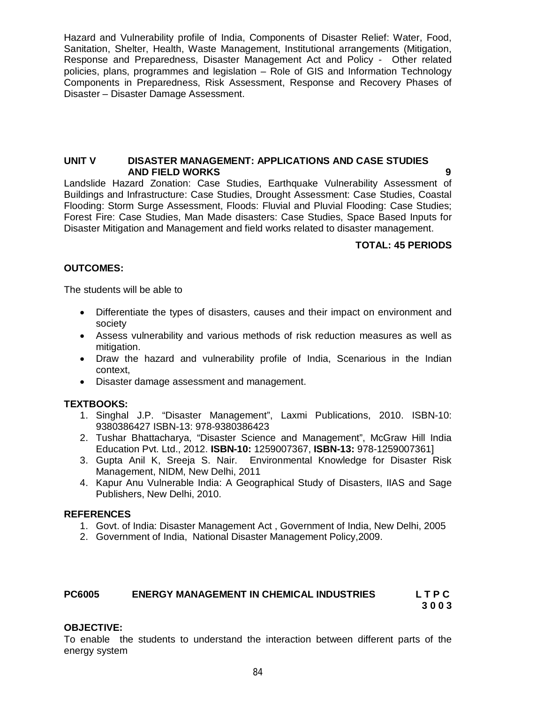Hazard and Vulnerability profile of India, Components of Disaster Relief: Water, Food, Sanitation, Shelter, Health, Waste Management, Institutional arrangements (Mitigation, Response and Preparedness, Disaster Management Act and Policy - Other related policies, plans, programmes and legislation – Role of GIS and Information Technology Components in Preparedness, Risk Assessment, Response and Recovery Phases of Disaster – Disaster Damage Assessment.

#### **UNIT V DISASTER MANAGEMENT: APPLICATIONS AND CASE STUDIES AND FIELD WORKS**

Landslide Hazard Zonation: Case Studies, Earthquake Vulnerability Assessment of Buildings and Infrastructure: Case Studies, Drought Assessment: Case Studies, Coastal Flooding: Storm Surge Assessment, Floods: Fluvial and Pluvial Flooding: Case Studies; Forest Fire: Case Studies, Man Made disasters: Case Studies, Space Based Inputs for Disaster Mitigation and Management and field works related to disaster management.

### **TOTAL: 45 PERIODS**

# **OUTCOMES:**

The students will be able to

- Differentiate the types of disasters, causes and their impact on environment and society
- Assess vulnerability and various methods of risk reduction measures as well as mitigation.
- Draw the hazard and vulnerability profile of India, Scenarious in the Indian context,
- Disaster damage assessment and management.

### **TEXTBOOKS:**

- 1. Singhal J.P. "Disaster Management", Laxmi Publications, 2010. ISBN-10: 9380386427 ISBN-13: 978-9380386423
- 2. Tushar Bhattacharya, "Disaster Science and Management", McGraw Hill India Education Pvt. Ltd., 2012. **ISBN-10:** 1259007367, **ISBN-13:** 978-1259007361]
- 3. Gupta Anil K, Sreeja S. Nair. Environmental Knowledge for Disaster Risk Management, NIDM, New Delhi, 2011
- 4. Kapur Anu Vulnerable India: A Geographical Study of Disasters, IIAS and Sage Publishers, New Delhi, 2010.

### **REFERENCES**

- 1. Govt. of India: Disaster Management Act , Government of India, New Delhi, 2005
- 2. Government of India, National Disaster Management Policy,2009.

### **PC6005 ENERGY MANAGEMENT IN CHEMICAL INDUSTRIES L T P C**

**3 0 0 3**

### **OBJECTIVE:**

To enable the students to understand the interaction between different parts of the energy system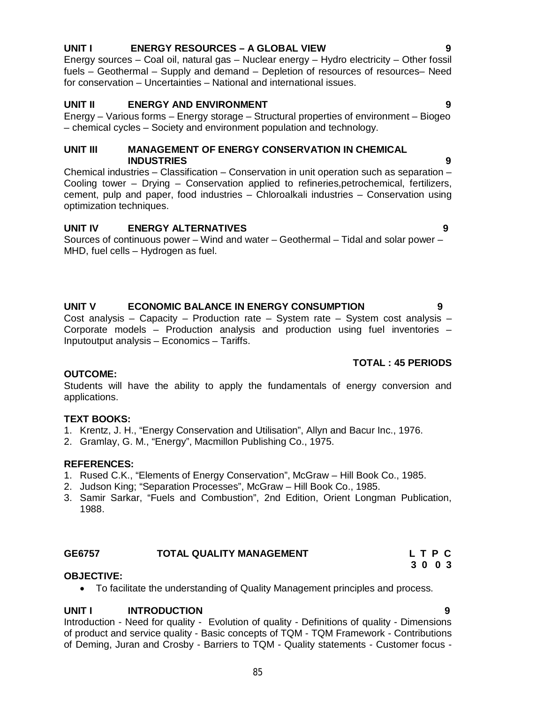### 85

# **UNIT I ENERGY RESOURCES – A GLOBAL VIEW 9**

Energy sources – Coal oil, natural gas – Nuclear energy – Hydro electricity – Other fossil fuels – Geothermal – Supply and demand – Depletion of resources of resources– Need for conservation – Uncertainties – National and international issues.

# **UNIT II ENERGY AND ENVIRONMENT 9**

Energy – Various forms – Energy storage – Structural properties of environment – Biogeo – chemical cycles – Society and environment population and technology.

### **UNIT III MANAGEMENT OF ENERGY CONSERVATION IN CHEMICAL INDUSTRIES 9**

Chemical industries – Classification – Conservation in unit operation such as separation – Cooling tower – Drying – Conservation applied to refineries,petrochemical, fertilizers, cement, pulp and paper, food industries – Chloroalkali industries – Conservation using optimization techniques.

### **UNIT IV ENERGY ALTERNATIVES 9**

Sources of continuous power – Wind and water – Geothermal – Tidal and solar power – MHD, fuel cells – Hydrogen as fuel.

# **UNIT V ECONOMIC BALANCE IN ENERGY CONSUMPTION 9**

Cost analysis – Capacity – Production rate – System rate – System cost analysis – Corporate models – Production analysis and production using fuel inventories – Inputoutput analysis – Economics – Tariffs.

### **TOTAL : 45 PERIODS**

### **OUTCOME:**

Students will have the ability to apply the fundamentals of energy conversion and applications.

### **TEXT BOOKS:**

- 1. Krentz, J. H., "Energy Conservation and Utilisation", Allyn and Bacur Inc., 1976.
- 2. Gramlay, G. M., "Energy", Macmillon Publishing Co., 1975.

### **REFERENCES:**

- 1. Rused C.K., "Elements of Energy Conservation", McGraw Hill Book Co., 1985.
- 2. Judson King; "Separation Processes", McGraw Hill Book Co., 1985.
- 3. Samir Sarkar, "Fuels and Combustion", 2nd Edition, Orient Longman Publication, 1988.

#### **GE6757 TOTAL QUALITY MANAGEMENT L T P C 3 0 0 3**

### **OBJECTIVE:**

To facilitate the understanding of Quality Management principles and process.

### **UNIT I INTRODUCTION 9**

Introduction - Need for quality - Evolution of quality - Definitions of quality - Dimensions of product and service quality - Basic concepts of TQM - TQM Framework - Contributions of Deming, Juran and Crosby - Barriers to TQM - Quality statements - Customer focus -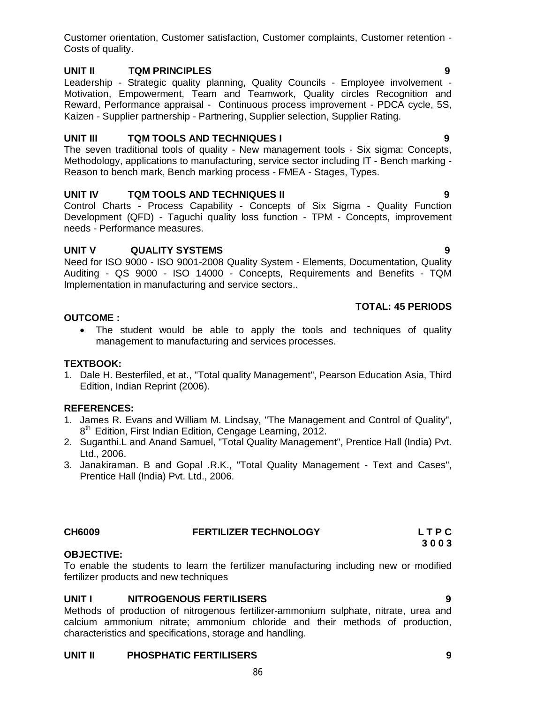Customer orientation, Customer satisfaction, Customer complaints, Customer retention - Costs of quality.

# **UNIT II TQM PRINCIPLES 9**

Leadership - Strategic quality planning, Quality Councils - Employee involvement - Motivation, Empowerment, Team and Teamwork, Quality circles Recognition and Reward, Performance appraisal - Continuous process improvement - PDCA cycle, 5S, Kaizen - Supplier partnership - Partnering, Supplier selection, Supplier Rating.

# **UNIT III TQM TOOLS AND TECHNIQUES I 9**

The seven traditional tools of quality - New management tools - Six sigma: Concepts, Methodology, applications to manufacturing, service sector including IT - Bench marking - Reason to bench mark, Bench marking process - FMEA - Stages, Types.

# **UNIT IV TQM TOOLS AND TECHNIQUES II 9**

Control Charts - Process Capability - Concepts of Six Sigma - Quality Function Development (QFD) - Taguchi quality loss function - TPM - Concepts, improvement needs - Performance measures.

# **UNIT V QUALITY SYSTEMS 9**

Need for ISO 9000 - ISO 9001-2008 Quality System - Elements, Documentation, Quality Auditing - QS 9000 - ISO 14000 - Concepts, Requirements and Benefits - TQM Implementation in manufacturing and service sectors..

 The student would be able to apply the tools and techniques of quality management to manufacturing and services processes.

### **TEXTBOOK:**

**OUTCOME :**

1. Dale H. Besterfiled, et at., "Total quality Management", Pearson Education Asia, Third Edition, Indian Reprint (2006).

### **REFERENCES:**

- 1. James R. Evans and William M. Lindsay, "The Management and Control of Quality", 8<sup>th</sup> Edition, First Indian Edition, Cengage Learning, 2012.
- 2. Suganthi.L and Anand Samuel, "Total Quality Management", Prentice Hall (India) Pvt. Ltd., 2006.
- 3. Janakiraman. B and Gopal .R.K., "Total Quality Management Text and Cases", Prentice Hall (India) Pvt. Ltd., 2006.

# **CH6009 FERTILIZER TECHNOLOGY L T P C**

# **OBJECTIVE:**

To enable the students to learn the fertilizer manufacturing including new or modified fertilizer products and new techniques

# **UNIT I NITROGENOUS FERTILISERS 9**

Methods of production of nitrogenous fertilizer-ammonium sulphate, nitrate, urea and calcium ammonium nitrate; ammonium chloride and their methods of production, characteristics and specifications, storage and handling.

# **UNIT II PHOSPHATIC FERTILISERS 9**

# **TOTAL: 45 PERIODS**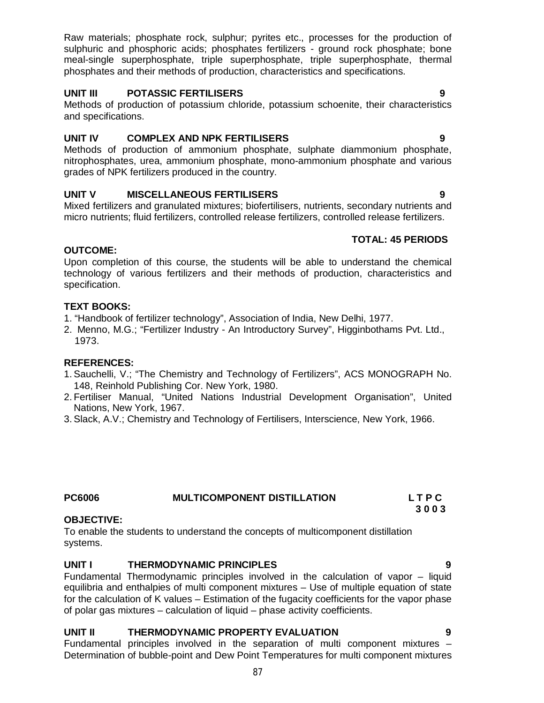Raw materials; phosphate rock, sulphur; pyrites etc., processes for the production of sulphuric and phosphoric acids; phosphates fertilizers - ground rock phosphate; bone meal-single superphosphate, triple superphosphate, triple superphosphate, thermal phosphates and their methods of production, characteristics and specifications.

# **UNIT III POTASSIC FERTILISERS 9**

Methods of production of potassium chloride, potassium schoenite, their characteristics and specifications.

# **UNIT IV COMPLEX AND NPK FERTILISERS 9**

Methods of production of ammonium phosphate, sulphate diammonium phosphate, nitrophosphates, urea, ammonium phosphate, mono-ammonium phosphate and various grades of NPK fertilizers produced in the country.

# **UNIT V MISCELLANEOUS FERTILISERS 9**

Mixed fertilizers and granulated mixtures; biofertilisers, nutrients, secondary nutrients and micro nutrients; fluid fertilizers, controlled release fertilizers, controlled release fertilizers.

# **TOTAL: 45 PERIODS**

# **OUTCOME:**

Upon completion of this course, the students will be able to understand the chemical technology of various fertilizers and their methods of production, characteristics and specification.

# **TEXT BOOKS:**

- 1. "Handbook of fertilizer technology", Association of India, New Delhi, 1977.
- 2. Menno, M.G.; "Fertilizer Industry An Introductory Survey", Higginbothams Pvt. Ltd., 1973.

### **REFERENCES:**

- 1.Sauchelli, V.; "The Chemistry and Technology of Fertilizers", ACS MONOGRAPH No. 148, Reinhold Publishing Cor. New York, 1980.
- 2. Fertiliser Manual, "United Nations Industrial Development Organisation", United Nations, New York, 1967.
- 3.Slack, A.V.; Chemistry and Technology of Fertilisers, Interscience, New York, 1966.

# **PC6006 MULTICOMPONENT DISTILLATION L T P C**

### **OBJECTIVE:**

To enable the students to understand the concepts of multicomponent distillation systems.

### UNIT I **THERMODYNAMIC PRINCIPLES**

Fundamental Thermodynamic principles involved in the calculation of vapor – liquid equilibria and enthalpies of multi component mixtures – Use of multiple equation of state for the calculation of K values – Estimation of the fugacity coefficients for the vapor phase of polar gas mixtures – calculation of liquid – phase activity coefficients.

# **UNIT II THERMODYNAMIC PROPERTY EVALUATION 9**

Fundamental principles involved in the separation of multi component mixtures – Determination of bubble-point and Dew Point Temperatures for multi component mixtures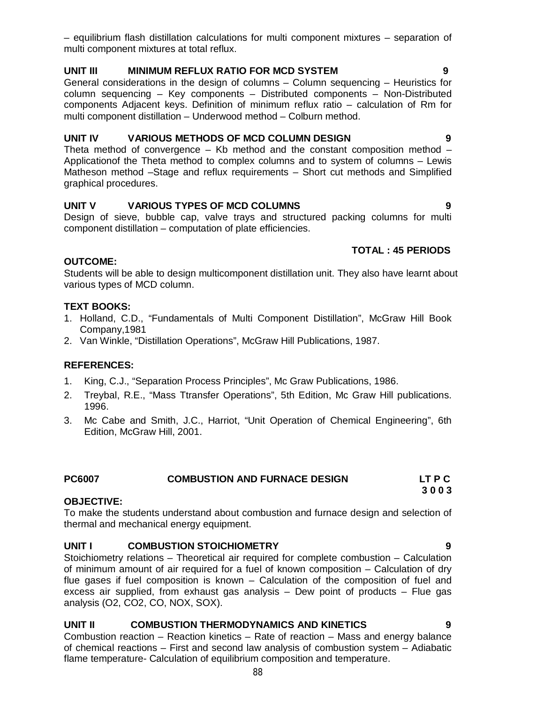– equilibrium flash distillation calculations for multi component mixtures – separation of multi component mixtures at total reflux.

# **UNIT III MINIMUM REFLUX RATIO FOR MCD SYSTEM 9**

General considerations in the design of columns – Column sequencing – Heuristics for column sequencing – Key components – Distributed components – Non-Distributed components Adjacent keys. Definition of minimum reflux ratio – calculation of Rm for multi component distillation – Underwood method – Colburn method.

# **UNIT IV VARIOUS METHODS OF MCD COLUMN DESIGN 9**

Theta method of convergence  $-$  Kb method and the constant composition method  $-$ Applicationof the Theta method to complex columns and to system of columns – Lewis Matheson method –Stage and reflux requirements – Short cut methods and Simplified graphical procedures.

# **UNIT V VARIOUS TYPES OF MCD COLUMNS 9**

Design of sieve, bubble cap, valve trays and structured packing columns for multi component distillation – computation of plate efficiencies.

# **TOTAL : 45 PERIODS**

# **OUTCOME:**

Students will be able to design multicomponent distillation unit. They also have learnt about various types of MCD column.

# **TEXT BOOKS:**

- 1. Holland, C.D., "Fundamentals of Multi Component Distillation", McGraw Hill Book Company,1981
- 2. Van Winkle, "Distillation Operations", McGraw Hill Publications, 1987.

### **REFERENCES:**

- 1. King, C.J., "Separation Process Principles", Mc Graw Publications, 1986.
- 2. Treybal, R.E., "Mass Ttransfer Operations", 5th Edition, Mc Graw Hill publications. 1996.
- 3. Mc Cabe and Smith, J.C., Harriot, "Unit Operation of Chemical Engineering", 6th Edition, McGraw Hill, 2001.

# **PC6007 COMBUSTION AND FURNACE DESIGN LT P C**

### **OBJECTIVE:**

To make the students understand about combustion and furnace design and selection of thermal and mechanical energy equipment.

# **UNIT I COMBUSTION STOICHIOMETRY 9**

Stoichiometry relations – Theoretical air required for complete combustion – Calculation of minimum amount of air required for a fuel of known composition – Calculation of dry flue gases if fuel composition is known – Calculation of the composition of fuel and excess air supplied, from exhaust gas analysis – Dew point of products – Flue gas analysis (O2, CO2, CO, NOX, SOX).

# **UNIT II COMBUSTION THERMODYNAMICS AND KINETICS 9**

Combustion reaction – Reaction kinetics – Rate of reaction – Mass and energy balance of chemical reactions – First and second law analysis of combustion system – Adiabatic flame temperature- Calculation of equilibrium composition and temperature.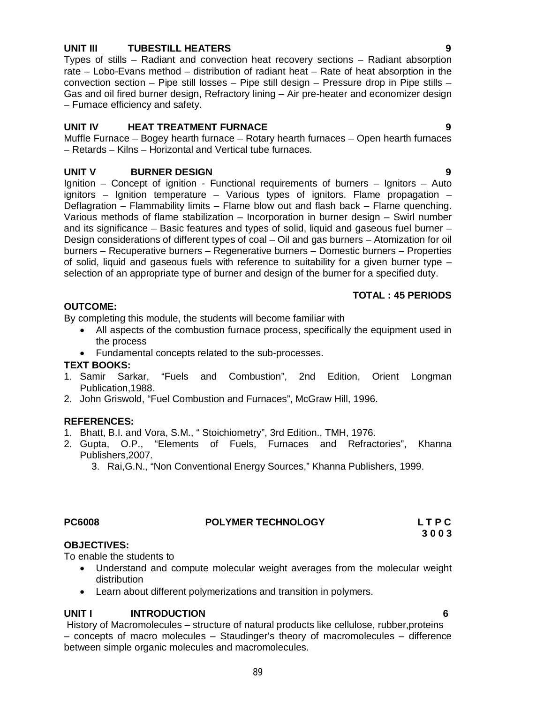# **UNIT III TUBESTILL HEATERS 9**

Types of stills – Radiant and convection heat recovery sections – Radiant absorption rate – Lobo-Evans method – distribution of radiant heat – Rate of heat absorption in the convection section – Pipe still losses – Pipe still design – Pressure drop in Pipe stills – Gas and oil fired burner design, Refractory lining – Air pre-heater and economizer design – Furnace efficiency and safety.

# **UNIT IV HEAT TREATMENT FURNACE 9**

Muffle Furnace – Bogey hearth furnace – Rotary hearth furnaces – Open hearth furnaces – Retards – Kilns – Horizontal and Vertical tube furnaces.

# **UNIT V BURNER DESIGN 9**

Ignition – Concept of ignition - Functional requirements of burners – Ignitors – Auto ignitors – Ignition temperature – Various types of ignitors. Flame propagation – Deflagration – Flammability limits – Flame blow out and flash back – Flame quenching. Various methods of flame stabilization – Incorporation in burner design – Swirl number and its significance – Basic features and types of solid, liquid and gaseous fuel burner – Design considerations of different types of coal – Oil and gas burners – Atomization for oil burners – Recuperative burners – Regenerative burners – Domestic burners – Properties of solid, liquid and gaseous fuels with reference to suitability for a given burner type – selection of an appropriate type of burner and design of the burner for a specified duty.

#### **TOTAL : 45 PERIODS**

### **OUTCOME:**

By completing this module, the students will become familiar with

- All aspects of the combustion furnace process, specifically the equipment used in the process
- Fundamental concepts related to the sub-processes.

#### **TEXT BOOKS:**

- 1. Samir Sarkar, "Fuels and Combustion", 2nd Edition, Orient Longman Publication,1988.
- 2. John Griswold, "Fuel Combustion and Furnaces", McGraw Hill, 1996.

### **REFERENCES:**

- 1. Bhatt, B.I. and Vora, S.M., " Stoichiometry", 3rd Edition., TMH, 1976.
- 2. Gupta, O.P., "Elements of Fuels, Furnaces and Refractories", Khanna Publishers,2007.

3. Rai,G.N., "Non Conventional Energy Sources," Khanna Publishers, 1999.

# **PC6008 POLYMER TECHNOLOGY L T P C**

**3 0 0 3**

### **OBJECTIVES:**

To enable the students to

- Understand and compute molecular weight averages from the molecular weight distribution
- Learn about different polymerizations and transition in polymers.

### **UNIT I INTRODUCTION 6**

History of Macromolecules – structure of natural products like cellulose, rubber,proteins – concepts of macro molecules – Staudinger's theory of macromolecules – difference between simple organic molecules and macromolecules.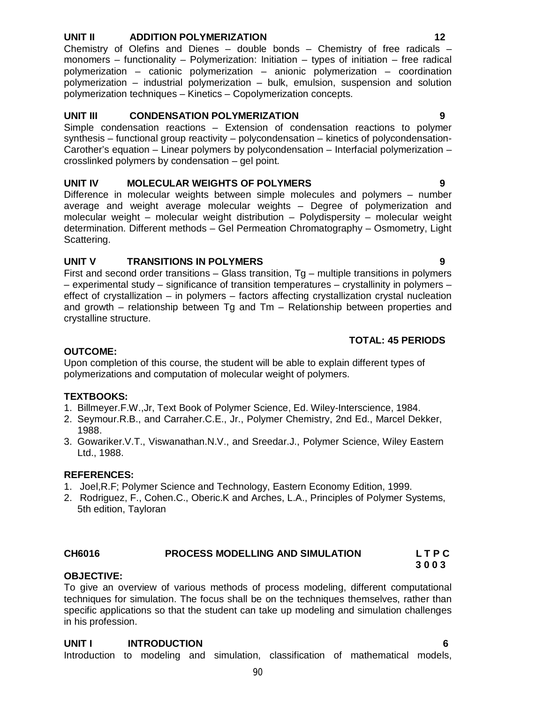#### **UNIT II ADDITION POLYMERIZATION 12**

Chemistry of Olefins and Dienes – double bonds – Chemistry of free radicals – monomers – functionality – Polymerization: Initiation – types of initiation – free radical polymerization – cationic polymerization – anionic polymerization – coordination polymerization – industrial polymerization – bulk, emulsion, suspension and solution polymerization techniques – Kinetics – Copolymerization concepts.

#### **UNIT III CONDENSATION POLYMERIZATION 9**

Simple condensation reactions – Extension of condensation reactions to polymer synthesis – functional group reactivity – polycondensation – kinetics of polycondensation-Carother's equation – Linear polymers by polycondensation – Interfacial polymerization – crosslinked polymers by condensation – gel point.

### **UNIT IV MOLECULAR WEIGHTS OF POLYMERS 9**

Difference in molecular weights between simple molecules and polymers – number average and weight average molecular weights – Degree of polymerization and molecular weight – molecular weight distribution – Polydispersity – molecular weight determination. Different methods – Gel Permeation Chromatography – Osmometry, Light Scattering.

### **UNIT V TRANSITIONS IN POLYMERS 9**

First and second order transitions – Glass transition, Tg – multiple transitions in polymers – experimental study – significance of transition temperatures – crystallinity in polymers – effect of crystallization – in polymers – factors affecting crystallization crystal nucleation and growth – relationship between Tg and Tm – Relationship between properties and crystalline structure.

#### **TOTAL: 45 PERIODS**

### **OUTCOME:**

Upon completion of this course, the student will be able to explain different types of polymerizations and computation of molecular weight of polymers.

#### **TEXTBOOKS:**

- 1. Billmeyer.F.W.,Jr, Text Book of Polymer Science, Ed. Wiley-Interscience, 1984.
- 2. Seymour.R.B., and Carraher.C.E., Jr., Polymer Chemistry, 2nd Ed., Marcel Dekker, 1988.
- 3. Gowariker.V.T., Viswanathan.N.V., and Sreedar.J., Polymer Science, Wiley Eastern Ltd., 1988.

#### **REFERENCES:**

**OBJECTIVE:**

- 1. Joel,R.F; Polymer Science and Technology, Eastern Economy Edition, 1999.
- 2. Rodriguez, F., Cohen.C., Oberic.K and Arches, L.A., Principles of Polymer Systems, 5th edition, Tayloran

#### **CH6016 PROCESS MODELLING AND SIMULATION L T P C 3 0 0 3**

To give an overview of various methods of process modeling, different computational techniques for simulation. The focus shall be on the techniques themselves, rather than specific applications so that the student can take up modeling and simulation challenges in his profession.

# **UNIT I INTRODUCTION 6**

Introduction to modeling and simulation, classification of mathematical models,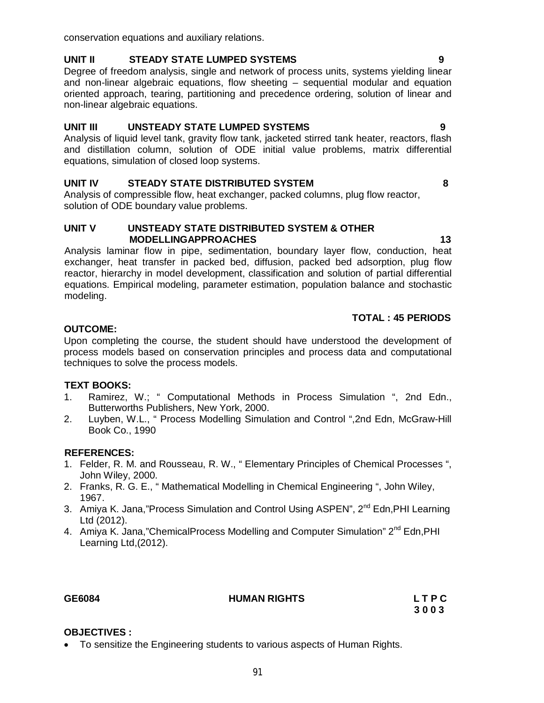To sensitize the Engineering students to various aspects of Human Rights.

conservation equations and auxiliary relations.

# **UNIT II STEADY STATE LUMPED SYSTEMS 9**

Degree of freedom analysis, single and network of process units, systems yielding linear and non-linear algebraic equations, flow sheeting – sequential modular and equation oriented approach, tearing, partitioning and precedence ordering, solution of linear and non-linear algebraic equations.

# **UNIT III UNSTEADY STATE LUMPED SYSTEMS 9**

Analysis of liquid level tank, gravity flow tank, jacketed stirred tank heater, reactors, flash and distillation column, solution of ODE initial value problems, matrix differential equations, simulation of closed loop systems.

# **UNIT IV STEADY STATE DISTRIBUTED SYSTEM 8**

Analysis of compressible flow, heat exchanger, packed columns, plug flow reactor, solution of ODE boundary value problems.

### **UNIT V UNSTEADY STATE DISTRIBUTED SYSTEM & OTHER MODELLINGAPPROACHES** 13

Analysis laminar flow in pipe, sedimentation, boundary layer flow, conduction, heat exchanger, heat transfer in packed bed, diffusion, packed bed adsorption, plug flow reactor, hierarchy in model development, classification and solution of partial differential equations. Empirical modeling, parameter estimation, population balance and stochastic modeling.

# **TOTAL : 45 PERIODS**

#### **OUTCOME:**

Upon completing the course, the student should have understood the development of process models based on conservation principles and process data and computational techniques to solve the process models.

### **TEXT BOOKS:**

- 1. Ramirez, W.; " Computational Methods in Process Simulation ", 2nd Edn., Butterworths Publishers, New York, 2000.
- 2. Luyben, W.L., " Process Modelling Simulation and Control ",2nd Edn, McGraw-Hill Book Co., 1990

### **REFERENCES:**

- 1. Felder, R. M. and Rousseau, R. W., " Elementary Principles of Chemical Processes ", John Wiley, 2000.
- 2. Franks, R. G. E., " Mathematical Modelling in Chemical Engineering ", John Wiley, 1967.
- 3. Amiya K. Jana,"Process Simulation and Control Using ASPEN", 2<sup>nd</sup> Edn, PHI Learning Ltd (2012).
- 4. Amiya K. Jana,"ChemicalProcess Modelling and Computer Simulation" 2<sup>nd</sup> Edn, PHI Learning Ltd,(2012).

**OBJECTIVES :**

### **GE6084 HUMAN RIGHTS L T P C**